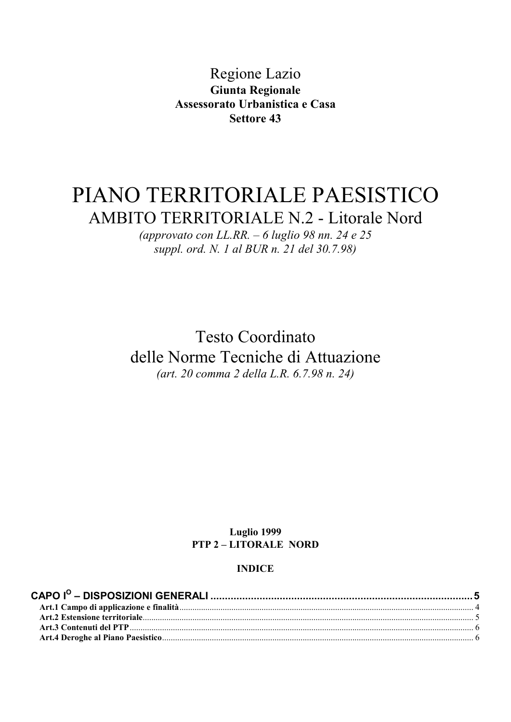Regione Lazio **Giunta Regionale** Assessorato Urbanistica e Casa Settore 43

# PIANO TERRITORIALE PAESISTICO **AMBITO TERRITORIALE N.2 - Litorale Nord**

(approvato con LL.RR.  $-6$  luglio 98 nn. 24 e 25 suppl. ord. N. 1 al BUR n. 21 del 30.7.98)

**Testo Coordinato** delle Norme Tecniche di Attuazione (art. 20 comma 2 della L.R. 6.7.98 n. 24)

## Luglio 1999 **PTP 2-LITORALE NORD**

#### **INDICE**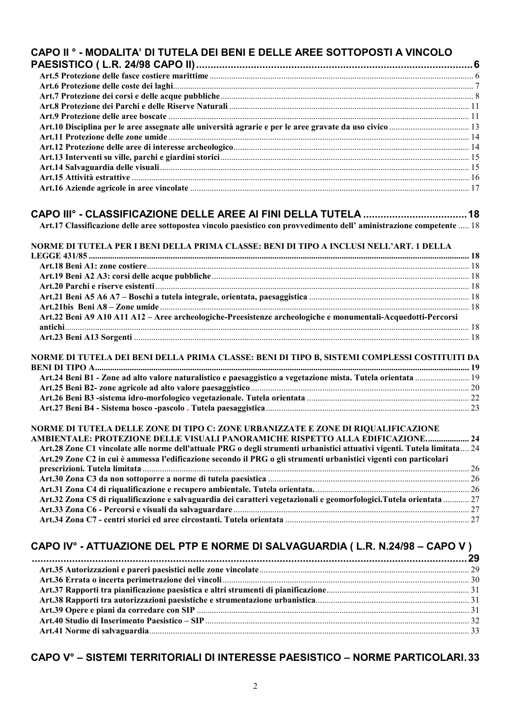| CAPO II <sup>o</sup> - MODALITA' DI TUTELA DEI BENI E DELLE AREE SOTTOPOSTI A VINCOLO                                                                                                                      |  |
|------------------------------------------------------------------------------------------------------------------------------------------------------------------------------------------------------------|--|
|                                                                                                                                                                                                            |  |
|                                                                                                                                                                                                            |  |
|                                                                                                                                                                                                            |  |
|                                                                                                                                                                                                            |  |
|                                                                                                                                                                                                            |  |
|                                                                                                                                                                                                            |  |
|                                                                                                                                                                                                            |  |
|                                                                                                                                                                                                            |  |
|                                                                                                                                                                                                            |  |
|                                                                                                                                                                                                            |  |
|                                                                                                                                                                                                            |  |
|                                                                                                                                                                                                            |  |
|                                                                                                                                                                                                            |  |
| Art.17 Classificazione delle aree sottopostea vincolo paesistico con provvedimento dell'aministrazione competente  18                                                                                      |  |
| NORME DI TUTELA PER I BENI DELLA PRIMA CLASSE: BENI DI TIPO A INCLUSI NELL'ART. 1 DELLA                                                                                                                    |  |
|                                                                                                                                                                                                            |  |
|                                                                                                                                                                                                            |  |
|                                                                                                                                                                                                            |  |
|                                                                                                                                                                                                            |  |
|                                                                                                                                                                                                            |  |
| Art.22 Beni A9 A10 A11 A12 - Aree archeologiche-Preesistenze archeologiche e monumentali-Acquedotti-Percorsi                                                                                               |  |
|                                                                                                                                                                                                            |  |
|                                                                                                                                                                                                            |  |
| NORME DI TUTELA DEI BENI DELLA PRIMA CLASSE: BENI DI TIPO B, SISTEMI COMPLESSI COSTITUITI DA                                                                                                               |  |
|                                                                                                                                                                                                            |  |
| Art.24 Beni B1 - Zone ad alto valore naturalistico e paesaggistico a vegetazione mista. Tutela orientata  19                                                                                               |  |
|                                                                                                                                                                                                            |  |
|                                                                                                                                                                                                            |  |
|                                                                                                                                                                                                            |  |
| NORME DI TUTELA DELLE ZONE DI TIPO C: ZONE URBANIZZATE E ZONE DI RIQUALIFICAZIONE                                                                                                                          |  |
| AMBIENTALE: PROTEZIONE DELLE VISUALI PANORAMICHE RISPETTO ALLA EDIFICAZIONE 24<br>Art.28 Zone C1 vincolate alle norme dell'attuale PRG o degli strumenti urbanistici attuativi vigenti. Tutela limitata 24 |  |
| Art.29 Zone C2 in cui è ammessa l'edificazione secondo il PRG o gli strumenti urbanistici vigenti con particolari                                                                                          |  |
|                                                                                                                                                                                                            |  |
|                                                                                                                                                                                                            |  |
|                                                                                                                                                                                                            |  |
| Art.32 Zona C5 di riqualificazione e salvaguardia dei caratteri vegetazionali e geomorfologici.Tutela orientata  27                                                                                        |  |
|                                                                                                                                                                                                            |  |
|                                                                                                                                                                                                            |  |
| CAPO IV° - ATTUAZIONE DEL PTP E NORME DI SALVAGUARDIA (L.R. N.24/98 - CAPO V)                                                                                                                              |  |
|                                                                                                                                                                                                            |  |
|                                                                                                                                                                                                            |  |
|                                                                                                                                                                                                            |  |
|                                                                                                                                                                                                            |  |
|                                                                                                                                                                                                            |  |

# CAPO V° - SISTEMI TERRITORIALI DI INTERESSE PAESISTICO - NORME PARTICOLARI.33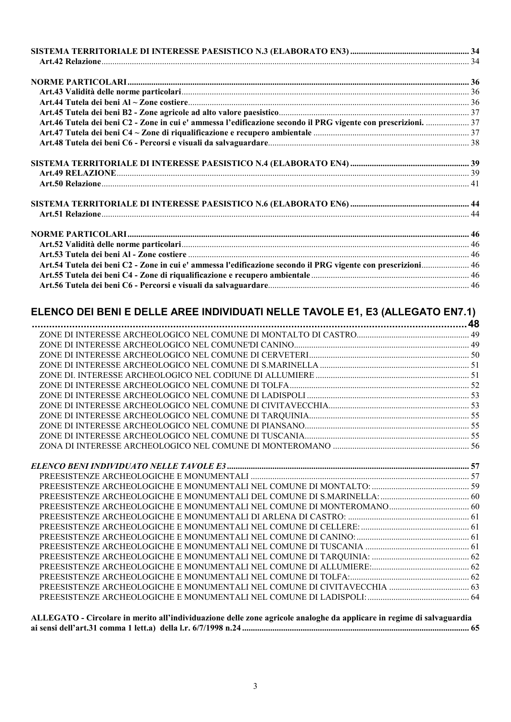| Art.46 Tutela dei beni C2 - Zone in cui e' ammessa l'edificazione secondo il PRG vigente con prescrizioni.  37 |  |
|----------------------------------------------------------------------------------------------------------------|--|
|                                                                                                                |  |
|                                                                                                                |  |
|                                                                                                                |  |
|                                                                                                                |  |
|                                                                                                                |  |
|                                                                                                                |  |
|                                                                                                                |  |
|                                                                                                                |  |
|                                                                                                                |  |
|                                                                                                                |  |
| Art.54 Tutela dei beni C2 - Zone in cui e' ammessa l'edificazione secondo il PRG vigente con prescrizioni 46   |  |
|                                                                                                                |  |
|                                                                                                                |  |
|                                                                                                                |  |

# ELENCO DEI BENI E DELLE AREE INDIVIDUATI NELLE TAVOLE E1, E3 (ALLEGATO EN7.1)

| PREESISTENZE ARCHEOLOGICHE E MONUMENTALI NEL COMUNE DI MONTEROMANO 60 |  |
|-----------------------------------------------------------------------|--|
|                                                                       |  |
|                                                                       |  |
|                                                                       |  |
|                                                                       |  |
|                                                                       |  |
|                                                                       |  |
|                                                                       |  |
|                                                                       |  |
|                                                                       |  |
|                                                                       |  |

ALLEGATO - Circolare in merito all'individuazione delle zone agricole analoghe da applicare in regime di salvaguardia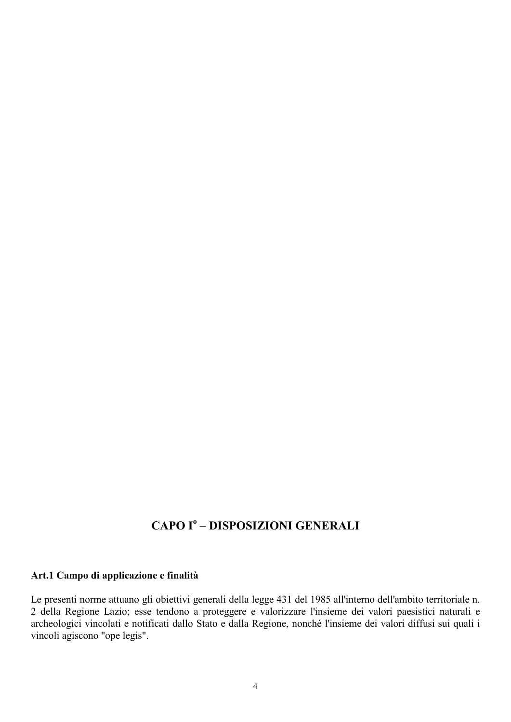# **CAPO Iº - DISPOSIZIONI GENERALI**

# Art.1 Campo di applicazione e finalità

Le presenti norme attuano gli obiettivi generali della legge 431 del 1985 all'interno dell'ambito territoriale n. 2 della Regione Lazio; esse tendono a proteggere e valorizzare l'insieme dei valori paesistici naturali e archeologici vincolati e notificati dallo Stato e dalla Regione, nonché l'insieme dei valori diffusi sui quali i vincoli agiscono "ope legis".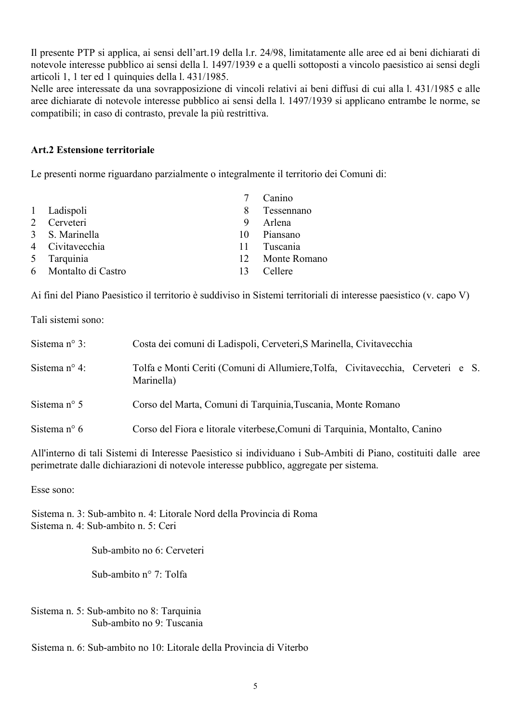Il presente PTP si applica, ai sensi dell'art.19 della l.r. 24/98, limitatamente alle aree ed ai beni dichiarati di notevole interesse pubblico ai sensi della 1. 1497/1939 e a quelli sottoposti a vincolo paesistico ai sensi degli articoli 1, 1 ter ed 1 quinquies della 1. 431/1985.

Nelle aree interessate da una sovrapposizione di vincoli relativi ai beni diffusi di cui alla l. 431/1985 e alle aree dichiarate di notevole interesse pubblico ai sensi della 1, 1497/1939 si applicano entrambe le norme, se compatibili: in caso di contrasto, prevale la più restrittiva.

## Art.2 Estensione territoriale

Le presenti norme riguardano parzialmente o integralmente il territorio dei Comuni di:

|                      |    | Canino          |
|----------------------|----|-----------------|
| 1 Ladispoli          |    | 8 Tessennano    |
| 2 Cerveteri          | 9  | Arlena          |
| 3 S. Marinella       | 10 | Piansano        |
| 4 Civitavecchia      |    | 11 Tuscania     |
| 5 Tarquinia          |    | 12 Monte Romano |
| 6 Montalto di Castro | 13 | Cellere         |

Ai fini del Piano Paesistico il territorio è suddiviso in Sistemi territoriali di interesse paesistico (v. capo V)

Tali sistemi sono:

| Sistema $n^{\circ}$ 3: | Costa dei comuni di Ladispoli, Cerveteri, S Marinella, Civitavecchia                          |  |  |
|------------------------|-----------------------------------------------------------------------------------------------|--|--|
| Sistema $n^{\circ}$ 4: | Tolfa e Monti Ceriti (Comuni di Allumiere, Tolfa, Civitavecchia, Cerveteri e S.<br>Marinella) |  |  |
| Sistema $n^{\circ}$ 5  | Corso del Marta, Comuni di Tarquinia, Tuscania, Monte Romano                                  |  |  |
| Sistema n° 6           | Corso del Fiora e litorale viterbese, Comuni di Tarquinia, Montalto, Canino                   |  |  |

All'interno di tali Sistemi di Interesse Paesistico si individuano i Sub-Ambiti di Piano, costituiti dalle aree perimetrate dalle dichiarazioni di notevole interesse pubblico, aggregate per sistema.

Esse sono:

Sistema n. 3: Sub-ambito n. 4: Litorale Nord della Provincia di Roma Sistema n 4: Sub-ambito n 5: Ceri

Sub-ambito no 6: Cerveteri

Sub-ambito  $n^{\circ}$  7: Tolfa

Sistema n. 5: Sub-ambito no 8: Tarquinia Sub-ambito no 9: Tuscania

Sistema n 6: Sub-ambito no 10: Litorale della Provincia di Viterbo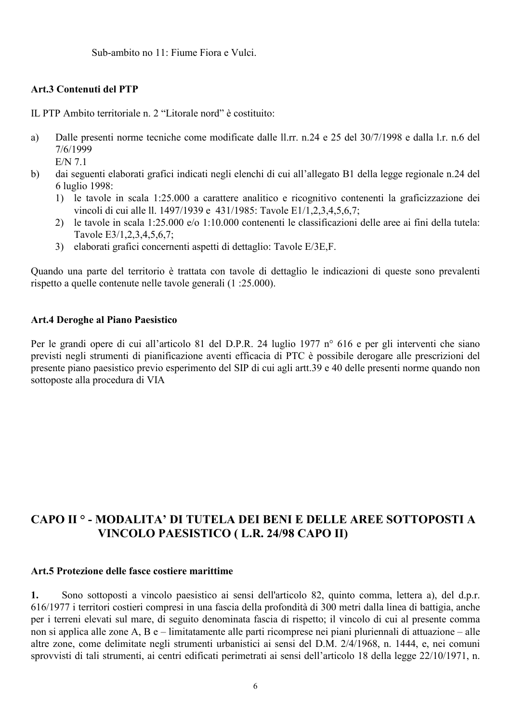Sub-ambito no 11: Fiume Fiora e Vulci.

# **Art.3 Contenuti del PTP**

IL PTP Ambito territoriale n 2 "Litorale nord" è costituito

Dalle presenti norme tecniche come modificate dalle ll.rr. n.24 e 25 del 30/7/1998 e dalla l.r. n.6 del  $a)$  $7/6/1999$ 

 $E/N$  7 1

- $b)$ dai seguenti elaborati grafici indicati negli elenchi di cui all'allegato B1 della legge regionale n.24 del 6 luglio 1998:
	- 1) le tavole in scala 1:25.000 a carattere analitico e ricognitivo contenenti la graficizzazione dei vincoli di cui alle ll. 1497/1939 e 431/1985: Tavole E1/1,2,3,4,5,6,7;
	- 2) le tavole in scala 1:25.000 e/o 1:10.000 contenenti le classificazioni delle aree ai fini della tutela: Tavole E3/1,2,3,4,5,6,7;
	- 3) elaborati grafici concernenti aspetti di dettaglio: Tavole E/3E,F.

Quando una parte del territorio è trattata con tavole di dettaglio le indicazioni di queste sono prevalenti rispetto a quelle contenute nelle tavole generali (1 :25.000).

#### Art.4 Deroghe al Piano Paesistico

Per le grandi opere di cui all'articolo 81 del D.P.R. 24 luglio 1977 n° 616 e per gli interventi che siano previsti negli strumenti di pianificazione aventi efficacia di PTC è possibile derogare alle prescrizioni del presente piano paesistico previo esperimento del SIP di cui agli artt.39 e 40 delle presenti norme quando non sottoposte alla procedura di VIA

# CAPO II ° - MODALITA' DI TUTELA DEI BENI E DELLE AREE SOTTOPOSTI A VINCOLO PAESISTICO (L.R. 24/98 CAPO II)

## Art.5 Protezione delle fasce costiere marittime

 $\mathbf{1}$ . Sono sottoposti a vincolo paesistico ai sensi dell'articolo 82, quinto comma, lettera a), del d.p.r. 616/1977 i territori costieri compresi in una fascia della profondità di 300 metri dalla linea di battigia, anche per i terreni elevati sul mare, di seguito denominata fascia di rispetto; il vincolo di cui al presente comma non si applica alle zone A, B e – limitatamente alle parti ricomprese nei piani pluriennali di attuazione – alle altre zone, come delimitate negli strumenti urbanistici ai sensi del D.M. 2/4/1968, n. 1444, e, nei comuni sprovvisti di tali strumenti, ai centri edificati perimetrati ai sensi dell'articolo 18 della legge 22/10/1971, n.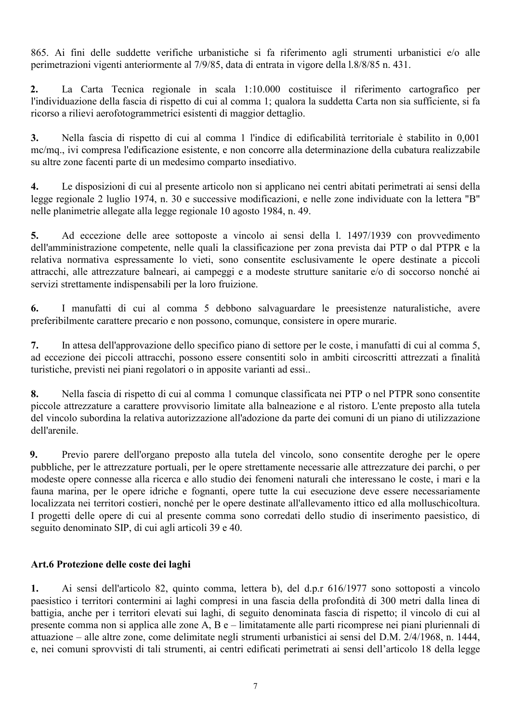865. Ai fini delle suddette verifiche urbanistiche si fa riferimento agli strumenti urbanistici e/o alle perimetrazioni vigenti anteriormente al 7/9/85, data di entrata in vigore della 1.8/8/85 n. 431.

La Carta Tecnica regionale in scala 1:10.000 costituisce il riferimento cartografico per  $2.$ l'individuazione della fascia di rispetto di cui al comma 1; qualora la suddetta Carta non sia sufficiente, si fa ricorso a rilievi aerofotogrammetrici esistenti di maggior dettaglio.

Nella fascia di rispetto di cui al comma 1 l'indice di edificabilità territoriale è stabilito in 0,001  $3.$ mc/mq., ivi compresa l'edificazione esistente, e non concorre alla determinazione della cubatura realizzabile su altre zone facenti parte di un medesimo comparto insediativo.

 $\overline{4}$ . Le disposizioni di cui al presente articolo non si applicano nei centri abitati perimetrati ai sensi della legge regionale 2 luglio 1974, n. 30 e successive modificazioni, e nelle zone individuate con la lettera "B" nelle planimetrie allegate alla legge regionale 10 agosto 1984, n. 49.

 $5.$ Ad eccezione delle aree sottoposte a vincolo ai sensi della 1. 1497/1939 con provvedimento dell'amministrazione competente, nelle quali la classificazione per zona prevista dai PTP o dal PTPR e la relativa normativa espressamente lo vieti, sono consentite esclusivamente le opere destinate a piccoli attracchi, alle attrezzature balneari, ai campeggi e a modeste strutture sanitarie e/o di soccorso nonché ai servizi strettamente indispensabili per la loro fruizione.

6. I manufatti di cui al comma 5 debbono salvaguardare le preesistenze naturalistiche, avere preferibilmente carattere precario e non possono, comunque, consistere in opere murarie.

In attesa dell'approvazione dello specifico piano di settore per le coste, i manufatti di cui al comma 5,  $7<sub>1</sub>$ ad eccezione dei piccoli attracchi, possono essere consentiti solo in ambiti circoscritti attrezzati a finalità turistiche, previsti nei piani regolatori o in apposite varianti ad essi...

8. Nella fascia di rispetto di cui al comma 1 comunque classificata nei PTP o nel PTPR sono consentite piccole attrezzature a carattere provvisorio limitate alla balneazione e al ristoro. L'ente preposto alla tutela del vincolo subordina la relativa autorizzazione all'adozione da parte dei comuni di un piano di utilizzazione dell'arenile.

9. Previo parere dell'organo preposto alla tutela del vincolo, sono consentite deroghe per le opere pubbliche, per le attrezzature portuali, per le opere strettamente necessarie alle attrezzature dei parchi, o per modeste opere connesse alla ricerca e allo studio dei fenomeni naturali che interessano le coste, i mari e la fauna marina, per le opere idriche e fognanti, opere tutte la cui esecuzione deve essere necessariamente localizzata nei territori costieri, nonché per le opere destinate all'allevamento ittico ed alla molluschicoltura. I progetti delle opere di cui al presente comma sono corredati dello studio di inserimento paesistico, di seguito denominato SIP, di cui agli articoli 39 e 40.

# Art.6 Protezione delle coste dei laghi

Ai sensi dell'articolo 82, quinto comma, lettera b), del d.p.r 616/1977 sono sottoposti a vincolo 1. paesistico i territori contermini ai laghi compresi in una fascia della profondità di 300 metri dalla linea di battigia, anche per i territori elevati sui laghi, di seguito denominata fascia di rispetto; il vincolo di cui al presente comma non si applica alle zone A, B e – limitatamente alle parti ricomprese nei piani pluriennali di attuazione – alle altre zone, come delimitate negli strumenti urbanistici ai sensi del D.M. 2/4/1968, n. 1444, e, nei comuni sprovvisti di tali strumenti, ai centri edificati perimetrati ai sensi dell'articolo 18 della legge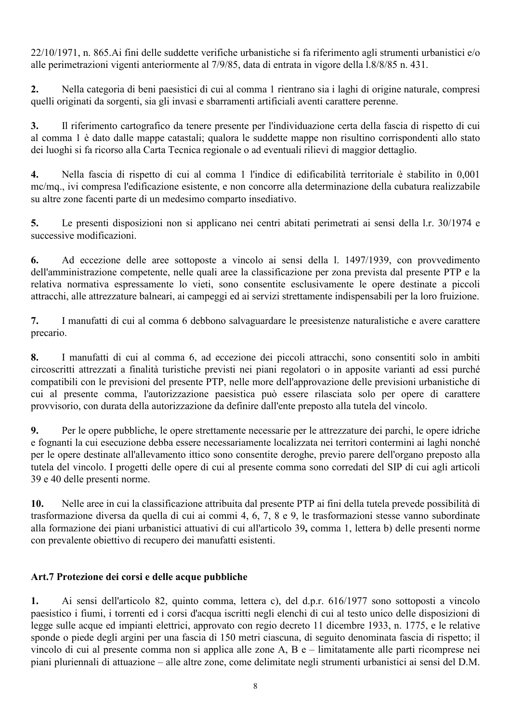22/10/1971, n. 865. Ai fini delle suddette verifiche urbanistiche si fa riferimento agli strumenti urbanistici e/o alle perimetrazioni vigenti anteriormente al 7/9/85, data di entrata in vigore della 1.8/8/85 n. 431.

Nella categoria di beni paesistici di cui al comma 1 rientrano sia i laghi di origine naturale, compresi  $2.$ quelli originati da sorgenti, sia gli invasi e sbarramenti artificiali aventi carattere perenne.

 $3.$ Il riferimento cartografico da tenere presente per l'individuazione certa della fascia di rispetto di cui al comma 1 è dato dalle mappe catastali; qualora le suddette mappe non risultino corrispondenti allo stato dei luoghi si fa ricorso alla Carta Tecnica regionale o ad eventuali rilievi di maggior dettaglio.

 $\overline{4}$ . Nella fascia di rispetto di cui al comma 1 l'indice di edificabilità territoriale è stabilito in 0,001 mc/mq., ivi compresa l'edificazione esistente, e non concorre alla determinazione della cubatura realizzabile su altre zone facenti parte di un medesimo comparto insediativo.

 $5.$ Le presenti disposizioni non si applicano nei centri abitati perimetrati ai sensi della l.r. 30/1974 e successive modificazioni.

Ad eccezione delle aree sottoposte a vincolo ai sensi della 1. 1497/1939, con provvedimento 6. dell'amministrazione competente, nelle quali aree la classificazione per zona prevista dal presente PTP e la relativa normativa espressamente lo vieti, sono consentite esclusivamente le opere destinate a piccoli attracchi, alle attrezzature balneari, ai campeggi ed ai servizi strettamente indispensabili per la loro fruizione.

 $7.$ I manufatti di cui al comma 6 debbono salvaguardare le preesistenze naturalistiche e avere carattere precario.

8. I manufatti di cui al comma 6, ad eccezione dei piccoli attracchi, sono consentiti solo in ambiti circoscritti attrezzati a finalità turistiche previsti nei piani regolatori o in apposite varianti ad essi purché compatibili con le previsioni del presente PTP, nelle more dell'approvazione delle previsioni urbanistiche di cui al presente comma, l'autorizzazione paesistica può essere rilasciata solo per opere di carattere provvisorio, con durata della autorizzazione da definire dall'ente preposto alla tutela del vincolo.

9. Per le opere pubbliche, le opere strettamente necessarie per le attrezzature dei parchi, le opere idriche e fognanti la cui esecuzione debba essere necessariamente localizzata nei territori contermini ai laghi nonché per le opere destinate all'allevamento ittico sono consentite deroghe, previo parere dell'organo preposto alla tutela del vincolo. I progetti delle opere di cui al presente comma sono corredati del SIP di cui agli articoli 39 e 40 delle presenti norme.

Nelle aree in cui la classificazione attribuita dal presente PTP ai fini della tutela prevede possibilità di 10. trasformazione diversa da quella di cui ai commi 4, 6, 7, 8 e 9, le trasformazioni stesse vanno subordinate alla formazione dei piani urbanistici attuativi di cui all'articolo 39, comma 1, lettera b) delle presenti norme con prevalente obiettivo di recupero dei manufatti esistenti.

# Art.7 Protezione dei corsi e delle acque pubbliche

 $\mathbf{1}$ . Ai sensi dell'articolo 82, quinto comma, lettera c), del d.p.r. 616/1977 sono sottoposti a vincolo paesistico i fiumi, i torrenti ed i corsi d'acqua iscritti negli elenchi di cui al testo unico delle disposizioni di legge sulle acque ed impianti elettrici, approvato con regio decreto 11 dicembre 1933, n. 1775, e le relative sponde o piede degli argini per una fascia di 150 metri ciascuna, di seguito denominata fascia di rispetto; il vincolo di cui al presente comma non si applica alle zone A, B e – limitatamente alle parti ricomprese nei piani pluriennali di attuazione – alle altre zone, come delimitate negli strumenti urbanistici ai sensi del D.M.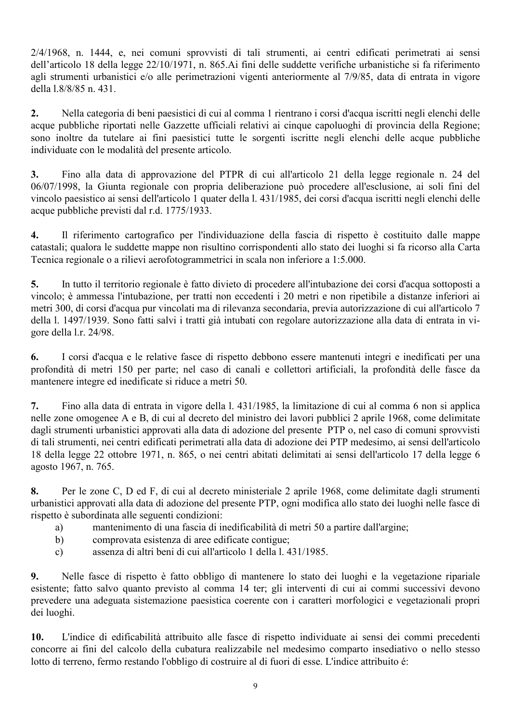2/4/1968, n. 1444, e, nei comuni sprovvisti di tali strumenti, ai centri edificati perimetrati ai sensi dell'articolo 18 della legge 22/10/1971, n. 865. Ai fini delle suddette verifiche urbanistiche si fa riferimento agli strumenti urbanistici e/o alle perimetrazioni vigenti anteriormente al 7/9/85, data di entrata in vigore della 1.8/8/85 n. 431.

 $2.$ Nella categoria di beni paesistici di cui al comma 1 rientrano i corsi d'acqua iscritti negli elenchi delle acque pubbliche riportati nelle Gazzette ufficiali relativi ai cinque capoluoghi di provincia della Regione; sono inoltre da tutelare ai fini paesistici tutte le sorgenti iscritte negli elenchi delle acque pubbliche individuate con le modalità del presente articolo.

 $3<sub>1</sub>$ Fino alla data di approvazione del PTPR di cui all'articolo 21 della legge regionale n. 24 del 06/07/1998, la Giunta regionale con propria deliberazione può procedere all'esclusione, ai soli fini del vincolo paesistico ai sensi dell'articolo 1 quater della 1.431/1985, dei corsi d'acqua iscritti negli elenchi delle acque pubbliche previsti dal r.d. 1775/1933.

 $\overline{4}$ . Il riferimento cartografico per l'individuazione della fascia di rispetto è costituito dalle mappe catastali; qualora le suddette mappe non risultino corrispondenti allo stato dei luoghi si fa ricorso alla Carta Tecnica regionale o a rilievi aerofotogrammetrici in scala non inferiore a 1:5.000.

 $5<sub>1</sub>$ In tutto il territorio regionale è fatto divieto di procedere all'intubazione dei corsi d'acqua sottoposti a vincolo; è ammessa l'intubazione, per tratti non eccedenti i 20 metri e non ripetibile a distanze inferiori ai metri 300, di corsi d'acqua pur vincolati ma di rilevanza secondaria, previa autorizzazione di cui all'articolo 7 della l. 1497/1939. Sono fatti salvi i tratti già intubati con regolare autorizzazione alla data di entrata in vigore della l.r. 24/98.

I corsi d'acqua e le relative fasce di rispetto debbono essere mantenuti integri e inedificati per una 6. profondità di metri 150 per parte; nel caso di canali e collettori artificiali, la profondità delle fasce da mantenere integre ed inedificate si riduce a metri 50.

Fino alla data di entrata in vigore della 1, 431/1985, la limitazione di cui al comma 6 non si applica 7. nelle zone omogenee A e B, di cui al decreto del ministro dei lavori pubblici 2 aprile 1968, come delimitate dagli strumenti urbanistici approvati alla data di adozione del presente PTP o, nel caso di comuni sprovvisti di tali strumenti, nei centri edificati perimetrati alla data di adozione dei PTP medesimo, ai sensi dell'articolo 18 della legge 22 ottobre 1971, n. 865, o nei centri abitati delimitati ai sensi dell'articolo 17 della legge 6 agosto 1967, n. 765.

Per le zone C, D ed F, di cui al decreto ministeriale 2 aprile 1968, come delimitate dagli strumenti 8. urbanistici approvati alla data di adozione del presente PTP, ogni modifica allo stato dei luoghi nelle fasce di rispetto è subordinata alle seguenti condizioni:

- mantenimento di una fascia di inedificabilità di metri 50 a partire dall'argine; a)
- $b)$ comprovata esistenza di aree edificate contigue:
- assenza di altri beni di cui all'articolo 1 della 1 431/1985  $c)$

Nelle fasce di rispetto è fatto obbligo di mantenere lo stato dei luoghi e la vegetazione ripariale 9. esistente; fatto salvo quanto previsto al comma 14 ter; gli interventi di cui ai commi successivi devono prevedere una adeguata sistemazione paesistica coerente con i caratteri morfologici e vegetazionali propri dei luoghi.

 $10.$ L'indice di edificabilità attribuito alle fasce di rispetto individuate ai sensi dei commi precedenti concorre ai fini del calcolo della cubatura realizzabile nel medesimo comparto insediativo o nello stesso lotto di terreno, fermo restando l'obbligo di costruire al di fuori di esse. L'indice attribuito é: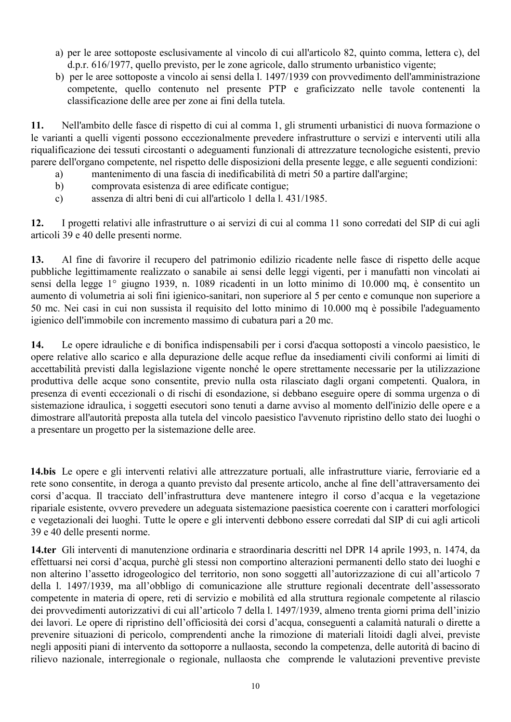- a) per le aree sottoposte esclusivamente al vincolo di cui all'articolo 82, quinto comma, lettera c), del d.p.r. 616/1977, quello previsto, per le zone agricole, dallo strumento urbanistico vigente;
- b) per le aree sottoposte a vincolo ai sensi della l. 1497/1939 con provvedimento dell'amministrazione competente, quello contenuto nel presente PTP e graficizzato nelle tavole contenenti la classificazione delle aree per zone ai fini della tutela.

11. Nell'ambito delle fasce di rispetto di cui al comma 1, gli strumenti urbanistici di nuova formazione o le varianti a quelli vigenti possono eccezionalmente prevedere infrastrutture o servizi e interventi utili alla riqualificazione dei tessuti circostanti o adeguamenti funzionali di attrezzature tecnologiche esistenti, previo parere dell'organo competente, nel rispetto delle disposizioni della presente legge, e alle seguenti condizioni:

- $a)$ mantenimento di una fascia di inedificabilità di metri 50 a partire dall'argine;
- comprovata esistenza di aree edificate contigue;  $b)$
- assenza di altri beni di cui all'articolo 1 della l. 431/1985.  $c)$

 $12.$ I progetti relativi alle infrastrutture o ai servizi di cui al comma 11 sono corredati del SIP di cui agli articoli 39 e 40 delle presenti norme.

 $13.$ Al fine di favorire il recupero del patrimonio edilizio ricadente nelle fasce di rispetto delle acque pubbliche legittimamente realizzato o sanabile ai sensi delle leggi vigenti, per i manufatti non vincolati ai sensi della legge 1° giugno 1939, n. 1089 ricadenti in un lotto minimo di 10.000 mq, è consentito un aumento di volumetria ai soli fini igienico-sanitari, non superiore al 5 per cento e comunque non superiore a 50 mc. Nei casi in cui non sussista il requisito del lotto minimo di 10.000 mq è possibile l'adeguamento igienico dell'immobile con incremento massimo di cubatura pari a 20 mc.

14. Le opere idrauliche e di bonifica indispensabili per i corsi d'acqua sottoposti a vincolo paesistico, le opere relative allo scarico e alla depurazione delle acque reflue da insediamenti civili conformi ai limiti di accettabilità previsti dalla legislazione vigente nonché le opere strettamente necessarie per la utilizzazione produttiva delle acque sono consentite, previo nulla osta rilasciato dagli organi competenti. Qualora, in presenza di eventi eccezionali o di rischi di esondazione, si debbano eseguire opere di somma urgenza o di sistemazione idraulica, i soggetti esecutori sono tenuti a darne avviso al momento dell'inizio delle opere e a dimostrare all'autorità preposta alla tutela del vincolo paesistico l'avvenuto ripristino dello stato dei luoghi o a presentare un progetto per la sistemazione delle aree.

14. bis Le opere e gli interventi relativi alle attrezzature portuali, alle infrastrutture viarie, ferroviarie ed a rete sono consentite, in deroga a quanto previsto dal presente articolo, anche al fine dell'attraversamento dei corsi d'acqua. Il tracciato dell'infrastruttura deve mantenere integro il corso d'acqua e la vegetazione ripariale esistente, ovvero prevedere un adeguata sistemazione paesistica coerente con i caratteri morfologici e vegetazionali dei luoghi. Tutte le opere e gli interventi debbono essere corredati dal SIP di cui agli articoli 39 e 40 delle presenti norme.

14.ter Gli interventi di manutenzione ordinaria e straordinaria descritti nel DPR 14 aprile 1993, n. 1474, da effettuarsi nei corsi d'acqua, purchè gli stessi non comportino alterazioni permanenti dello stato dei luoghi e non alterino l'assetto idrogeologico del territorio, non sono soggetti all'autorizzazione di cui all'articolo 7 della 1. 1497/1939, ma all'obbligo di comunicazione alle strutture regionali decentrate dell'assessorato competente in materia di opere, reti di servizio e mobilità ed alla struttura regionale competente al rilascio dei provvedimenti autorizzativi di cui all'articolo 7 della l. 1497/1939, almeno trenta giorni prima dell'inizio dei lavori. Le opere di ripristino dell'officiosità dei corsi d'acqua, conseguenti a calamità naturali o dirette a prevenire situazioni di pericolo, comprendenti anche la rimozione di materiali litoidi dagli alvei, previste negli appositi piani di intervento da sottoporre a nullaosta, secondo la competenza, delle autorità di bacino di rilievo nazionale, interregionale o regionale, nullaosta che comprende le valutazioni preventive previste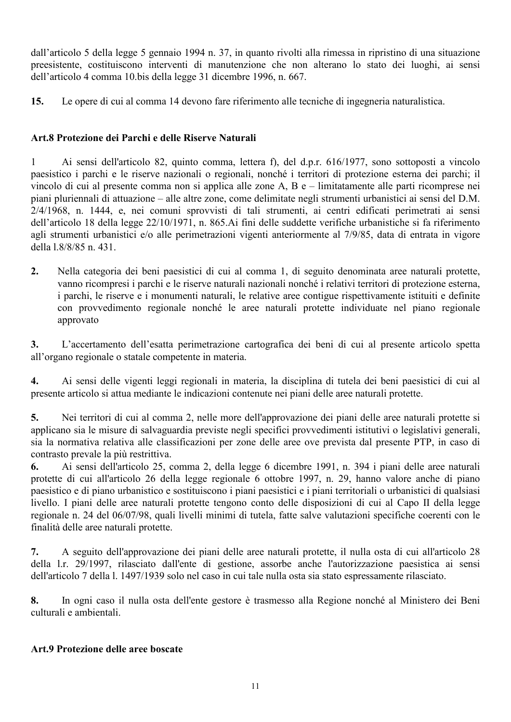dall'articolo 5 della legge 5 gennaio 1994 n. 37, in quanto rivolti alla rimessa in ripristino di una situazione preesistente, costituiscono interventi di manutenzione che non alterano lo stato dei luoghi, ai sensi dell'articolo 4 comma 10 bis della legge 31 dicembre 1996, n. 667.

 $15.$ Le opere di cui al comma 14 devono fare riferimento alle tecniche di ingegneria naturalistica.

# Art.8 Protezione dei Parchi e delle Riserve Naturali

Ai sensi dell'articolo 82, quinto comma, lettera f), del d.p.r. 616/1977, sono sottoposti a vincolo  $\mathbf{1}$ paesistico i parchi e le riserve nazionali o regionali, nonché i territori di protezione esterna dei parchi; il vincolo di cui al presente comma non si applica alle zone A, B e – limitatamente alle parti ricomprese nei piani pluriennali di attuazione – alle altre zone, come delimitate negli strumenti urbanistici ai sensi del D.M. 2/4/1968, n. 1444, e, nei comuni sprovvisti di tali strumenti, ai centri edificati perimetrati ai sensi dell'articolo 18 della legge 22/10/1971, n. 865. Ai fini delle suddette verifiche urbanistiche si fa riferimento agli strumenti urbanistici e/o alle perimetrazioni vigenti anteriormente al 7/9/85, data di entrata in vigore della 1.8/8/85 n. 431.

 $2.$ Nella categoria dei beni paesistici di cui al comma 1, di seguito denominata aree naturali protette. vanno ricompresi i parchi e le riserve naturali nazionali nonché i relativi territori di protezione esterna. i parchi, le riserve e i monumenti naturali, le relative aree contigue rispettivamente istituiti e definite con provvedimento regionale nonché le aree naturali protette individuate nel piano regionale approvato

 $3.$ L'accertamento dell'esatta perimetrazione cartografica dei beni di cui al presente articolo spetta all'organo regionale o statale competente in materia.

Ai sensi delle vigenti leggi regionali in materia, la disciplina di tutela dei beni paesistici di cui al  $\overline{4}$ . presente articolo si attua mediante le indicazioni contenute nei piani delle aree naturali protette.

Nei territori di cui al comma 2, nelle more dell'approvazione dei piani delle aree naturali protette si 5. applicano sia le misure di salvaguardia previste negli specifici provvedimenti istitutivi o legislativi generali, sia la normativa relativa alle classificazioni per zone delle aree ove prevista dal presente PTP, in caso di contrasto prevale la più restrittiva.

6. Ai sensi dell'articolo 25, comma 2, della legge 6 dicembre 1991, n. 394 i piani delle aree naturali protette di cui all'articolo 26 della legge regionale 6 ottobre 1997, n. 29, hanno valore anche di piano paesistico e di piano urbanistico e sostituiscono i piani paesistici e i piani territoriali o urbanistici di qualsiasi livello. I piani delle aree naturali protette tengono conto delle disposizioni di cui al Capo II della legge regionale n. 24 del 06/07/98, quali livelli minimi di tutela, fatte salve valutazioni specifiche coerenti con le finalità delle aree naturali protette.

 $7.$ A seguito dell'approvazione dei piani delle aree naturali protette, il nulla osta di cui all'articolo 28 della 1.r. 29/1997, rilasciato dall'ente di gestione, assorbe anche l'autorizzazione paesistica ai sensi dell'articolo 7 della 1. 1497/1939 solo nel caso in cui tale nulla osta sia stato espressamente rilasciato.

8. In ogni caso il nulla osta dell'ente gestore è trasmesso alla Regione nonché al Ministero dei Beni culturali e ambientali.

# Art.9 Protezione delle aree boscate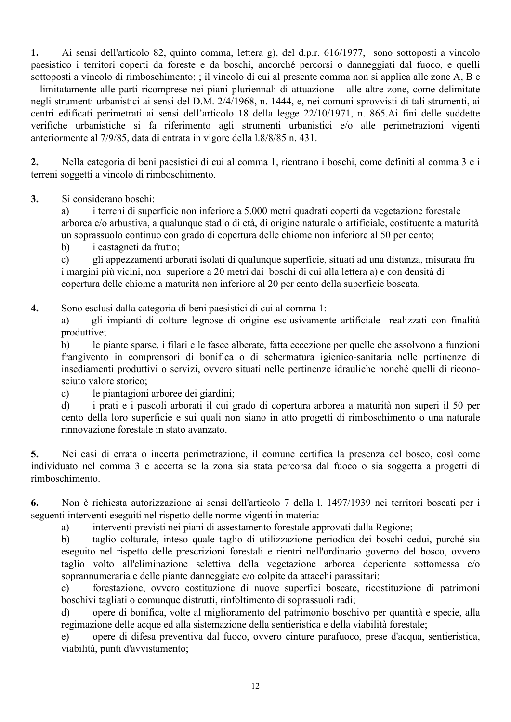Ai sensi dell'articolo 82, quinto comma, lettera g), del d.p.r. 616/1977, sono sottoposti a vincolo  $1.$ paesistico i territori coperti da foreste e da boschi, ancorché percorsi o danneggiati dal fuoco, e quelli sottoposti a vincolo di rimboschimento; ; il vincolo di cui al presente comma non si applica alle zone A, B e - limitatamente alle parti ricomprese nei piani pluriennali di attuazione – alle altre zone, come delimitate negli strumenti urbanistici ai sensi del D.M. 2/4/1968, n. 1444, e, nei comuni sprovvisti di tali strumenti, ai centri edificati perimetrati ai sensi dell'articolo 18 della legge 22/10/1971, n. 865. Ai fini delle suddette verifiche urbanistiche si fa riferimento agli strumenti urbanistici e/o alle perimetrazioni vigenti anteriormente al 7/9/85, data di entrata in vigore della 1.8/8/85 n. 431.

 $2.$ Nella categoria di beni paesistici di cui al comma 1, rientrano i boschi, come definiti al comma 3 e i terreni soggetti a vincolo di rimboschimento.

 $3<sub>1</sub>$ Si considerano boschi:

i terreni di superficie non inferiore a 5.000 metri quadrati coperti da vegetazione forestale  $a)$ arborea e/o arbustiva, a qualunque stadio di età, di origine naturale o artificiale, costituente a maturità un soprassuolo continuo con grado di copertura delle chiome non inferiore al 50 per cento;

 $b)$ i castagneti da frutto;

 $c)$ gli appezzamenti arborati isolati di qualunque superficie, situati ad una distanza, misurata fra i margini più vicini, non superiore a 20 metri dai boschi di cui alla lettera a) e con densità di copertura delle chiome a maturità non inferiore al 20 per cento della superficie boscata.

 $\overline{4}$ . Sono esclusi dalla categoria di beni paesistici di cui al comma 1:

gli impianti di colture legnose di origine esclusivamente artificiale realizzati con finalità a) produttive:

 $b)$ le piante sparse, i filari e le fasce alberate, fatta eccezione per quelle che assolvono a funzioni frangivento in comprensori di bonifica o di schermatura igienico-sanitaria nelle pertinenze di insediamenti produttivi o servizi, ovvero situati nelle pertinenze idrauliche nonché quelli di riconosciuto valore storico:

le piantagioni arboree dei giardini;  $c)$ 

 $\mathbf{d}$ i prati e i pascoli arborati il cui grado di copertura arborea a maturità non superi il 50 per cento della loro superficie e sui quali non siano in atto progetti di rimboschimento o una naturale rinnovazione forestale in stato avanzato.

5. Nei casi di errata o incerta perimetrazione, il comune certifica la presenza del bosco, così come individuato nel comma 3 e accerta se la zona sia stata percorsa dal fuoco o sia soggetta a progetti di rimboschimento.

Non è richiesta autorizzazione ai sensi dell'articolo 7 della 1. 1497/1939 nei territori boscati per i 6. seguenti interventi eseguiti nel rispetto delle norme vigenti in materia:

 $a)$ interventi previsti nei piani di assestamento forestale approvati dalla Regione;

taglio colturale, inteso quale taglio di utilizzazione periodica dei boschi cedui, purché sia  $\mathbf{b}$ eseguito nel rispetto delle prescrizioni forestali e rientri nell'ordinario governo del bosco, ovvero taglio volto all'eliminazione selettiva della vegetazione arborea deperiente sottomessa e/o soprannumeraria e delle piante danneggiate e/o colpite da attacchi parassitari;

forestazione, ovvero costituzione di nuove superfici boscate, ricostituzione di patrimoni  $\mathbf{c}$ ) boschivi tagliati o comunque distrutti, rinfoltimento di soprassuoli radi;

opere di bonifica, volte al miglioramento del patrimonio boschivo per quantità e specie, alla  $\mathbf{d}$ regimazione delle acque ed alla sistemazione della sentieristica e della viabilità forestale:

opere di difesa preventiva dal fuoco, ovvero cinture parafuoco, prese d'acqua, sentieristica,  $e)$ viabilità, punti d'avvistamento;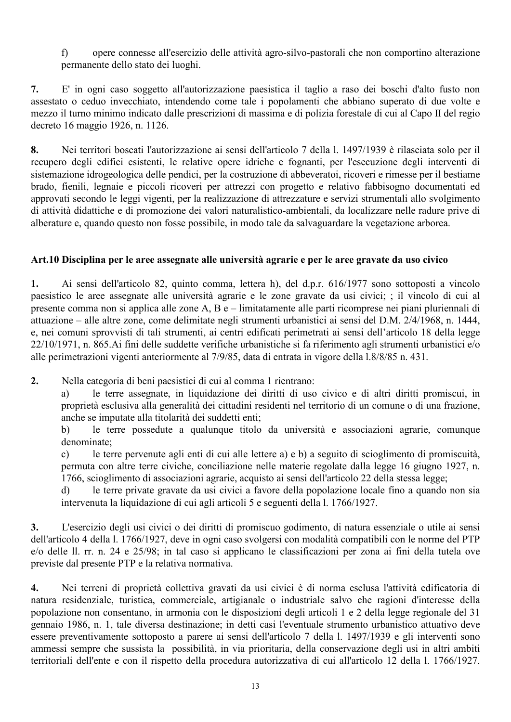$\mathbf{f}$ opere connesse all'esercizio delle attività agro-silvo-pastorali che non comportino alterazione permanente dello stato dei luoghi.

E' in ogni caso soggetto all'autorizzazione paesistica il taglio a raso dei boschi d'alto fusto non 7. assestato o ceduo invecchiato, intendendo come tale i popolamenti che abbiano superato di due volte e mezzo il turno minimo indicato dalle prescrizioni di massima e di polizia forestale di cui al Capo II del regio decreto 16 maggio 1926, n. 1126.

Nei territori boscati l'autorizzazione ai sensi dell'articolo 7 della 1. 1497/1939 è rilasciata solo per il 8. recupero degli edifici esistenti, le relative opere idriche e fognanti, per l'esecuzione degli interventi di sistemazione idrogeologica delle pendici, per la costruzione di abbeveratoi, ricoveri e rimesse per il bestiame brado, fienili, legnaie e piccoli ricoveri per attrezzi con progetto e relativo fabbisogno documentati ed approvati secondo le leggi vigenti, per la realizzazione di attrezzature e servizi strumentali allo svolgimento di attività didattiche e di promozione dei valori naturalistico-ambientali, da localizzare nelle radure prive di alberature e, quando questo non fosse possibile, in modo tale da salvaguardare la vegetazione arborea.

# Art.10 Disciplina per le aree assegnate alle università agrarie e per le aree gravate da uso civico

Ai sensi dell'articolo 82, quinto comma, lettera h), del d.p.r. 616/1977 sono sottoposti a vincolo 1. paesistico le aree assegnate alle università agrarie e le zone gravate da usi civici: : il vincolo di cui al presente comma non si applica alle zone A, B e – limitatamente alle parti ricomprese nei piani pluriennali di attuazione – alle altre zone, come delimitate negli strumenti urbanistici ai sensi del D.M. 2/4/1968, n. 1444, e, nei comuni sprovvisti di tali strumenti, ai centri edificati perimetrati ai sensi dell'articolo 18 della legge 22/10/1971, n. 865. Ai fini delle suddette verifiche urbanistiche si fa riferimento agli strumenti urbanistici e/o alle perimetrazioni vigenti anteriormente al 7/9/85, data di entrata in vigore della 1.8/8/85 n. 431.

 $2.$ Nella categoria di beni paesistici di cui al comma 1 rientrano:

le terre assegnate, in liquidazione dei diritti di uso civico e di altri diritti promiscui, in a) proprietà esclusiva alla generalità dei cittadini residenti nel territorio di un comune o di una frazione, anche se imputate alla titolarità dei suddetti enti;

le terre possedute a qualunque titolo da università e associazioni agrarie, comunque  $b)$ denominate:

le terre pervenute agli enti di cui alle lettere a) e b) a seguito di scioglimento di promiscuità,  $\mathbf{c}$ ) permuta con altre terre civiche, conciliazione nelle materie regolate dalla legge 16 giugno 1927, n. 1766, scioglimento di associazioni agrarie, acquisto ai sensi dell'articolo 22 della stessa legge;

le terre private gravate da usi civici a favore della popolazione locale fino a quando non sia  $\mathbf{d}$ intervenuta la liquidazione di cui agli articoli 5 e seguenti della l. 1766/1927.

 $3.$ L'esercizio degli usi civici o dei diritti di promiscuo godimento, di natura essenziale o utile ai sensi dell'articolo 4 della 1, 1766/1927, deve in ogni caso svolgersi con modalità compatibili con le norme del PTP e/o delle ll. rr. n. 24 e 25/98; in tal caso si applicano le classificazioni per zona ai fini della tutela ove previste dal presente PTP e la relativa normativa.

Nei terreni di proprietà collettiva gravati da usi civici è di norma esclusa l'attività edificatoria di  $\boldsymbol{4}$ . natura residenziale, turistica, commerciale, artigianale o industriale salvo che ragioni d'interesse della popolazione non consentano, in armonia con le disposizioni degli articoli 1 e 2 della legge regionale del 31 gennaio 1986, n. 1, tale diversa destinazione; in detti casi l'eventuale strumento urbanistico attuativo deve essere preventivamente sottoposto a parere ai sensi dell'articolo 7 della l. 1497/1939 e gli interventi sono ammessi sempre che sussista la possibilità, in via prioritaria, della conservazione degli usi in altri ambiti territoriali dell'ente e con il rispetto della procedura autorizzativa di cui all'articolo 12 della l. 1766/1927.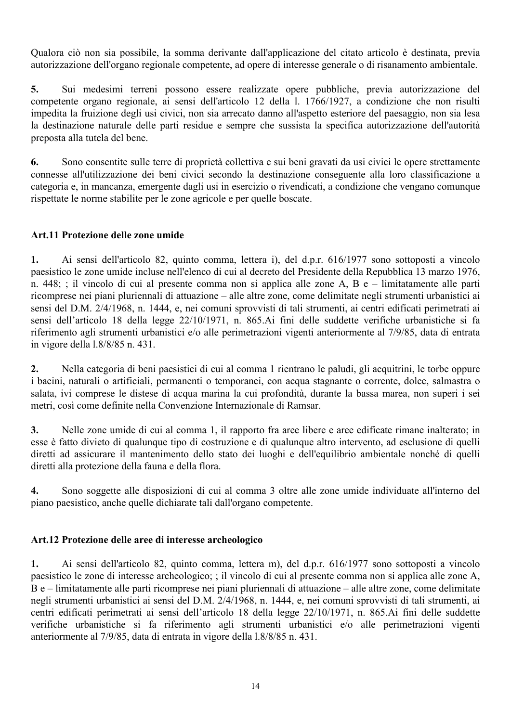Qualora ciò non sia possibile, la somma derivante dall'applicazione del citato articolo è destinata, previa autorizzazione dell'organo regionale competente, ad opere di interesse generale o di risanamento ambientale.

5. Sui medesimi terreni possono essere realizzate opere pubbliche, previa autorizzazione del competente organo regionale, ai sensi dell'articolo 12 della 1. 1766/1927, a condizione che non risulti impedita la fruizione degli usi civici, non sia arrecato danno all'aspetto esteriore del paesaggio, non sia lesa la destinazione naturale delle parti residue e sempre che sussista la specifica autorizzazione dell'autorità preposta alla tutela del bene.

Sono consentite sulle terre di proprietà collettiva e sui beni gravati da usi civici le opere strettamente 6. connesse all'utilizzazione dei beni civici secondo la destinazione conseguente alla loro classificazione a categoria e, in mancanza, emergente dagli usi in esercizio o rivendicati, a condizione che vengano comunque rispettate le norme stabilite per le zone agricole e per quelle boscate.

# Art.11 Protezione delle zone umide

Ai sensi dell'articolo 82, quinto comma, lettera i), del d.p.r. 616/1977 sono sottoposti a vincolo  $\mathbf{1}$ . paesistico le zone umide incluse nell'elenco di cui al decreto del Presidente della Repubblica 13 marzo 1976, n. 448; ; il vincolo di cui al presente comma non si applica alle zone A, B e – limitatamente alle parti ricomprese nei piani pluriennali di attuazione – alle altre zone, come delimitate negli strumenti urbanistici ai sensi del D.M. 2/4/1968, n. 1444, e, nei comuni sprovvisti di tali strumenti, ai centri edificati perimetrati ai sensi dell'articolo 18 della legge 22/10/1971, n. 865. Ai fini delle suddette verifiche urbanistiche si fa riferimento agli strumenti urbanistici e/o alle perimetrazioni vigenti anteriormente al 7/9/85, data di entrata in vigore della 1.8/8/85 n. 431.

 $2.$ Nella categoria di beni paesistici di cui al comma 1 rientrano le paludi, gli acquitrini, le torbe oppure i bacini, naturali o artificiali, permanenti o temporanei, con acqua stagnante o corrente, dolce, salmastra o salata, ivi comprese le distese di acqua marina la cui profondità, durante la bassa marea, non superi i sei metri, così come definite nella Convenzione Internazionale di Ramsar.

Nelle zone umide di cui al comma 1, il rapporto fra aree libere e aree edificate rimane inalterato; in  $3.$ esse è fatto divieto di qualunque tipo di costruzione e di qualunque altro intervento, ad esclusione di quelli diretti ad assicurare il mantenimento dello stato dei luoghi e dell'equilibrio ambientale nonché di quelli diretti alla protezione della fauna e della flora.

 $\overline{4}$ . Sono soggette alle disposizioni di cui al comma 3 oltre alle zone umide individuate all'interno del piano paesistico, anche quelle dichiarate tali dall'organo competente.

## Art.12 Protezione delle aree di interesse archeologico

 $\mathbf{1}$ . Ai sensi dell'articolo 82, quinto comma, lettera m), del d.p.r. 616/1977 sono sottoposti a vincolo paesistico le zone di interesse archeologico; ; il vincolo di cui al presente comma non si applica alle zone A, B e – limitatamente alle parti ricomprese nei piani pluriennali di attuazione – alle altre zone, come delimitate negli strumenti urbanistici ai sensi del D.M. 2/4/1968, n. 1444, e, nei comuni sprovvisti di tali strumenti, ai centri edificati perimetrati ai sensi dell'articolo 18 della legge 22/10/1971, n. 865.Ai fini delle suddette verifiche urbanistiche si fa riferimento agli strumenti urbanistici e/o alle perimetrazioni vigenti anteriormente al 7/9/85, data di entrata in vigore della 1.8/8/85 n. 431.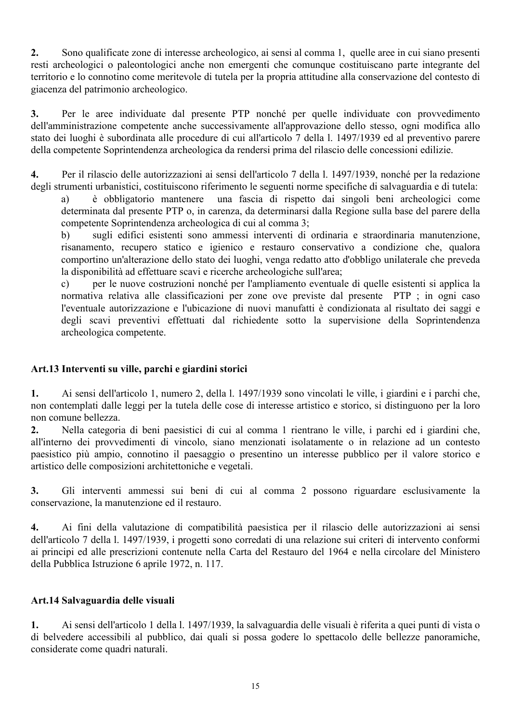Sono qualificate zone di interesse archeologico, ai sensi al comma 1, quelle aree in cui siano presenti  $2.$ resti archeologici o paleontologici anche non emergenti che comunque costituiscano parte integrante del territorio e lo connotino come meritevole di tutela per la propria attitudine alla conservazione del contesto di giacenza del patrimonio archeologico.

 $3.$ Per le aree individuate dal presente PTP nonché per quelle individuate con provvedimento dell'amministrazione competente anche successivamente all'approvazione dello stesso, ogni modifica allo stato dei luoghi è subordinata alle procedure di cui all'articolo 7 della 1. 1497/1939 ed al preventivo parere della competente Soprintendenza archeologica da rendersi prima del rilascio delle concessioni edilizie.

 $\overline{4}$ . Per il rilascio delle autorizzazioni ai sensi dell'articolo 7 della 1. 1497/1939, nonché per la redazione degli strumenti urbanistici, costituiscono riferimento le seguenti norme specifiche di salvaguardia e di tutela:

una fascia di rispetto dai singoli beni archeologici come è obbligatorio mantenere a) determinata dal presente PTP o, in carenza, da determinarsi dalla Regione sulla base del parere della competente Soprintendenza archeologica di cui al comma 3:

 $b)$ sugli edifici esistenti sono ammessi interventi di ordinaria e straordinaria manutenzione, risanamento, recupero statico e igienico e restauro conservativo a condizione che, qualora comportino un'alterazione dello stato dei luoghi, venga redatto atto d'obbligo unilaterale che preveda la disponibilità ad effettuare scavi e ricerche archeologiche sull'area;

per le nuove costruzioni nonché per l'ampliamento eventuale di quelle esistenti si applica la  $\mathbf{c}$ normativa relativa alle classificazioni per zone ove previste dal presente PTP : in ogni caso l'eventuale autorizzazione e l'ubicazione di nuovi manufatti è condizionata al risultato dei saggi e degli scavi preventivi effettuati dal richiedente sotto la supervisione della Soprintendenza archeologica competente.

## Art.13 Interventi su ville, parchi e giardini storici

Ai sensi dell'articolo 1, numero 2, della 1. 1497/1939 sono vincolati le ville, i giardini e i parchi che,  $\mathbf{1}$ . non contemplati dalle leggi per la tutela delle cose di interesse artistico e storico, si distinguono per la loro non comune bellezza.

 $2.$ Nella categoria di beni paesistici di cui al comma 1 rientrano le ville, i parchi ed i giardini che, all'interno dei provvedimenti di vincolo, siano menzionati isolatamente o in relazione ad un contesto paesistico più ampio, connotino il paesaggio o presentino un interesse pubblico per il valore storico e artistico delle composizioni architettoniche e vegetali.

 $3.$ Gli interventi ammessi sui beni di cui al comma 2 possono riguardare esclusivamente la conservazione, la manutenzione ed il restauro.

4. Ai fini della valutazione di compatibilità paesistica per il rilascio delle autorizzazioni ai sensi dell'articolo 7 della 1. 1497/1939, i progetti sono corredati di una relazione sui criteri di intervento conformi ai principi ed alle prescrizioni contenute nella Carta del Restauro del 1964 e nella circolare del Ministero della Pubblica Istruzione 6 aprile 1972, n. 117.

## Art.14 Salvaguardia delle visuali

Ai sensi dell'articolo 1 della l. 1497/1939, la salvaguardia delle visuali è riferita a quei punti di vista o  $1.$ di belvedere accessibili al pubblico, dai quali si possa godere lo spettacolo delle bellezze panoramiche, considerate come quadri naturali.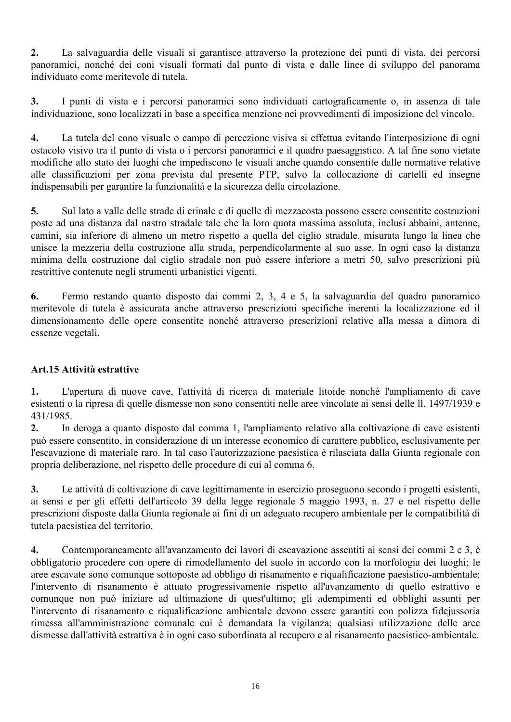$2.$ La salvaguardia delle visuali si garantisce attraverso la protezione dei punti di vista, dei percorsi panoramici, nonché dei coni visuali formati dal punto di vista e dalle linee di sviluppo del panorama individuato come meritevole di tutela.

I punti di vista e i percorsi panoramici sono individuati cartograficamente o, in assenza di tale  $\mathbf{3}$ . individuazione, sono localizzati in base a specifica menzione nei provvedimenti di imposizione del vincolo.

La tutela del cono visuale o campo di percezione visiva si effettua evitando l'interposizione di ogni  $\overline{4}$ . ostacolo visivo tra il punto di vista o i percorsi panoramici e il quadro paesaggistico. A tal fine sono vietate modifiche allo stato dei luoghi che impediscono le visuali anche quando consentite dalle normative relative alle classificazioni per zona prevista dal presente PTP, salvo la collocazione di cartelli ed insegne indispensabili per garantire la funzionalità e la sicurezza della circolazione.

5. Sul lato a valle delle strade di crinale e di quelle di mezzacosta possono essere consentite costruzioni poste ad una distanza dal nastro stradale tale che la loro quota massima assoluta, inclusi abbaini, antenne, camini, sia inferiore di almeno un metro rispetto a quella del ciglio stradale, misurata lungo la linea che unisce la mezzeria della costruzione alla strada, perpendicolarmente al suo asse. In ogni caso la distanza minima della costruzione dal ciglio stradale non può essere inferiore a metri 50, salvo prescrizioni più restrittive contenute negli strumenti urbanistici vigenti.

6. Fermo restando quanto disposto dai commi 2, 3, 4 e 5, la salvaguardia del quadro panoramico meritevole di tutela è assicurata anche attraverso prescrizioni specifiche inerenti la localizzazione ed il dimensionamento delle opere consentite nonché attraverso prescrizioni relative alla messa a dimora di essenze vegetali.

# Art.15 Attività estrattive

L'apertura di nuove cave. l'attività di ricerca di materiale litoide nonché l'ampliamento di cave  $\mathbf{1}$ . esistenti o la ripresa di quelle dismesse non sono consentiti nelle aree vincolate ai sensi delle ll. 1497/1939 e 431/1985.

 $2.$ In deroga a quanto disposto dal comma 1, l'ampliamento relativo alla coltivazione di cave esistenti può essere consentito, in considerazione di un interesse economico di carattere pubblico, esclusivamente per l'escavazione di materiale raro. In tal caso l'autorizzazione paesistica è rilasciata dalla Giunta regionale con propria deliberazione, nel rispetto delle procedure di cui al comma 6.

 $3.$ Le attività di coltivazione di cave legittimamente in esercizio proseguono secondo i progetti esistenti, ai sensi e per gli effetti dell'articolo 39 della legge regionale 5 maggio 1993, n. 27 e nel rispetto delle prescrizioni disposte dalla Giunta regionale ai fini di un adeguato recupero ambientale per le compatibilità di tutela paesistica del territorio.

 $\overline{4}$ . Contemporaneamente all'avanzamento dei lavori di escavazione assentiti ai sensi dei commi 2 e 3, è obbligatorio procedere con opere di rimodellamento del suolo in accordo con la morfologia dei luoghi; le aree escavate sono comunque sottoposte ad obbligo di risanamento e riqualificazione paesistico-ambientale; l'intervento di risanamento è attuato progressivamente rispetto all'avanzamento di quello estrattivo e comunque non può iniziare ad ultimazione di quest'ultimo: gli adempimenti ed obblighi assunti per l'intervento di risanamento e riqualificazione ambientale devono essere garantiti con polizza fidejussoria rimessa all'amministrazione comunale cui è demandata la vigilanza; qualsiasi utilizzazione delle aree dismesse dall'attività estrattiva è in ogni caso subordinata al recupero e al risanamento paesistico-ambientale.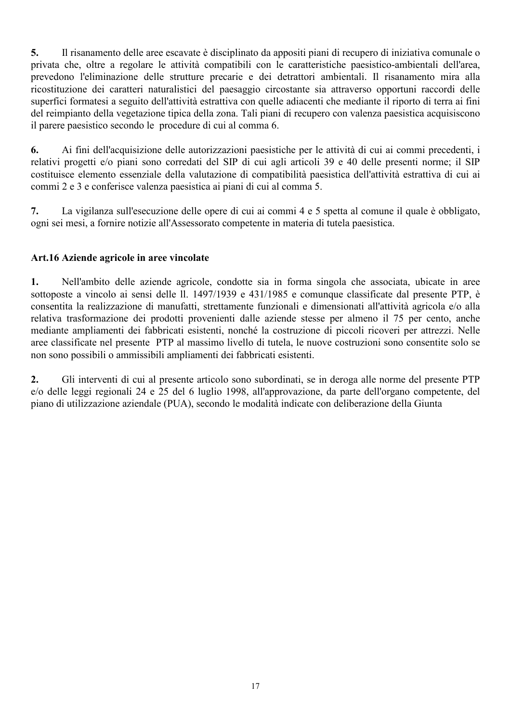$5.$ Il risanamento delle aree escavate è disciplinato da appositi piani di recupero di iniziativa comunale o privata che, oltre a regolare le attività compatibili con le caratteristiche paesistico-ambientali dell'area, prevedono l'eliminazione delle strutture precarie e dei detrattori ambientali. Il risanamento mira alla ricostituzione dei caratteri naturalistici del paesaggio circostante sia attraverso opportuni raccordi delle superfici formatesi a seguito dell'attività estrattiva con quelle adiacenti che mediante il riporto di terra ai fini del reimpianto della vegetazione tipica della zona. Tali piani di recupero con valenza paesistica acquisiscono il parere paesistico secondo le procedure di cui al comma 6.

Ai fini dell'acquisizione delle autorizzazioni paesistiche per le attività di cui ai commi precedenti, i 6. relativi progetti e/o piani sono corredati del SIP di cui agli articoli 39 e 40 delle presenti norme; il SIP costituisce elemento essenziale della valutazione di compatibilità paesistica dell'attività estrattiva di cui ai commi 2 e 3 e conferisce valenza paesistica ai piani di cui al comma 5.

La vigilanza sull'esecuzione delle opere di cui ai commi 4 e 5 spetta al comune il quale è obbligato, 7. ogni sei mesi, a fornire notizie all'Assessorato competente in materia di tutela paesistica.

# Art.16 Aziende agricole in aree vincolate

Nell'ambito delle aziende agricole, condotte sia in forma singola che associata, ubicate in aree 1. sottoposte a vincolo ai sensi delle ll. 1497/1939 e 431/1985 e comunque classificate dal presente PTP, è consentita la realizzazione di manufatti, strettamente funzionali e dimensionati all'attività agricola e/o alla relativa trasformazione dei prodotti provenienti dalle aziende stesse per almeno il 75 per cento, anche mediante ampliamenti dei fabbricati esistenti, nonché la costruzione di piccoli ricoveri per attrezzi. Nelle aree classificate nel presente PTP al massimo livello di tutela, le nuove costruzioni sono consentite solo se non sono possibili o ammissibili ampliamenti dei fabbricati esistenti.

 $2.$ Gli interventi di cui al presente articolo sono subordinati, se in deroga alle norme del presente PTP e/o delle leggi regionali 24 e 25 del 6 luglio 1998, all'approvazione, da parte dell'organo competente, del piano di utilizzazione aziendale (PUA), secondo le modalità indicate con deliberazione della Giunta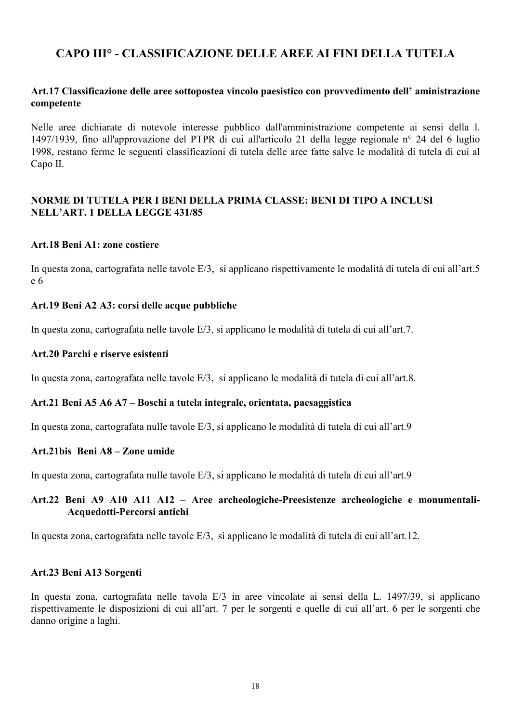# CAPO III° - CLASSIFICAZIONE DELLE AREE AI FINI DELLA TUTELA

#### Art.17 Classificazione delle aree sottopostea vincolo paesistico con provvedimento dell'aministrazione competente

Nelle aree dichiarate di notevole interesse pubblico dall'amministrazione competente ai sensi della 1. 1497/1939, fino all'approvazione del PTPR di cui all'articolo 21 della legge regionale n° 24 del 6 luglio 1998, restano ferme le seguenti classificazioni di tutela delle aree fatte salve le modalità di tutela di cui al Capo II.

#### NORME DI TUTELA PER I BENI DELLA PRIMA CLASSE: BENI DI TIPO A INCLUSI NELL'ART. 1 DELLA LEGGE 431/85

#### Art.18 Beni A1: zone costiere

In questa zona, cartografata nelle tavole E/3, si applicano rispettivamente le modalità di tutela di cui all'art.5  $e<sub>6</sub>$ 

#### Art.19 Beni A2 A3: corsi delle acque pubbliche

In questa zona, cartografata nelle tavole E/3, si applicano le modalità di tutela di cui all'art.7.

#### Art.20 Parchi e riserve esistenti

In questa zona, cartografata nelle tavole E/3, si applicano le modalità di tutela di cui all'art.8.

#### Art.21 Beni A5 A6 A7 – Boschi a tutela integrale, orientata, paesaggistica

In questa zona, cartografata nulle tavole E/3, si applicano le modalità di tutela di cui all'art.9

#### Art.21bis Beni A8 - Zone umide

In questa zona, cartografata nulle tavole E/3, si applicano le modalità di tutela di cui all'art.9

## Art.22 Beni A9 A10 A11 A12 - Aree archeologiche-Preesistenze archeologiche e monumentali-Acquedotti-Percorsi antichi

In questa zona, cartografata nelle tavole E/3, si applicano le modalità di tutela di cui all'art.12.

#### Art.23 Beni A13 Sorgenti

In questa zona, cartografata nelle tavola E/3 in aree vincolate ai sensi della L. 1497/39, si applicano rispettivamente le disposizioni di cui all'art. 7 per le sorgenti e quelle di cui all'art. 6 per le sorgenti che danno origine a laghi.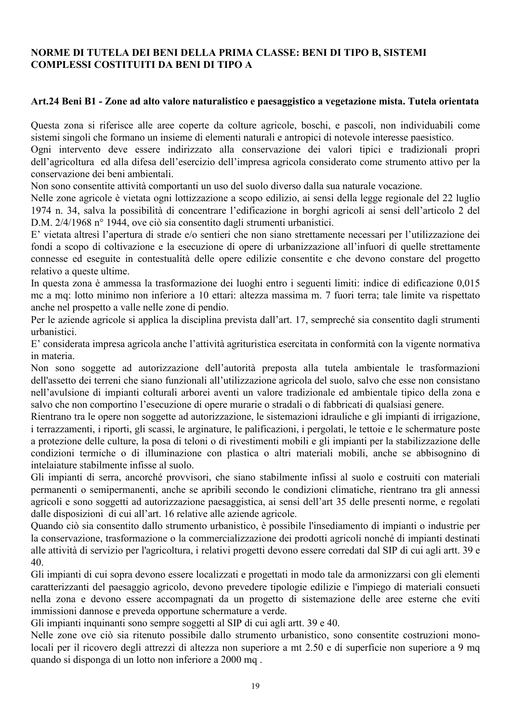## NORME DI TUTELA DEI BENI DELLA PRIMA CLASSE: BENI DI TIPO B. SISTEMI **COMPLESSI COSTITUITI DA BENI DI TIPO A**

#### Art.24 Beni B1 - Zone ad alto valore naturalistico e paesaggistico a vegetazione mista. Tutela orientata

Questa zona si riferisce alle aree coperte da colture agricole, boschi, e pascoli, non individuabili come sistemi singoli che formano un insieme di elementi naturali e antropici di notevole interesse paesistico.

Ogni intervento deve essere indirizzato alla conservazione dei valori tipici e tradizionali propri dell'agricoltura ed alla difesa dell'esercizio dell'impresa agricola considerato come strumento attivo per la conservazione dei beni ambientali.

Non sono consentite attività comportanti un uso del suolo diverso dalla sua naturale vocazione.

Nelle zone agricole è vietata ogni lottizzazione a scopo edilizio, ai sensi della legge regionale del 22 luglio 1974 n. 34, salva la possibilità di concentrare l'edificazione in borghi agricoli ai sensi dell'articolo 2 del D.M. 2/4/1968 n° 1944, ove ciò sia consentito dagli strumenti urbanistici.

E' vietata altresì l'apertura di strade e/o sentieri che non siano strettamente necessari per l'utilizzazione dei fondi a scopo di coltivazione e la esecuzione di opere di urbanizzazione all'infuori di quelle strettamente connesse ed eseguite in contestualità delle opere edilizie consentite e che devono constare del progetto relativo a queste ultime.

In questa zona è ammessa la trasformazione dei luoghi entro i seguenti limiti: indice di edificazione 0,015 me a mq: lotto minimo non inferiore a 10 ettari: altezza massima m. 7 fuori terra; tale limite va rispettato anche nel prospetto a valle nelle zone di pendio.

Per le aziende agricole si applica la disciplina prevista dall'art. 17, sempreché sia consentito dagli strumenti urbanistici

E' considerata impresa agricola anche l'attività agrituristica esercitata in conformità con la vigente normativa in materia.

Non sono soggette ad autorizzazione dell'autorità preposta alla tutela ambientale le trasformazioni dell'assetto dei terreni che siano funzionali all'utilizzazione agricola del suolo, salvo che esse non consistano nell'avulsione di impianti colturali arborei aventi un valore tradizionale ed ambientale tipico della zona e salvo che non comportino l'esecuzione di opere murarie o stradali o di fabbricati di qualsiasi genere.

Rientrano tra le opere non soggette ad autorizzazione, le sistemazioni idrauliche e gli impianti di irrigazione, i terrazzamenti, i riporti, gli scassi, le arginature, le palificazioni, i pergolati, le tettoie e le schermature poste a protezione delle culture, la posa di teloni o di rivestimenti mobili e gli impianti per la stabilizzazione delle condizioni termiche o di illuminazione con plastica o altri materiali mobili, anche se abbisognino di intelaiature stabilmente infisse al suolo.

Gli impianti di serra, ancorché provvisori, che siano stabilmente infissi al suolo e costruiti con materiali permanenti o semipermanenti, anche se apribili secondo le condizioni climatiche, rientrano tra gli annessi agricoli e sono soggetti ad autorizzazione paesaggistica, ai sensi dell'art 35 delle presenti norme, e regolati dalle disposizioni di cui all'art. 16 relative alle aziende agricole.

Quando ciò sia consentito dallo strumento urbanistico, è possibile l'insediamento di impianti o industrie per la conservazione, trasformazione o la commercializzazione dei prodotti agricoli nonché di impianti destinati alle attività di servizio per l'agricoltura, i relativi progetti devono essere corredati dal SIP di cui agli artt. 39 e 40.

Gli impianti di cui sopra devono essere localizzati e progettati in modo tale da armonizzarsi con gli elementi caratterizzanti del paesaggio agricolo, devono prevedere tipologie edilizie e l'impiego di materiali consueti nella zona e devono essere accompagnati da un progetto di sistemazione delle aree esterne che eviti immissioni dannose e preveda opportune schermature a verde.

Gli impianti inquinanti sono sempre soggetti al SIP di cui agli artt. 39 e 40.

Nelle zone ove ciò sia ritenuto possibile dallo strumento urbanistico, sono consentite costruzioni monolocali per il ricovero degli attrezzi di altezza non superiore a mt 2.50 e di superficie non superiore a 9 mg quando si disponga di un lotto non inferiore a 2000 mq.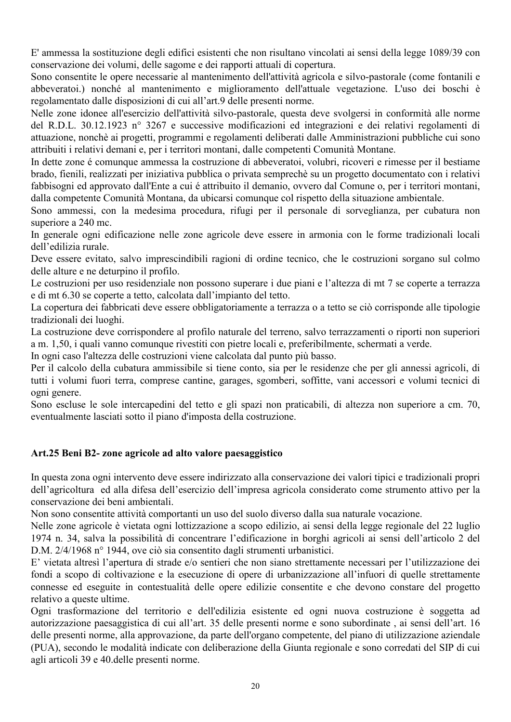E' ammessa la sostituzione degli edifici esistenti che non risultano vincolati ai sensi della legge 1089/39 con conservazione dei volumi, delle sagome e dei rapporti attuali di copertura.

Sono consentite le opere necessarie al mantenimento dell'attività agricola e silvo-pastorale (come fontanili e abbeveratoi.) nonché al mantenimento e miglioramento dell'attuale vegetazione. L'uso dei boschi è regolamentato dalle disposizioni di cui all'art.9 delle presenti norme.

Nelle zone idonee all'esercizio dell'attività silvo-pastorale, questa deve svolgersi in conformità alle norme del R.D.L. 30.12.1923 nº 3267 e successive modificazioni ed integrazioni e dei relativi regolamenti di attuazione, nonchè ai progetti, programmi e regolamenti deliberati dalle Amministrazioni pubbliche cui sono attribuiti i relativi demani e, per i territori montani, dalle competenti Comunità Montane.

In dette zone é comunque ammessa la costruzione di abbeveratoi, volubri, ricoveri e rimesse per il bestiame brado, fienili, realizzati per iniziativa pubblica o privata semprechè su un progetto documentato con i relativi fabbisogni ed approvato dall'Ente a cui é attribuito il demanio, ovvero dal Comune o, per i territori montani, dalla competente Comunità Montana, da ubicarsi comunque col rispetto della situazione ambientale.

Sono ammessi, con la medesima procedura, rifugi per il personale di sorveglianza, per cubatura non superiore a 240 mc

In generale ogni edificazione nelle zone agricole deve essere in armonia con le forme tradizionali locali dell'edilizia rurale.

Deve essere evitato, salvo imprescindibili ragioni di ordine tecnico, che le costruzioni sorgano sul colmo delle alture e ne deturpino il profilo.

Le costruzioni per uso residenziale non possono superare i due piani e l'altezza di mt 7 se coperte a terrazza e di mt 6.30 se coperte a tetto, calcolata dall'impianto del tetto.

La copertura dei fabbricati deve essere obbligatoriamente a terrazza o a tetto se ciò corrisponde alle tipologie tradizionali dei luoghi.

La costruzione deve corrispondere al profilo naturale del terreno, salvo terrazzamenti o riporti non superiori a m. 1,50, i quali vanno comunque rivestiti con pietre locali e, preferibilmente, schermati a verde.

In ogni caso l'altezza delle costruzioni viene calcolata dal punto più basso.

Per il calcolo della cubatura ammissibile si tiene conto, sia per le residenze che per gli annessi agricoli, di tutti i volumi fuori terra, comprese cantine, garages, sgomberi, soffitte, vani accessori e volumi tecnici di ogni genere.

Sono escluse le sole intercapedini del tetto e gli spazi non praticabili, di altezza non superiore a cm. 70, eventualmente lasciati sotto il piano d'imposta della costruzione.

# Art.25 Beni B2- zone agricole ad alto valore paesaggistico

In questa zona ogni intervento deve essere indirizzato alla conservazione dei valori tipici e tradizionali propri dell'agricoltura ed alla difesa dell'esercizio dell'impresa agricola considerato come strumento attivo per la conservazione dei beni ambientali.

Non sono consentite attività comportanti un uso del suolo diverso dalla sua naturale vocazione.

Nelle zone agricole è vietata ogni lottizzazione a scopo edilizio, ai sensi della legge regionale del 22 luglio 1974 n. 34, salva la possibilità di concentrare l'edificazione in borghi agricoli ai sensi dell'articolo 2 del D.M. 2/4/1968 n° 1944, ove ciò sia consentito dagli strumenti urbanistici.

E' vietata altresì l'apertura di strade e/o sentieri che non siano strettamente necessari per l'utilizzazione dei fondi a scopo di coltivazione e la esecuzione di opere di urbanizzazione all'infuori di quelle strettamente connesse ed eseguite in contestualità delle opere edilizie consentite e che devono constare del progetto relativo a queste ultime.

Ogni trasformazione del territorio e dell'edilizia esistente ed ogni nuova costruzione è soggetta ad autorizzazione paesaggistica di cui all'art. 35 delle presenti norme e sono subordinate, ai sensi dell'art. 16 delle presenti norme, alla approvazione, da parte dell'organo competente, del piano di utilizzazione aziendale (PUA), secondo le modalità indicate con deliberazione della Giunta regionale e sono corredati del SIP di cui agli articoli 39 e 40 delle presenti norme.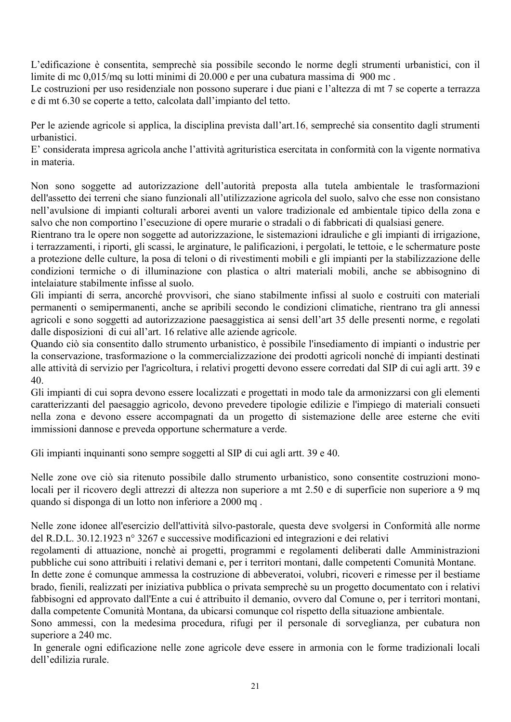L'edificazione è consentita, semprechè sia possibile secondo le norme degli strumenti urbanistici, con il limite di mc 0,015/mq su lotti minimi di 20.000 e per una cubatura massima di 900 mc.

Le costruzioni per uso residenziale non possono superare i due piani e l'altezza di mt 7 se coperte a terrazza e di mt 6.30 se coperte a tetto, calcolata dall'impianto del tetto.

Per le aziende agricole si applica, la disciplina prevista dall'art.16, sempreché sia consentito dagli strumenti urbanistici

E' considerata impresa agricola anche l'attività agrituristica esercitata in conformità con la vigente normativa in materia.

Non sono soggette ad autorizzazione dell'autorità preposta alla tutela ambientale le trasformazioni dell'assetto dei terreni che siano funzionali all'utilizzazione agricola del suolo, salvo che esse non consistano nell'avulsione di impianti colturali arborei aventi un valore tradizionale ed ambientale tipico della zona e salvo che non comportino l'esecuzione di opere murarie o stradali o di fabbricati di qualsiasi genere.

Rientrano tra le opere non soggette ad autorizzazione, le sistemazioni idrauliche e gli impianti di irrigazione, i terrazzamenti, i riporti, gli scassi, le arginature, le palificazioni, i pergolati, le tettoie, e le schermature poste a protezione delle culture, la posa di teloni o di rivestimenti mobili e gli impianti per la stabilizzazione delle condizioni termiche o di illuminazione con plastica o altri materiali mobili, anche se abbisognino di intelaiature stabilmente infisse al suolo.

Gli impianti di serra, ancorché provvisori, che siano stabilmente infissi al suolo e costruiti con materiali permanenti o semipermanenti, anche se apribili secondo le condizioni climatiche, rientrano tra gli annessi agricoli e sono soggetti ad autorizzazione paesaggistica ai sensi dell'art 35 delle presenti norme, e regolati dalle disposizioni di cui all'art. 16 relative alle aziende agricole.

Quando ciò sia consentito dallo strumento urbanistico, è possibile l'insediamento di impianti o industrie per la conservazione, trasformazione o la commercializzazione dei prodotti agricoli nonché di impianti destinati alle attività di servizio per l'agricoltura, i relativi progetti devono essere corredati dal SIP di cui agli artt. 39 e 40.

Gli impianti di cui sopra devono essere localizzati e progettati in modo tale da armonizzarsi con gli elementi caratterizzanti del paesaggio agricolo, devono prevedere tipologie edilizie e l'impiego di materiali consueti nella zona e devono essere accompagnati da un progetto di sistemazione delle aree esterne che eviti immissioni dannose e preveda opportune schermature a verde.

Gli impianti inquinanti sono sempre soggetti al SIP di cui agli artt. 39 e 40.

Nelle zone ove ciò sia ritenuto possibile dallo strumento urbanistico, sono consentite costruzioni monolocali per il ricovero degli attrezzi di altezza non superiore a mt 2.50 e di superficie non superiore a 9 mq quando si disponga di un lotto non inferiore a 2000 mq.

Nelle zone idonee all'esercizio dell'attività silvo-pastorale, questa deve svolgersi in Conformità alle norme del R.D.L. 30.12.1923 nº 3267 e successive modificazioni ed integrazioni e dei relativi

regolamenti di attuazione, nonchè ai progetti, programmi e regolamenti deliberati dalle Amministrazioni pubbliche cui sono attribuiti i relativi demani e, per i territori montani, dalle competenti Comunità Montane.

In dette zone é comunque ammessa la costruzione di abbeveratoi, volubri, ricoveri e rimesse per il bestiame brado, fienili, realizzati per iniziativa pubblica o privata semprechè su un progetto documentato con i relativi fabbisogni ed approvato dall'Ente a cui é attribuito il demanio, ovvero dal Comune o, per i territori montani, dalla competente Comunità Montana, da ubicarsi comunque col rispetto della situazione ambientale.

Sono ammessi, con la medesima procedura, rifugi per il personale di sorveglianza, per cubatura non superiore a 240 mc.

In generale ogni edificazione nelle zone agricole deve essere in armonia con le forme tradizionali locali dell'edilizia rurale.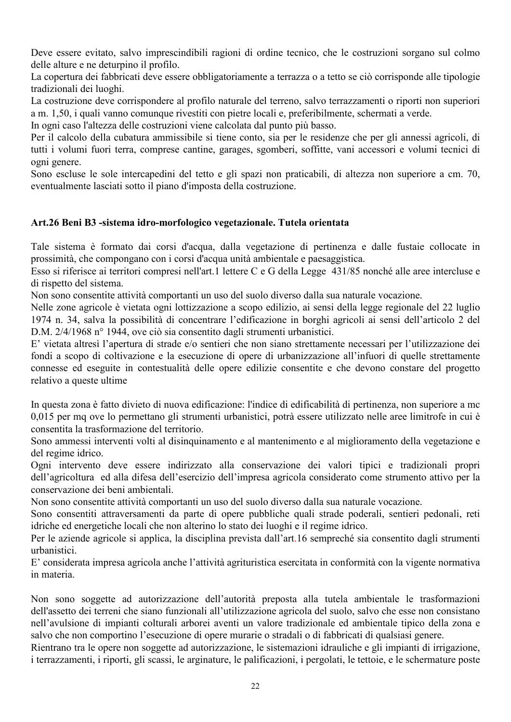Deve essere evitato, salvo imprescindibili ragioni di ordine tecnico, che le costruzioni sorgano sul colmo delle alture e ne deturpino il profilo.

La copertura dei fabbricati deve essere obbligatoriamente a terrazza o a tetto se ciò corrisponde alle tipologie tradizionali dei luoghi.

La costruzione deve corrispondere al profilo naturale del terreno, salvo terrazzamenti o riporti non superiori a m. 1,50, i quali vanno comunque rivestiti con pietre locali e, preferibilmente, schermati a verde.

In ogni caso l'altezza delle costruzioni viene calcolata dal punto più basso.

Per il calcolo della cubatura ammissibile si tiene conto, sia per le residenze che per gli annessi agricoli, di tutti i volumi fuori terra, comprese cantine, garages, sgomberi, soffitte, vani accessori e volumi tecnici di ogni genere.

Sono escluse le sole intercapedini del tetto e gli spazi non praticabili, di altezza non superiore a cm. 70, eventualmente lasciati sotto il piano d'imposta della costruzione.

# Art.26 Beni B3 -sistema idro-morfologico vegetazionale. Tutela orientata

Tale sistema è formato dai corsi d'acqua, dalla vegetazione di pertinenza e dalle fustaie collocate in prossimità, che compongano con i corsi d'acqua unità ambientale e paesaggistica.

Esso si riferisce ai territori compresi nell'art.1 lettere C e G della Legge 431/85 nonché alle aree intercluse e di rispetto del sistema.

Non sono consentite attività comportanti un uso del suolo diverso dalla sua naturale vocazione.

Nelle zone agricole è vietata ogni lottizzazione a scopo edilizio, ai sensi della legge regionale del 22 luglio 1974 n. 34, salva la possibilità di concentrare l'edificazione in borghi agricoli ai sensi dell'articolo 2 del D.M. 2/4/1968 n° 1944, ove ciò sia consentito dagli strumenti urbanistici.

E' vietata altresì l'apertura di strade e/o sentieri che non siano strettamente necessari per l'utilizzazione dei fondi a scopo di coltivazione e la esecuzione di opere di urbanizzazione all'infuori di quelle strettamente connesse ed eseguite in contestualità delle opere edilizie consentite e che devono constare del progetto relativo a queste ultime

In questa zona è fatto divieto di nuova edificazione: l'indice di edificabilità di pertinenza, non superiore a mo 0,015 per mq ove lo permettano gli strumenti urbanistici, potrà essere utilizzato nelle aree limitrofe in cui è consentita la trasformazione del territorio.

Sono ammessi interventi volti al disinguinamento e al mantenimento e al miglioramento della vegetazione e del regime idrico.

Ogni intervento deve essere indirizzato alla conservazione dei valori tipici e tradizionali propri dell'agricoltura ed alla difesa dell'esercizio dell'impresa agricola considerato come strumento attivo per la conservazione dei beni ambientali.

Non sono consentite attività comportanti un uso del suolo diverso dalla sua naturale vocazione.

Sono consentiti attraversamenti da parte di opere pubbliche quali strade poderali, sentieri pedonali, reti idriche ed energetiche locali che non alterino lo stato dei luoghi e il regime idrico.

Per le aziende agricole si applica, la disciplina prevista dall'art.16 sempreché sia consentito dagli strumenti urbanistici

E' considerata impresa agricola anche l'attività agrituristica esercitata in conformità con la vigente normativa in materia

Non sono soggette ad autorizzazione dell'autorità preposta alla tutela ambientale le trasformazioni dell'assetto dei terreni che siano funzionali all'utilizzazione agricola del suolo, salvo che esse non consistano nell'avulsione di impianti colturali arborei aventi un valore tradizionale ed ambientale tipico della zona e salvo che non comportino l'esecuzione di opere murarie o stradali o di fabbricati di qualsiasi genere.

Rientrano tra le opere non soggette ad autorizzazione, le sistemazioni idrauliche e gli impianti di irrigazione, i terrazzamenti, i riporti, gli scassi, le arginature, le palificazioni, i pergolati, le tettoie, e le schermature poste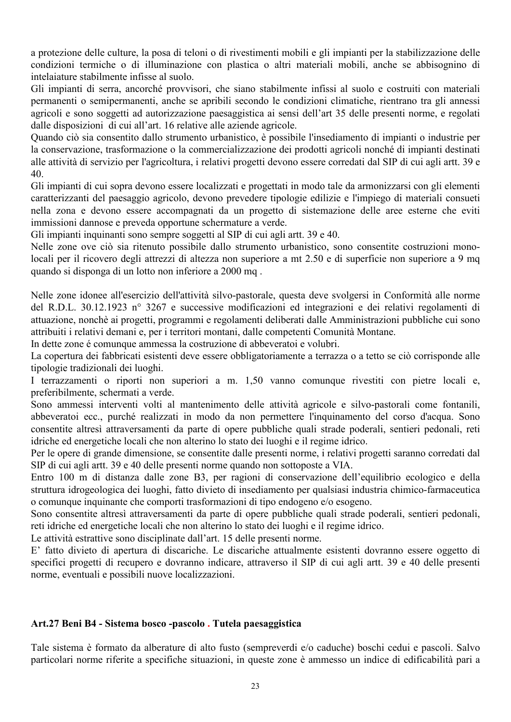a protezione delle culture, la posa di teloni o di rivestimenti mobili e gli impianti per la stabilizzazione delle condizioni termiche o di illuminazione con plastica o altri materiali mobili, anche se abbisognino di intelaiature stabilmente infisse al suolo.

Gli impianti di serra, ancorché provvisori, che siano stabilmente infissi al suolo e costruiti con materiali permanenti o semipermanenti, anche se apribili secondo le condizioni climatiche, rientrano tra gli annessi agricoli e sono soggetti ad autorizzazione paesaggistica ai sensi dell'art 35 delle presenti norme, e regolati dalle disposizioni di cui all'art. 16 relative alle aziende agricole.

Quando ciò sia consentito dallo strumento urbanistico, è possibile l'insediamento di impianti o industrie per la conservazione, trasformazione o la commercializzazione dei prodotti agricoli nonché di impianti destinati alle attività di servizio per l'agricoltura, i relativi progetti devono essere corredati dal SIP di cui agli artt. 39 e  $40.$ 

Gli impianti di cui sopra devono essere localizzati e progettati in modo tale da armonizzarsi con gli elementi caratterizzanti del paesaggio agricolo, devono prevedere tipologie edilizie e l'impiego di materiali consueti nella zona e devono essere accompagnati da un progetto di sistemazione delle aree esterne che eviti immissioni dannose e preveda opportune schermature a verde.

Gli impianti inquinanti sono sempre soggetti al SIP di cui agli artt. 39 e 40.

Nelle zone ove ciò sia ritenuto possibile dallo strumento urbanistico, sono consentite costruzioni monolocali per il ricovero degli attrezzi di altezza non superiore a mt 2.50 e di superficie non superiore a 9 mg quando si disponga di un lotto non inferiore a 2000 mg.

Nelle zone idonee all'esercizio dell'attività silvo-pastorale, questa deve svolgersi in Conformità alle norme del R.D.L. 30.12.1923 nº 3267 e successive modificazioni ed integrazioni e dei relativi regolamenti di attuazione, nonchè ai progetti, programmi e regolamenti deliberati dalle Amministrazioni pubbliche cui sono attribuiti i relativi demani e, per i territori montani, dalle competenti Comunità Montane.

In dette zone é comunque ammessa la costruzione di abbeveratoi e volubri.

La copertura dei fabbricati esistenti deve essere obbligatoriamente a terrazza o a tetto se ciò corrisponde alle tipologie tradizionali dei luoghi.

I terrazzamenti o riporti non superiori a m. 1.50 vanno comunque rivestiti con pietre locali e, preferibilmente, schermati a verde.

Sono ammessi interventi volti al mantenimento delle attività agricole e silvo-pastorali come fontanili, abbeveratoi ecc., purché realizzati in modo da non permettere l'inquinamento del corso d'acqua. Sono consentite altresì attraversamenti da parte di opere pubbliche quali strade poderali, sentieri pedonali, reti idriche ed energetiche locali che non alterino lo stato dei luoghi e il regime idrico.

Per le opere di grande dimensione, se consentite dalle presenti norme, i relativi progetti saranno corredati dal SIP di cui agli artt. 39 e 40 delle presenti norme quando non sottoposte a VIA.

Entro 100 m di distanza dalle zone B3, per ragioni di conservazione dell'equilibrio ecologico e della struttura idrogeologica dei luoghi, fatto divieto di insediamento per qualsiasi industria chimico-farmaceutica o comunque inquinante che comporti trasformazioni di tipo endogeno e/o esogeno.

Sono consentite altresì attraversamenti da parte di opere pubbliche quali strade poderali, sentieri pedonali, reti idriche ed energetiche locali che non alterino lo stato dei luoghi e il regime idrico.

Le attività estrattive sono disciplinate dall'art. 15 delle presenti norme.

E' fatto divieto di apertura di discariche. Le discariche attualmente esistenti dovranno essere oggetto di specifici progetti di recupero e dovranno indicare, attraverso il SIP di cui agli artt. 39 e 40 delle presenti norme, eventuali e possibili nuove localizzazioni.

## Art.27 Beni B4 - Sistema bosco -pascolo . Tutela paesaggistica

Tale sistema è formato da alberature di alto fusto (sempreverdi e/o caduche) boschi cedui e pascoli. Salvo particolari norme riferite a specifiche situazioni, in queste zone è ammesso un indice di edificabilità pari a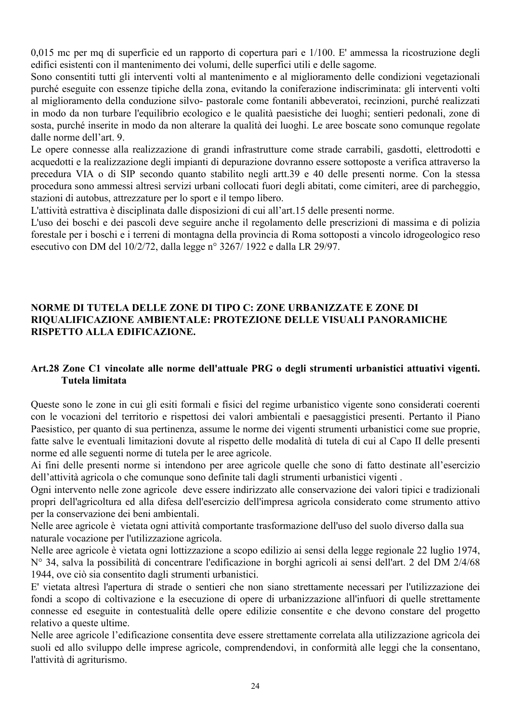0.015 mc per ma di superficie ed un rapporto di copertura pari e 1/100. E' ammessa la ricostruzione degli edifici esistenti con il mantenimento dei volumi, delle superfici utili e delle sagome.

Sono consentiti tutti gli interventi volti al mantenimento e al miglioramento delle condizioni vegetazionali purché eseguite con essenze tipiche della zona, evitando la coniferazione indiscriminata: gli interventi volti al miglioramento della conduzione silvo- pastorale come fontanili abbeveratoi, recinzioni, purché realizzati in modo da non turbare l'equilibrio ecologico e le qualità paesistiche dei luoghi; sentieri pedonali, zone di sosta, purché inserite in modo da non alterare la qualità dei luoghi. Le aree boscate sono comunque regolate dalle norme dell'art 9

Le opere connesse alla realizzazione di grandi infrastrutture come strade carrabili, gasdotti, elettrodotti e acquedotti e la realizzazione degli impianti di depurazione dovranno essere sottoposte a verifica attraverso la precedura VIA o di SIP secondo quanto stabilito negli artt.39 e 40 delle presenti norme. Con la stessa procedura sono ammessi altresì servizi urbani collocati fuori degli abitati, come cimiteri, aree di parcheggio, stazioni di autobus, attrezzature per lo sport e il tempo libero.

L'attività estrattiva è disciplinata dalle disposizioni di cui all'art.15 delle presenti norme.

L'uso dei boschi e dei pascoli deve seguire anche il regolamento delle prescrizioni di massima e di polizia forestale per i boschi e i terreni di montagna della provincia di Roma sottoposti a vincolo idrogeologico reso esecutivo con DM del 10/2/72, dalla legge nº 3267/1922 e dalla LR 29/97.

# NORME DI TUTELA DELLE ZONE DI TIPO C: ZONE URBANIZZATE E ZONE DI RIOUALIFICAZIONE AMBIENTALE: PROTEZIONE DELLE VISUALI PANORAMICHE RISPETTO ALLA EDIFICAZIONE.

# Art.28 Zone C1 vincolate alle norme dell'attuale PRG o degli strumenti urbanistici attuativi vigenti. Tutela limitata

Queste sono le zone in cui gli esiti formali e fisici del regime urbanistico vigente sono considerati coerenti con le vocazioni del territorio e rispettosi dei valori ambientali e paesaggistici presenti. Pertanto il Piano Paesistico, per quanto di sua pertinenza, assume le norme dei vigenti strumenti urbanistici come sue proprie, fatte salve le eventuali limitazioni dovute al rispetto delle modalità di tutela di cui al Capo II delle presenti norme ed alle seguenti norme di tutela per le aree agricole.

Ai fini delle presenti norme si intendono per aree agricole quelle che sono di fatto destinate all'esercizio dell'attività agricola o che comunque sono definite tali dagli strumenti urbanistici vigenti.

Ogni intervento nelle zone agricole deve essere indirizzato alle conservazione dei valori tipici e tradizionali propri dell'agricoltura ed alla difesa dell'esercizio dell'impresa agricola considerato come strumento attivo per la conservazione dei beni ambientali.

Nelle aree agricole è vietata ogni attività comportante trasformazione dell'uso del suolo diverso dalla sua naturale vocazione per l'utilizzazione agricola.

Nelle aree agricole è vietata ogni lottizzazione a scopo edilizio ai sensi della legge regionale 22 luglio 1974, N° 34, salva la possibilità di concentrare l'edificazione in borghi agricoli ai sensi dell'art. 2 del DM 2/4/68 1944, ove ciò sia consentito dagli strumenti urbanistici.

E' vietata altresì l'apertura di strade o sentieri che non siano strettamente necessari per l'utilizzazione dei fondi a scopo di coltivazione e la esecuzione di opere di urbanizzazione all'infuori di quelle strettamente connesse ed eseguite in contestualità delle opere edilizie consentite e che devono constare del progetto relativo a queste ultime.

Nelle aree agricole l'edificazione consentita deve essere strettamente correlata alla utilizzazione agricola dei suoli ed allo sviluppo delle imprese agricole, comprendendovi, in conformità alle leggi che la consentano. l'attività di agriturismo.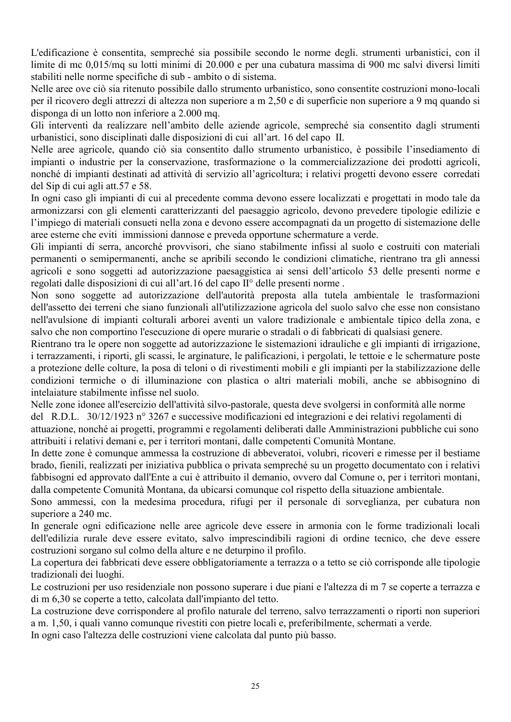L'edificazione è consentita, sempreché sia possibile secondo le norme degli, strumenti urbanistici, con il limite di mc 0.015/mq su lotti minimi di 20.000 e per una cubatura massima di 900 mc salvi diversi limiti stabiliti nelle norme specifiche di sub - ambito o di sistema.

Nelle aree ove ciò sia ritenuto possibile dallo strumento urbanistico, sono consentite costruzioni mono-locali per il ricovero degli attrezzi di altezza non superiore a m 2,50 e di superficie non superiore a 9 mq quando si disponga di un lotto non inferiore a 2.000 mq.

Gli interventi da realizzare nell'ambito delle aziende agricole, sempreché sia consentito dagli strumenti urbanistici, sono disciplinati dalle disposizioni di cui all'art. 16 del capo II.

Nelle aree agricole, quando ciò sia consentito dallo strumento urbanistico, è possibile l'insediamento di impianti o industrie per la conservazione, trasformazione o la commercializzazione dei prodotti agricoli, nonché di impianti destinati ad attività di servizio all'agricoltura; i relativi progetti devono essere corredati del Sip di cui agli att.57 e 58.

In ogni caso gli impianti di cui al precedente comma devono essere localizzati e progettati in modo tale da armonizzarsi con gli elementi caratterizzanti del paesaggio agricolo, devono prevedere tipologie edilizie e l'impiego di materiali consueti nella zona e devono essere accompagnati da un progetto di sistemazione delle aree esterne che eviti immissioni dannose e preveda opportune schermature a verde.

Gli impianti di serra, ancorché provvisori, che siano stabilmente infissi al suolo e costruiti con materiali permanenti o semipermanenti, anche se apribili secondo le condizioni climatiche, rientrano tra gli annessi agricoli e sono soggetti ad autorizzazione paesaggistica ai sensi dell'articolo 53 delle presenti norme e regolati dalle disposizioni di cui all'art.16 del capo II<sup>°</sup> delle presenti norme.

Non sono soggette ad autorizzazione dell'autorità preposta alla tutela ambientale le trasformazioni dell'assetto dei terreni che siano funzionali all'utilizzazione agricola del suolo salvo che esse non consistano nell'avulsione di impianti colturali arborei aventi un valore tradizionale e ambientale tipico della zona, e salvo che non comportino l'esecuzione di opere murarie o stradali o di fabbricati di qualsiasi genere.

Rientrano tra le opere non soggette ad autorizzazione le sistemazioni idrauliche e gli impianti di irrigazione, i terrazzamenti, i riporti, gli scassi, le arginature, le palificazioni, i pergolati, le tettoie e le schermature poste a protezione delle colture, la posa di teloni o di rivestimenti mobili e gli impianti per la stabilizzazione delle condizioni termiche o di illuminazione con plastica o altri materiali mobili, anche se abbisognino di intelaiature stabilmente infisse nel suolo.

Nelle zone idonee all'esercizio dell'attività silvo-pastorale, questa deve svolgersi in conformità alle norme del R.D.L. 30/12/1923 nº 3267 e successive modificazioni ed integrazioni e dei relativi regolamenti di attuazione, nonché ai progetti, programmi e regolamenti deliberati dalle Amministrazioni pubbliche cui sono attribuiti i relativi demani e, per i territori montani, dalle competenti Comunità Montane.

In dette zone è comunque ammessa la costruzione di abbeveratoi, volubri, ricoveri e rimesse per il bestiame brado, fienili, realizzati per iniziativa pubblica o privata sempreché su un progetto documentato con i relativi fabbisogni ed approvato dall'Ente a cui è attribuito il demanio, ovvero dal Comune o, per i territori montani, dalla competente Comunità Montana, da ubicarsi comunque col rispetto della situazione ambientale.

Sono ammessi, con la medesima procedura, rifugi per il personale di sorveglianza, per cubatura non superiore a 240 mc.

In generale ogni edificazione nelle aree agricole deve essere in armonia con le forme tradizionali locali dell'edilizia rurale deve essere evitato, salvo imprescindibili ragioni di ordine tecnico, che deve essere costruzioni sorgano sul colmo della alture e ne deturpino il profilo.

La copertura dei fabbricati deve essere obbligatoriamente a terrazza o a tetto se ciò corrisponde alle tipologie tradizionali dei luoghi.

Le costruzioni per uso residenziale non possono superare i due piani e l'altezza di m 7 se coperte a terrazza e di m 6.30 se coperte a tetto, calcolata dall'impianto del tetto.

La costruzione deve corrispondere al profilo naturale del terreno, salvo terrazzamenti o riporti non superiori a m. 1,50, i quali vanno comunque rivestiti con pietre locali e, preferibilmente, schermati a verde.

In ogni caso l'altezza delle costruzioni viene calcolata dal punto più basso.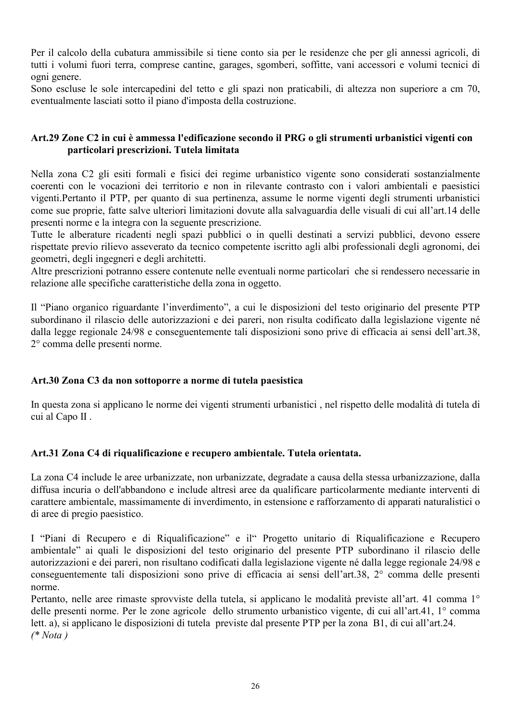Per il calcolo della cubatura ammissibile si tiene conto sia per le residenze che per gli annessi agricoli, di tutti i volumi fuori terra, comprese cantine, garages, sgomberi, soffitte, vani accessori e volumi tecnici di ogni genere.

Sono escluse le sole intercapedini del tetto e gli spazi non praticabili, di altezza non superiore a cm 70, eventualmente lasciati sotto il piano d'imposta della costruzione.

## Art.29 Zone C2 in cui è ammessa l'edificazione secondo il PRG o gli strumenti urbanistici vigenti con particolari prescrizioni. Tutela limitata

Nella zona C2 gli esiti formali e fisici dei regime urbanistico vigente sono considerati sostanzialmente coerenti con le vocazioni dei territorio e non in rilevante contrasto con i valori ambientali e paesistici vigenti. Pertanto il PTP, per quanto di sua pertinenza, assume le norme vigenti degli strumenti urbanistici come sue proprie, fatte salve ulteriori limitazioni dovute alla salvaguardia delle visuali di cui all'art.14 delle presenti norme e la integra con la seguente prescrizione.

Tutte le alberature ricadenti negli spazi pubblici o in quelli destinati a servizi pubblici, devono essere rispettate previo rilievo asseverato da tecnico competente iscritto agli albi professionali degli agronomi, dei geometri, degli ingegneri e degli architetti.

Altre prescrizioni potranno essere contenute nelle eventuali norme particolari che si rendessero necessarie in relazione alle specifiche caratteristiche della zona in oggetto.

Il "Piano organico riguardante l'inverdimento", a cui le disposizioni del testo originario del presente PTP subordinano il rilascio delle autorizzazioni e dei pareri, non risulta codificato dalla legislazione vigente né dalla legge regionale 24/98 e conseguentemente tali disposizioni sono prive di efficacia ai sensi dell'art.38, 2° comma delle presenti norme.

# Art.30 Zona C3 da non sottoporre a norme di tutela paesistica

In questa zona si applicano le norme dei vigenti strumenti urbanistici, nel rispetto delle modalità di tutela di cui al Capo II.

## Art.31 Zona C4 di riqualificazione e recupero ambientale. Tutela orientata.

La zona C4 include le aree urbanizzate, non urbanizzate, degradate a causa della stessa urbanizzazione, dalla diffusa incuria o dell'abbandono e include altresì aree da qualificare particolarmente mediante interventi di carattere ambientale, massimamente di inverdimento, in estensione e rafforzamento di apparati naturalistici o di aree di pregio paesistico.

I "Piani di Recupero e di Riqualificazione" e il" Progetto unitario di Riqualificazione e Recupero ambientale" ai quali le disposizioni del testo originario del presente PTP subordinano il rilascio delle autorizzazioni e dei pareri, non risultano codificati dalla legislazione vigente né dalla legge regionale 24/98 e conseguentemente tali disposizioni sono prive di efficacia ai sensi dell'art.38, 2° comma delle presenti norme.

Pertanto, nelle aree rimaste sprovviste della tutela, si applicano le modalità previste all'art. 41 comma 1<sup>°</sup> delle presenti norme. Per le zone agricole dello strumento urbanistico vigente, di cui all'art.41, 1° comma lett. a), si applicano le disposizioni di tutela previste dal presente PTP per la zona B1, di cui all'art.24.  $(**Nota*)$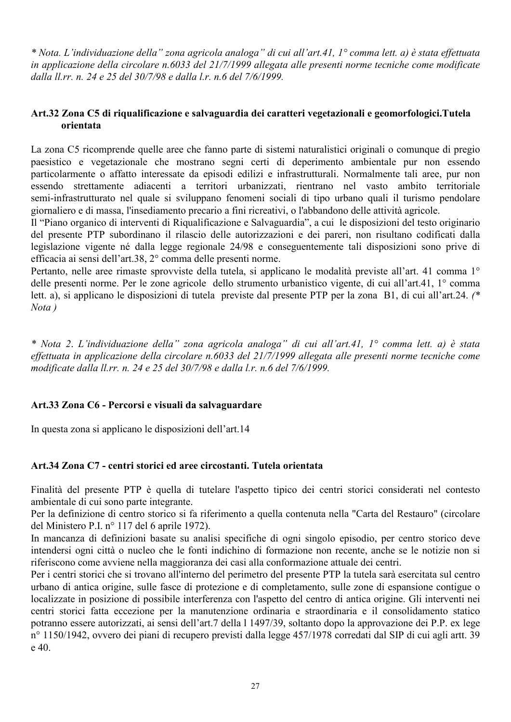\* Nota, L'individuazione della" zona agricola analoga" di cui all'art.41, 1° comma lett. a) è stata effettuata in applicazione della circolare n.6033 del 21/7/1999 allegata alle presenti norme tecniche come modificate dalla ll.rr. n. 24 e 25 del 30/7/98 e dalla l.r. n.6 del 7/6/1999.

# Art.32 Zona C5 di riqualificazione e salvaguardia dei caratteri vegetazionali e geomorfologici.Tutela orientata

La zona C5 ricomprende quelle aree che fanno parte di sistemi naturalistici originali o comunque di pregio paesistico e vegetazionale che mostrano segni certi di deperimento ambientale pur non essendo particolarmente o affatto interessate da episodi edilizi e infrastrutturali. Normalmente tali aree, pur non essendo strettamente adiacenti a territori urbanizzati, rientrano nel vasto ambito territoriale semi-infrastrutturato nel quale si sviluppano fenomeni sociali di tipo urbano quali il turismo pendolare giornaliero e di massa, l'insediamento precario a fini ricreativi, o l'abbandono delle attività agricole.

Il "Piano organico di interventi di Riqualificazione e Salvaguardia", a cui le disposizioni del testo originario del presente PTP subordinano il rilascio delle autorizzazioni e dei pareri, non risultano codificati dalla legislazione vigente né dalla legge regionale 24/98 e conseguentemente tali disposizioni sono prive di efficacia ai sensi dell'art.38, 2° comma delle presenti norme.

Pertanto, nelle aree rimaste sprovviste della tutela, si applicano le modalità previste all'art. 41 comma 1<sup>°</sup> delle presenti norme. Per le zone agricole dello strumento urbanistico vigente, di cui all'art.41, 1° comma lett. a), si applicano le disposizioni di tutela previste dal presente PTP per la zona B1, di cui all'art.24. (\*  $Nota)$ 

\* Nota 2. L'individuazione della" zona agricola analoga" di cui all'art.41, 1° comma lett. a) è stata effettuata in applicazione della circolare n.6033 del 21/7/1999 allegata alle presenti norme tecniche come modificate dalla ll.rr. n. 24 e 25 del 30/7/98 e dalla l.r. n.6 del 7/6/1999.

## Art.33 Zona C6 - Percorsi e visuali da salvaguardare

In questa zona si applicano le disposizioni dell'art.14

# Art.34 Zona C7 - centri storici ed aree circostanti. Tutela orientata

Finalità del presente PTP è quella di tutelare l'aspetto tipico dei centri storici considerati nel contesto ambientale di cui sono parte integrante.

Per la definizione di centro storico si fa riferimento a quella contenuta nella "Carta del Restauro" (circolare del Ministero P.I. nº 117 del 6 aprile 1972).

In mancanza di definizioni basate su analisi specifiche di ogni singolo episodio, per centro storico deve intendersi ogni città o nucleo che le fonti indichino di formazione non recente, anche se le notizie non si riferiscono come avviene nella maggioranza dei casi alla conformazione attuale dei centri.

Per i centri storici che si trovano all'interno del perimetro del presente PTP la tutela sarà esercitata sul centro urbano di antica origine, sulle fasce di protezione e di completamento, sulle zone di espansione contigue o localizzate in posizione di possibile interferenza con l'aspetto del centro di antica origine. Gli interventi nei centri storici fatta eccezione per la manutenzione ordinaria e straordinaria e il consolidamento statico potranno essere autorizzati, ai sensi dell'art.7 della l 1497/39, soltanto dopo la approvazione dei P.P. ex lege nº 1150/1942, ovvero dei piani di recupero previsti dalla legge 457/1978 corredati dal SIP di cui agli artt. 39  $e$  40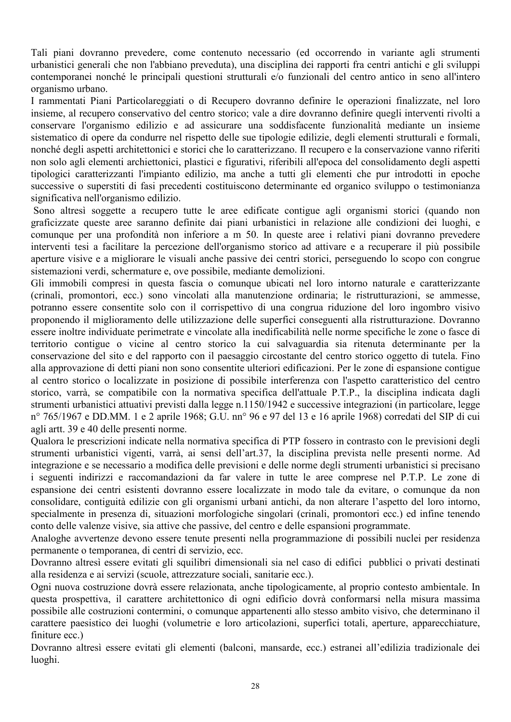Tali piani dovranno prevedere, come contenuto necessario (ed occorrendo in variante agli strumenti urbanistici generali che non l'abbiano preveduta), una disciplina dei rapporti fra centri antichi e gli sviluppi contemporanei nonché le principali questioni strutturali e/o funzionali del centro antico in seno all'intero organismo urbano.

I rammentati Piani Particolareggiati o di Recupero dovranno definire le operazioni finalizzate, nel loro insieme, al recupero conservativo del centro storico; vale a dire dovranno definire quegli interventi rivolti a conservare l'organismo edilizio e ad assicurare una soddisfacente funzionalità mediante un insieme sistematico di opere da condurre nel rispetto delle sue tipologie edilizie, degli elementi strutturali e formali, nonché degli aspetti architettonici e storici che lo caratterizzano. Il recupero e la conservazione vanno riferiti non solo agli elementi archiettonici, plastici e figurativi, riferibili all'epoca del consolidamento degli aspetti tipologici caratterizzanti l'impianto edilizio, ma anche a tutti gli elementi che pur introdotti in epoche successive o superstiti di fasi precedenti costituiscono determinante ed organico sviluppo o testimonianza significativa nell'organismo edilizio.

Sono altresì soggette a recupero tutte le aree edificate contigue agli organismi storici (quando non graficizzate queste aree saranno definite dai piani urbanistici in relazione alle condizioni dei luoghi, e comunque per una profondità non inferiore a m 50. In queste aree i relativi piani dovranno prevedere interventi tesi a facilitare la percezione dell'organismo storico ad attivare e a recuperare il più possibile aperture visive e a migliorare le visuali anche passive dei centri storici, perseguendo lo scopo con congrue sistemazioni verdi, schermature e, ove possibile, mediante demolizioni.

Gli immobili compresi in questa fascia o comunque ubicati nel loro intorno naturale e caratterizzante (crinali, promontori, ecc.) sono vincolati alla manutenzione ordinaria; le ristrutturazioni, se ammesse, potranno essere consentite solo con il corrispettivo di una congrua riduzione del loro ingombro visivo proponendo il miglioramento delle utilizzazione delle superfici conseguenti alla ristrutturazione. Dovranno essere inoltre individuate perimetrate e vincolate alla inedificabilità nelle norme specifiche le zone o fasce di territorio contigue o vicine al centro storico la cui salvaguardia sia ritenuta determinante per la conservazione del sito e del rapporto con il paesaggio circostante del centro storico oggetto di tutela. Fino alla approvazione di detti piani non sono consentite ulteriori edificazioni. Per le zone di espansione contigue al centro storico o localizzate in posizione di possibile interferenza con l'aspetto caratteristico del centro storico, varrà, se compatibile con la normativa specifica dell'attuale P.T.P., la disciplina indicata dagli strumenti urbanistici attuativi previsti dalla legge n.1150/1942 e successive integrazioni (in particolare, legge nº 765/1967 e DD.MM. 1 e 2 aprile 1968; G.U. nnº 96 e 97 del 13 e 16 aprile 1968) corredati del SIP di cui agli artt. 39 e 40 delle presenti norme.

Qualora le prescrizioni indicate nella normativa specifica di PTP fossero in contrasto con le previsioni degli strumenti urbanistici vigenti, varrà, ai sensi dell'art.37, la disciplina prevista nelle presenti norme. Ad integrazione e se necessario a modifica delle previsioni e delle norme degli strumenti urbanistici si precisano i seguenti indirizzi e raccomandazioni da far valere in tutte le aree comprese nel P.T.P. Le zone di espansione dei centri esistenti dovranno essere localizzate in modo tale da evitare, o comunque da non consolidare, contiguità edilizie con gli organismi urbani antichi, da non alterare l'aspetto del loro intorno, specialmente in presenza di, situazioni morfologiche singolari (crinali, promontori ecc.) ed infine tenendo conto delle valenze visive, sia attive che passive, del centro e delle espansioni programmate.

Analoghe avvertenze devono essere tenute presenti nella programmazione di possibili nuclei per residenza permanente o temporanea, di centri di servizio, ecc.

Dovranno altresì essere evitati gli squilibri dimensionali sia nel caso di edifici pubblici o privati destinati alla residenza e ai servizi (scuole, attrezzature sociali, sanitarie ecc.).

Ogni nuova costruzione dovrà essere relazionata, anche tipologicamente, al proprio contesto ambientale. In questa prospettiva, il carattere architettonico di ogni edificio dovrà conformarsi nella misura massima possibile alle costruzioni contermini, o comunque appartenenti allo stesso ambito visivo, che determinano il carattere paesistico dei luoghi (volumetrie e loro articolazioni, superfici totali, aperture, apparecchiature, finiture ecc)

Dovranno altresì essere evitati gli elementi (balconi, mansarde, ecc.) estranei all'edilizia tradizionale dei luoghi.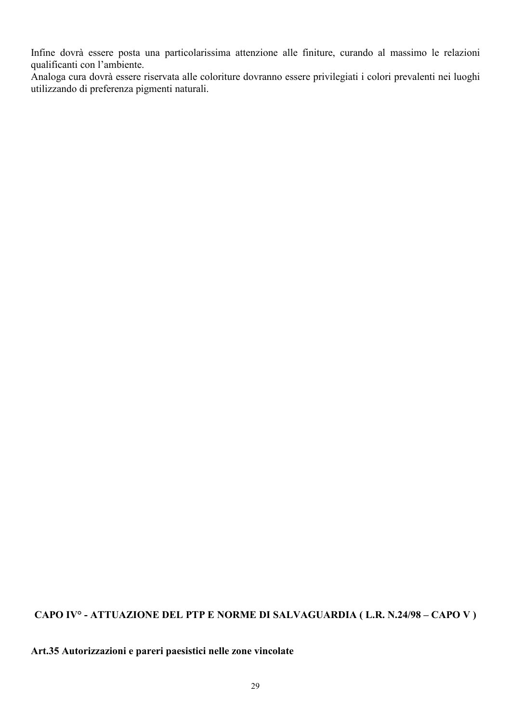Infine dovrà essere posta una particolarissima attenzione alle finiture, curando al massimo le relazioni qualificanti con l'ambiente.

Analoga cura dovrà essere riservata alle coloriture dovranno essere privilegiati i colori prevalenti nei luoghi utilizzando di preferenza pigmenti naturali.

# CAPO IV° - ATTUAZIONE DEL PTP E NORME DI SALVAGUARDIA (L.R. N.24/98 – CAPO V)

Art.35 Autorizzazioni e pareri paesistici nelle zone vincolate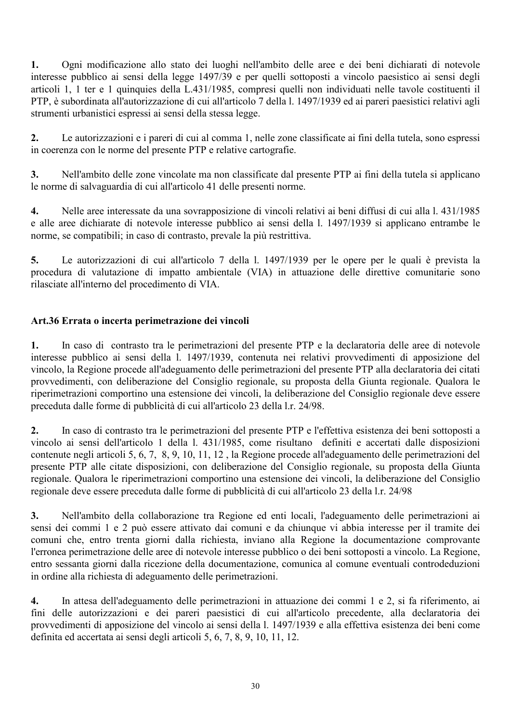1. Ogni modificazione allo stato dei luoghi nell'ambito delle aree e dei beni dichiarati di notevole interesse pubblico ai sensi della legge 1497/39 e per quelli sottoposti a vincolo paesistico ai sensi degli articoli 1, 1 ter e 1 quinquies della L.431/1985, compresi quelli non individuati nelle tavole costituenti il PTP, è subordinata all'autorizzazione di cui all'articolo 7 della l. 1497/1939 ed ai pareri paesistici relativi agli strumenti urbanistici espressi ai sensi della stessa legge.

Le autorizzazioni e i pareri di cui al comma 1, nelle zone classificate ai fini della tutela, sono espressi  $2.$ in coerenza con le norme del presente PTP e relative cartografie.

Nell'ambito delle zone vincolate ma non classificate dal presente PTP ai fini della tutela si applicano  $3.$ le norme di salvaguardia di cui all'articolo 41 delle presenti norme.

Nelle aree interessate da una sovrapposizione di vincoli relativi ai beni diffusi di cui alla l. 431/1985  $\overline{4}$ . e alle aree dichiarate di notevole interesse pubblico ai sensi della 1. 1497/1939 si applicano entrambe le norme, se compatibili; in caso di contrasto, prevale la più restrittiva.

 $\overline{5}$ . Le autorizzazioni di cui all'articolo 7 della 1. 1497/1939 per le opere per le quali è prevista la procedura di valutazione di impatto ambientale (VIA) in attuazione delle direttive comunitarie sono rilasciate all'interno del procedimento di VIA.

# Art.36 Errata o incerta perimetrazione dei vincoli

In caso di contrasto tra le perimetrazioni del presente PTP e la declaratoria delle aree di notevole  $\mathbf{1}$ . interesse pubblico ai sensi della 1. 1497/1939, contenuta nei relativi provvedimenti di apposizione del vincolo, la Regione procede all'adeguamento delle perimetrazioni del presente PTP alla declaratoria dei citati provvedimenti, con deliberazione del Consiglio regionale, su proposta della Giunta regionale. Qualora le riperimetrazioni comportino una estensione dei vincoli, la deliberazione del Consiglio regionale deve essere preceduta dalle forme di pubblicità di cui all'articolo 23 della l.r. 24/98.

In caso di contrasto tra le perimetrazioni del presente PTP e l'effettiva esistenza dei beni sottoposti a  $2.$ vincolo ai sensi dell'articolo 1 della 1. 431/1985, come risultano definiti e accertati dalle disposizioni contenute negli articoli 5, 6, 7, 8, 9, 10, 11, 12, la Regione procede all'adeguamento delle perimetrazioni del presente PTP alle citate disposizioni, con deliberazione del Consiglio regionale, su proposta della Giunta regionale. Qualora le riperimetrazioni comportino una estensione dei vincoli, la deliberazione del Consiglio regionale deve essere preceduta dalle forme di pubblicità di cui all'articolo 23 della l.r. 24/98

 $3.$ Nell'ambito della collaborazione tra Regione ed enti locali, l'adeguamento delle perimetrazioni ai sensi dei commi 1 e 2 può essere attivato dai comuni e da chiunque vi abbia interesse per il tramite dei comuni che, entro trenta giorni dalla richiesta, inviano alla Regione la documentazione comprovante l'erronea perimetrazione delle aree di notevole interesse pubblico o dei beni sottoposti a vincolo. La Regione, entro sessanta giorni dalla ricezione della documentazione, comunica al comune eventuali controdeduzioni in ordine alla richiesta di adeguamento delle perimetrazioni.

 $\overline{4}$ . In attesa dell'adeguamento delle perimetrazioni in attuazione dei commi 1 e 2, si fa riferimento, ai fini delle autorizzazioni e dei pareri paesistici di cui all'articolo precedente, alla declaratoria dei provvedimenti di apposizione del vincolo ai sensi della l. 1497/1939 e alla effettiva esistenza dei beni come definita ed accertata ai sensi degli articoli 5, 6, 7, 8, 9, 10, 11, 12.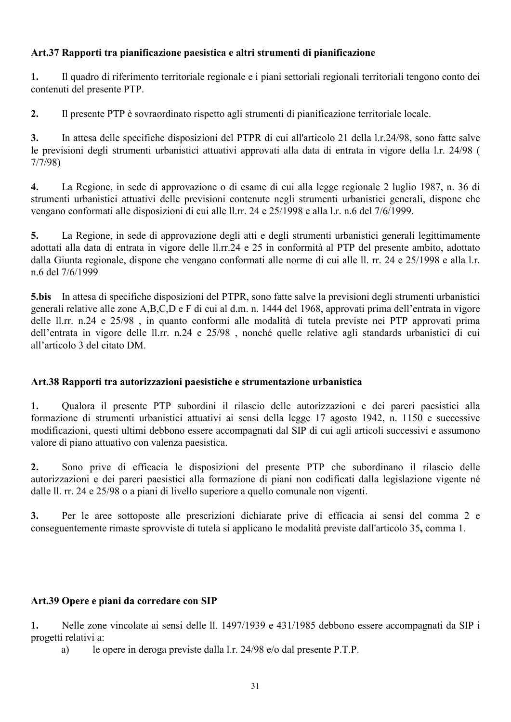# Art.37 Rapporti tra pianificazione paesistica e altri strumenti di pianificazione

1. Il quadro di riferimento territoriale regionale e i piani settoriali regionali territoriali tengono conto dei contenuti del presente PTP.

 $2.$ Il presente PTP è sovra ordinato rispetto agli strumenti di pianificazione territoriale locale.

In attesa delle specifiche disposizioni del PTPR di cui all'articolo 21 della l.r.24/98, sono fatte salve  $3<sub>1</sub>$ le previsioni degli strumenti urbanistici attuativi approvati alla data di entrata in vigore della l.r. 24/98 (  $7/7/98$ 

 $\overline{4}$ . La Regione, in sede di approvazione o di esame di cui alla legge regionale 2 luglio 1987, n. 36 di strumenti urbanistici attuativi delle previsioni contenute negli strumenti urbanistici generali, dispone che vengano conformati alle disposizioni di cui alle ll.rr. 24 e 25/1998 e alla l.r. n.6 del 7/6/1999.

 $5<sub>1</sub>$ La Regione, in sede di approvazione degli atti e degli strumenti urbanistici generali legittimamente adottati alla data di entrata in vigore delle ll.rr.24 e 25 in conformità al PTP del presente ambito, adottato dalla Giunta regionale, dispone che vengano conformati alle norme di cui alle ll. rr. 24 e 25/1998 e alla l.r. n 6 del 7/6/1999

5.bis In attesa di specifiche disposizioni del PTPR, sono fatte salve la previsioni degli strumenti urbanistici generali relative alle zone A,B,C,D e F di cui al d.m. n. 1444 del 1968, approvati prima dell'entrata in vigore delle ll.rr. n.24 e 25/98, in quanto conformi alle modalità di tutela previste nei PTP approvati prima dell'entrata in vigore delle ll.rr. n.24 e 25/98, nonché quelle relative agli standards urbanistici di cui all'articolo 3 del citato DM.

# Art.38 Rapporti tra autorizzazioni paesistiche e strumentazione urbanistica

Qualora il presente PTP subordini il rilascio delle autorizzazioni e dei pareri paesistici alla 1. formazione di strumenti urbanistici attuativi ai sensi della legge 17 agosto 1942, n. 1150 e successive modificazioni, questi ultimi debbono essere accompagnati dal SIP di cui agli articoli successivi e assumono valore di piano attuativo con valenza paesistica.

Sono prive di efficacia le disposizioni del presente PTP che subordinano il rilascio delle  $2.$ autorizzazioni e dei pareri paesistici alla formazione di piani non codificati dalla legislazione vigente né dalle ll. rr. 24 e 25/98 o a piani di livello superiore a quello comunale non vigenti.

 $3<sub>1</sub>$ Per le aree sottoposte alle prescrizioni dichiarate prive di efficacia ai sensi del comma 2 e conseguentemente rimaste sprovviste di tutela si applicano le modalità previste dall'articolo 35, comma 1.

# Art.39 Opere e piani da corredare con SIP

Nelle zone vincolate ai sensi delle ll. 1497/1939 e 431/1985 debbono essere accompagnati da SIP i  $\mathbf{1}$ . progetti relativi a:

le opere in deroga previste dalla l.r. 24/98 e/o dal presente P.T.P. a)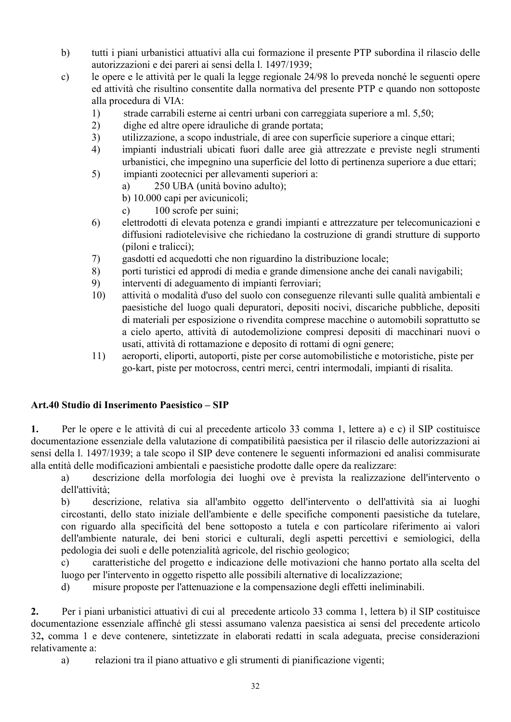- tutti i piani urbanistici attuativi alla cui formazione il presente PTP subordina il rilascio delle  $b)$ autorizzazioni e dei pareri ai sensi della l. 1497/1939;
- le opere e le attività per le quali la legge regionale 24/98 lo preveda nonché le seguenti opere  $\mathbf{c})$ ed attività che risultino consentite dalla normativa del presente PTP e quando non sottoposte alla procedura di VIA:
	- $1)$ strade carrabili esterne ai centri urbani con carreggiata superiore a ml. 5.50;
	- $2)$ dighe ed altre opere idrauliche di grande portata;
	- $3)$ utilizzazione, a scopo industriale, di aree con superficie superiore a cinque ettari;
	- $4)$ impianti industriali ubicati fuori dalle aree già attrezzate e previste negli strumenti urbanistici, che impegnino una superficie del lotto di pertinenza superiore a due ettari;
	- $5)$ impianti zootecnici per allevamenti superiori a:
		- 250 UBA (unità bovino adulto); a)
		- b) 10.000 capi per avicunicoli;
		- $\mathbf{c}$ ) 100 scrofe per suini;
	- $6)$ elettrodotti di elevata potenza e grandi impianti e attrezzature per telecomunicazioni e diffusioni radiotelevisive che richiedano la costruzione di grandi strutture di supporto (piloni e tralicci);
	- 7) gasdotti ed acquedotti che non riguardino la distribuzione locale;
	- 8) porti turistici ed approdi di media e grande dimensione anche dei canali navigabili;
	- 9) interventi di adeguamento di impianti ferroviari;
	- $10)$ attività o modalità d'uso del suolo con conseguenze rilevanti sulle qualità ambientali e paesistiche del luogo quali depuratori, depositi nocivi, discariche pubbliche, depositi di materiali per esposizione o rivendita comprese macchine o automobili soprattutto se a cielo aperto, attività di autodemolizione compresi depositi di macchinari nuovi o usati, attività di rottamazione e deposito di rottami di ogni genere:
	- aeroporti, eliporti, autoporti, piste per corse automobilistiche e motoristiche, piste per  $11)$ go-kart, piste per motocross, centri merci, centri intermodali, impianti di risalita.

## Art.40 Studio di Inserimento Paesistico - SIP

 $1.$ Per le opere e le attività di cui al precedente articolo 33 comma 1, lettere a) e c) il SIP costituisce documentazione essenziale della valutazione di compatibilità paesistica per il rilascio delle autorizzazioni ai sensi della 1. 1497/1939; a tale scopo il SIP deve contenere le seguenti informazioni ed analisi commisurate alla entità delle modificazioni ambientali e paesistiche prodotte dalle opere da realizzare:

descrizione della morfologia dei luoghi ove è prevista la realizzazione dell'intervento o a) dell'attività;

 $b)$ descrizione, relativa sia all'ambito oggetto dell'intervento o dell'attività sia ai luoghi circostanti, dello stato iniziale dell'ambiente e delle specifiche componenti paesistiche da tutelare, con riguardo alla specificità del bene sottoposto a tutela e con particolare riferimento ai valori dell'ambiente naturale, dei beni storici e culturali, degli aspetti percettivi e semiologici, della pedologia dei suoli e delle potenzialità agricole, del rischio geologico:

caratteristiche del progetto e indicazione delle motivazioni che hanno portato alla scelta del  $\mathbf{c}$ ) luogo per l'intervento in oggetto rispetto alle possibili alternative di localizzazione;

misure proposte per l'attenuazione e la compensazione degli effetti ineliminabili.  $\mathbf{d}$ 

Per i piani urbanistici attuativi di cui al precedente articolo 33 comma 1, lettera b) il SIP costituisce  $2.$ documentazione essenziale affinché gli stessi assumano valenza paesistica ai sensi del precedente articolo 32, comma 1 e deve contenere, sintetizzate in elaborati redatti in scala adeguata, precise considerazioni relativamente a:

 $a)$ relazioni tra il piano attuativo e gli strumenti di pianificazione vigenti;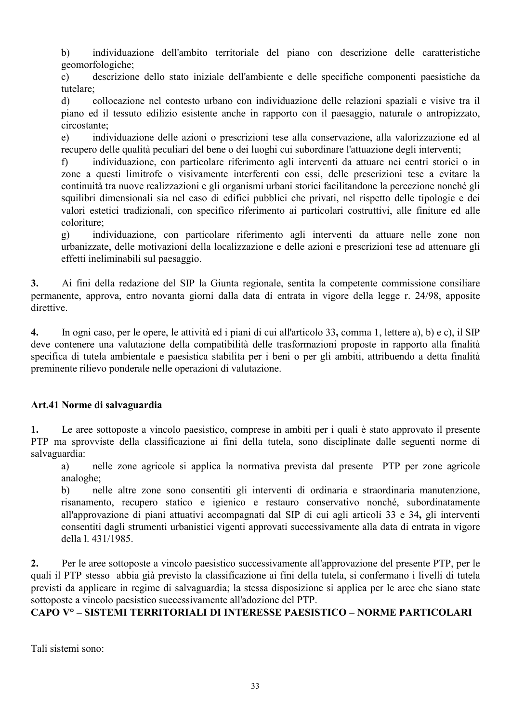individuazione dell'ambito territoriale del piano con descrizione delle caratteristiche  $b)$ geomorfologiche:

 $\mathbf{c})$ descrizione dello stato iniziale dell'ambiente e delle specifiche componenti paesistiche da tutelare:

collocazione nel contesto urbano con individuazione delle relazioni spaziali e visive tra il  $\mathbf{d}$ piano ed il tessuto edilizio esistente anche in rapporto con il paesaggio, naturale o antropizzato, circostante:

individuazione delle azioni o prescrizioni tese alla conservazione, alla valorizzazione ed al  $e)$ recupero delle qualità peculiari del bene o dei luoghi cui subordinare l'attuazione degli interventi;

individuazione, con particolare riferimento agli interventi da attuare nei centri storici o in  $\mathbf{f}$ zone a questi limitrofe o visivamente interferenti con essi, delle prescrizioni tese a evitare la continuità tra nuove realizzazioni e gli organismi urbani storici facilitandone la percezione nonché gli squilibri dimensionali sia nel caso di edifici pubblici che privati, nel rispetto delle tipologie e dei valori estetici tradizionali, con specifico riferimento ai particolari costruttivi, alle finiture ed alle coloriture<sup>.</sup>

 $g)$ individuazione, con particolare riferimento agli interventi da attuare nelle zone non urbanizzate, delle motivazioni della localizzazione e delle azioni e prescrizioni tese ad attenuare gli effetti ineliminabili sul paesaggio.

Ai fini della redazione del SIP la Giunta regionale, sentita la competente commissione consiliare  $3.$ permanente, approva, entro novanta giorni dalla data di entrata in vigore della legge r. 24/98, apposite direttive.

 $\overline{4}$ . In ogni caso, per le opere, le attività ed i piani di cui all'articolo 33, comma 1, lettere a), b) e c), il SIP deve contenere una valutazione della compatibilità delle trasformazioni proposte in rapporto alla finalità specifica di tutela ambientale e paesistica stabilita per i beni o per gli ambiti, attribuendo a detta finalità preminente rilievo ponderale nelle operazioni di valutazione.

# Art.41 Norme di salvaguardia

Le aree sottoposte a vincolo paesistico, comprese in ambiti per i quali è stato approvato il presente  $\mathbf{1}$ . PTP ma sprovviste della classificazione ai fini della tutela, sono disciplinate dalle seguenti norme di salvaguardia:

nelle zone agricole si applica la normativa prevista dal presente PTP per zone agricole a) analoghe:

nelle altre zone sono consentiti gli interventi di ordinaria e straordinaria manutenzione, b) risanamento, recupero statico e igienico e restauro conservativo nonché, subordinatamente all'approvazione di piani attuativi accompagnati dal SIP di cui agli articoli 33 e 34, gli interventi consentiti dagli strumenti urbanistici vigenti approvati successivamente alla data di entrata in vigore della 1. 431/1985.

 $2.$ Per le aree sottoposte a vincolo paesistico successivamente all'approvazione del presente PTP, per le quali il PTP stesso abbia già previsto la classificazione ai fini della tutela, si confermano i livelli di tutela previsti da applicare in regime di salvaguardia; la stessa disposizione si applica per le aree che siano state sottoposte a vincolo paesistico successivamente all'adozione del PTP.

# CAPO V° – SISTEMI TERRITORIALI DI INTERESSE PAESISTICO – NORME PARTICOLARI

Tali sistemi sono: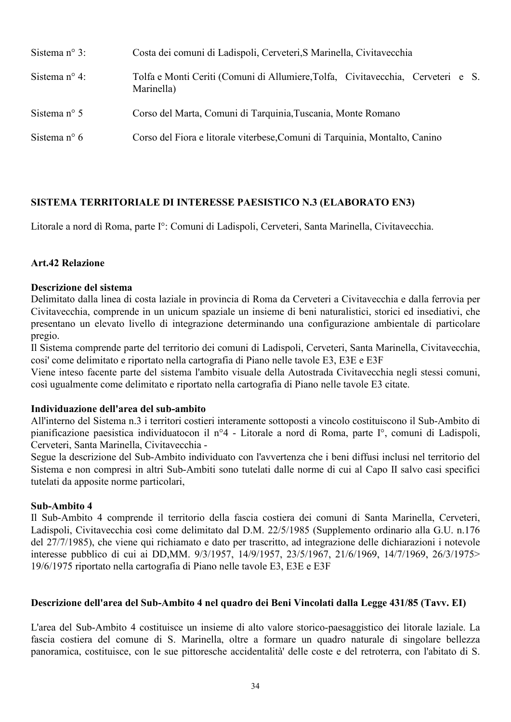| Sistema $n^{\circ}$ 3: | Costa dei comuni di Ladispoli, Cerveteri, S Marinella, Civitavecchia                          |  |  |
|------------------------|-----------------------------------------------------------------------------------------------|--|--|
| Sistema $n^{\circ}$ 4: | Tolfa e Monti Ceriti (Comuni di Allumiere, Tolfa, Civitavecchia, Cerveteri e S.<br>Marinella) |  |  |
| Sistema $n^{\circ}$ 5  | Corso del Marta, Comuni di Tarquinia, Tuscania, Monte Romano                                  |  |  |
| Sistema $n^{\circ}$ 6  | Corso del Fiora e litorale viterbese, Comuni di Tarquinia, Montalto, Canino                   |  |  |

# SISTEMA TERRITORIALE DI INTERESSE PAESISTICO N.3 (ELABORATO EN3)

Litorale a nord di Roma, parte I°: Comuni di Ladispoli, Cerveteri, Santa Marinella, Civitavecchia.

#### **Art.42 Relazione**

#### Descrizione del sistema

Delimitato dalla linea di costa laziale in provincia di Roma da Cerveteri a Civitavecchia e dalla ferrovia per Civitavecchia, comprende in un unicum spaziale un insieme di beni naturalistici, storici ed insediativi, che presentano un elevato livello di integrazione determinando una configurazione ambientale di particolare pregio.

Il Sistema comprende parte del territorio dei comuni di Ladispoli, Cerveteri, Santa Marinella, Civitavecchia, cosi' come delimitato e riportato nella cartografia di Piano nelle tavole E3, E3E e E3F

Viene inteso facente parte del sistema l'ambito visuale della Autostrada Civitavecchia negli stessi comuni, così ugualmente come delimitato e riportato nella cartografia di Piano nelle tavole E3 citate.

#### Individuazione dell'area del sub-ambito

All'interno del Sistema n.3 i territori costieri interamente sottoposti a vincolo costituiscono il Sub-Ambito di pianificazione paesistica individuatocon il nº4 - Litorale a nord di Roma, parte I°, comuni di Ladispoli, Cerveteri, Santa Marinella, Civitavecchia -

Segue la descrizione del Sub-Ambito individuato con l'avvertenza che i beni diffusi inclusi nel territorio del Sistema e non compresi in altri Sub-Ambiti sono tutelati dalle norme di cui al Capo II salvo casi specifici tutelati da apposite norme particolari,

#### Sub-Ambito 4

Il Sub-Ambito 4 comprende il territorio della fascia costiera dei comuni di Santa Marinella, Cerveteri, Ladispoli, Civitavecchia così come delimitato dal D.M. 22/5/1985 (Supplemento ordinario alla G.U. n.176 del 27/7/1985), che viene qui richiamato e dato per trascritto, ad integrazione delle dichiarazioni i notevole interesse pubblico di cui ai DD, MM. 9/3/1957, 14/9/1957, 23/5/1967, 21/6/1969, 14/7/1969, 26/3/1975> 19/6/1975 riportato nella cartografia di Piano nelle tavole E3, E3E e E3F

#### Descrizione dell'area del Sub-Ambito 4 nel quadro dei Beni Vincolati dalla Legge 431/85 (Tavv. EI)

L'area del Sub-Ambito 4 costituisce un insieme di alto valore storico-paesaggistico dei litorale laziale. La fascia costiera del comune di S. Marinella, oltre a formare un quadro naturale di singolare bellezza panoramica, costituisce, con le sue pittoresche accidentalità delle coste e del retroterra, con l'abitato di S.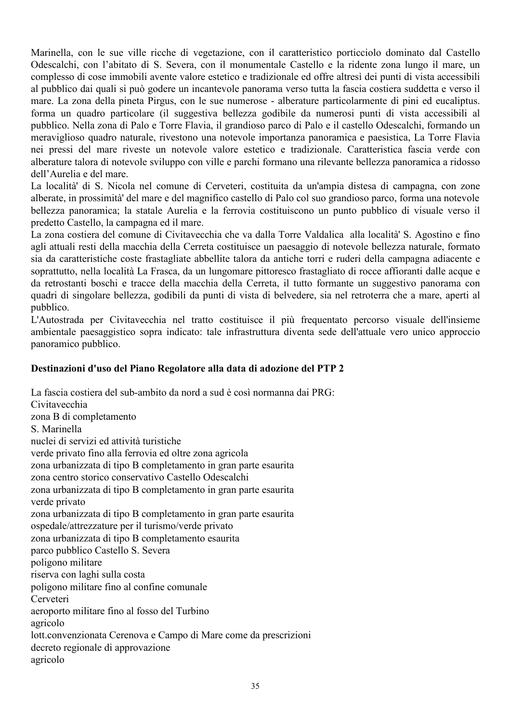Marinella, con le sue ville ricche di vegetazione, con il caratteristico porticciolo dominato dal Castello Odescalchi, con l'abitato di S. Severa, con il monumentale Castello e la ridente zona lungo il mare, un complesso di cose immobili avente valore estetico e tradizionale ed offre altresì dei punti di vista accessibili al pubblico dai quali si può godere un incantevole panorama verso tutta la fascia costiera suddetta e verso il mare. La zona della pineta Pirgus, con le sue numerose - alberature particolarmente di pini ed eucaliptus. forma un quadro particolare (il suggestiva bellezza godibile da numerosi punti di vista accessibili al pubblico. Nella zona di Palo e Torre Flavia, il grandioso parco di Palo e il castello Odescalchi, formando un meraviglioso quadro naturale, rivestono una notevole importanza panoramica e paesistica, La Torre Flavia nei pressi del mare riveste un notevole valore estetico e tradizionale. Caratteristica fascia verde con alberature talora di notevole sviluppo con ville e parchi formano una rilevante bellezza panoramica a ridosso dell'Aurelia e del mare.

La località di S. Nicola nel comune di Cerveteri, costituita da un'ampia distesa di campagna, con zone alberate, in prossimità del mare e del magnifico castello di Palo col suo grandioso parco, forma una notevole bellezza panoramica; la statale Aurelia e la ferrovia costituiscono un punto pubblico di visuale verso il predetto Castello, la campagna ed il mare.

La zona costiera del comune di Civitavecchia che va dalla Torre Valdalica alla località' S. Agostino e fino agli attuali resti della macchia della Cerreta costituisce un paesaggio di notevole bellezza naturale, formato sia da caratteristiche coste frastagliate abbellite talora da antiche torri e ruderi della campagna adiacente e soprattutto, nella località La Frasca, da un lungomare pittoresco frastagliato di rocce affioranti dalle acque e da retrostanti boschi e tracce della macchia della Cerreta, il tutto formante un suggestivo panorama con quadri di singolare bellezza, godibili da punti di vista di belvedere, sia nel retroterra che a mare, aperti al pubblico.

L'Autostrada per Civitavecchia nel tratto costituisce il più frequentato percorso visuale dell'insieme ambientale paesaggistico sopra indicato: tale infrastruttura diventa sede dell'attuale vero unico approccio panoramico pubblico.

## Destinazioni d'uso del Piano Regolatore alla data di adozione del PTP 2

La fascia costiera del sub-ambito da nord a sud è così normanna dai PRG: Civitavecchia zona B di completamento S Marinella nuclei di servizi ed attività turistiche verde privato fino alla ferrovia ed oltre zona agricola zona urbanizzata di tipo B completamento in gran parte esaurita zona centro storico conservativo Castello Odescalchi zona urbanizzata di tipo B completamento in gran parte esaurita verde privato zona urbanizzata di tipo B completamento in gran parte esaurita ospedale/attrezzature per il turismo/verde privato zona urbanizzata di tipo B completamento esaurita parco pubblico Castello S. Severa poligono militare riserva con laghi sulla costa poligono militare fino al confine comunale Cerveteri aeroporto militare fino al fosso del Turbino agricolo lott.convenzionata Cerenova e Campo di Mare come da prescrizioni decreto regionale di approvazione agricolo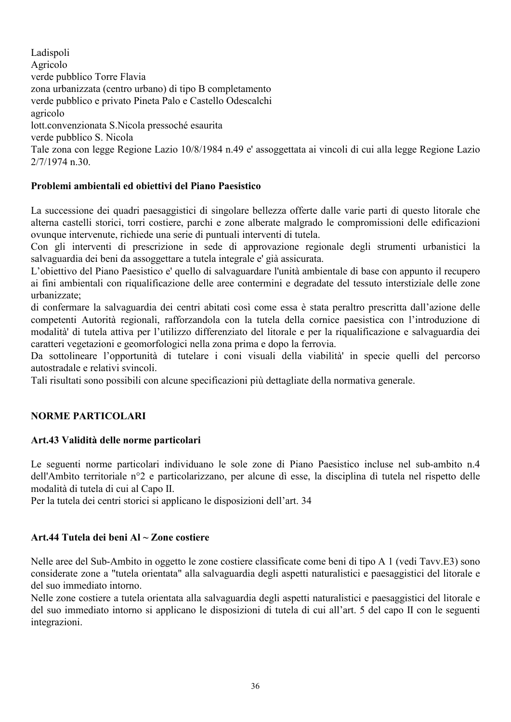Ladispoli Agricolo verde pubblico Torre Flavia zona urbanizzata (centro urbano) di tipo B completamento verde pubblico e privato Pineta Palo e Castello Odescalchi agricolo lott.convenzionata S.Nicola pressoché esaurita verde pubblico S. Nicola Tale zona con legge Regione Lazio 10/8/1984 n.49 e' assoggettata ai vincoli di cui alla legge Regione Lazio  $2/7/1974$  n 30

# Problemi ambientali ed objettivi del Piano Paesistico

La successione dei quadri paesaggistici di singolare bellezza offerte dalle varie parti di questo litorale che alterna castelli storici, torri costiere, parchi e zone alberate malgrado le compromissioni delle edificazioni ovunque intervenute, richiede una serie di puntuali interventi di tutela.

Con gli interventi di prescrizione in sede di approvazione regionale degli strumenti urbanistici la salvaguardia dei beni da assoggettare a tutela integrale e' già assicurata.

L'obiettivo del Piano Paesistico e' quello di salvaguardare l'unità ambientale di base con appunto il recupero ai fini ambientali con riqualificazione delle aree contermini e degradate del tessuto interstiziale delle zone urbanizzate:

di confermare la salvaguardia dei centri abitati così come essa è stata peraltro prescritta dall'azione delle competenti Autorità regionali, rafforzandola con la tutela della cornice paesistica con l'introduzione di modalità' di tutela attiva per l'utilizzo differenziato del litorale e per la riqualificazione e salvaguardia dei caratteri vegetazioni e geomorfologici nella zona prima e dopo la ferrovia.

Da sottolineare l'opportunità di tutelare i coni visuali della viabilità in specie quelli del percorso autostradale e relativi svincoli.

Tali risultati sono possibili con alcune specificazioni più dettagliate della normativa generale.

# **NORME PARTICOLARI**

## Art.43 Validità delle norme particolari

Le seguenti norme particolari individuano le sole zone di Piano Paesistico incluse nel sub-ambito n.4 dell'Ambito territoriale n°2 e particolarizzano, per alcune di esse, la disciplina di tutela nel rispetto delle modalità di tutela di cui al Capo II.

Per la tutela dei centri storici si applicano le disposizioni dell'art. 34

## Art.44 Tutela dei beni Al  $\sim$  Zone costiere

Nelle aree del Sub-Ambito in oggetto le zone costiere classificate come beni di tipo A 1 (vedi Tavy.E3) sono considerate zone a "tutela orientata" alla salvaguardia degli aspetti naturalistici e paesaggistici del litorale e del suo immediato intorno

Nelle zone costiere a tutela orientata alla salvaguardia degli aspetti naturalistici e paesaggistici del litorale e del suo immediato intorno si applicano le disposizioni di tutela di cui all'art. 5 del capo II con le seguenti integrazioni.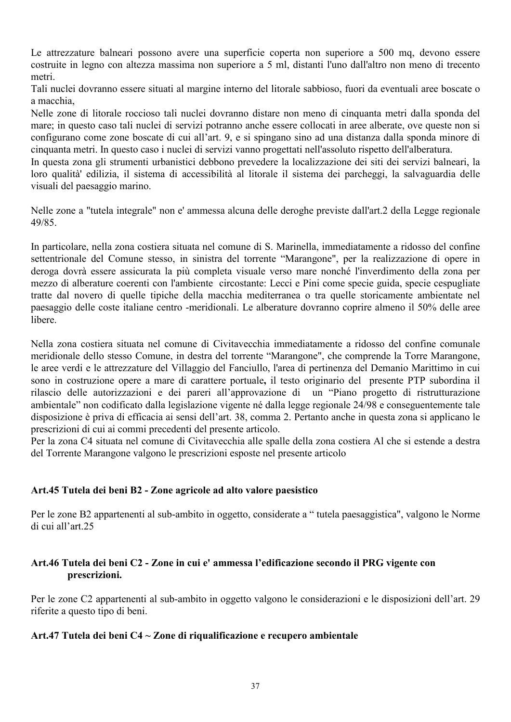Le attrezzature balneari possono avere una superficie coperta non superiore a 500 mq, devono essere costruite in legno con altezza massima non superiore a 5 ml, distanti l'uno dall'altro non meno di trecento metri.

Tali nuclei dovranno essere situati al margine interno del litorale sabbioso, fuori da eventuali aree boscate o a macchia

Nelle zone di litorale roccioso tali nuclei dovranno distare non meno di cinquanta metri dalla sponda del mare; in questo caso tali nuclei di servizi potranno anche essere collocati in aree alberate, ove queste non si configurano come zone boscate di cui all'art. 9, e si spingano sino ad una distanza dalla sponda minore di cinquanta metri. In questo caso i nuclei di servizi vanno progettati nell'assoluto rispetto dell'alberatura.

In questa zona gli strumenti urbanistici debbono prevedere la localizzazione dei siti dei servizi balneari, la loro qualità edilizia, il sistema di accessibilità al litorale il sistema dei parcheggi, la salvaguardia delle visuali del paesaggio marino.

Nelle zone a "tutela integrale" non e' ammessa alcuna delle deroghe previste dall'art.2 della Legge regionale 49/85

In particolare, nella zona costiera situata nel comune di S. Marinella, immediatamente a ridosso del confine settentrionale del Comune stesso, in sinistra del torrente "Marangone", per la realizzazione di opere in deroga dovrà essere assicurata la più completa visuale verso mare nonché l'inverdimento della zona per mezzo di alberature coerenti con l'ambiente circostante: Lecci e Pini come specie guida, specie cespugliate tratte dal novero di quelle tipiche della macchia mediterranea o tra quelle storicamente ambientate nel paesaggio delle coste italiane centro -meridionali. Le alberature dovranno coprire almeno il 50% delle aree libere

Nella zona costiera situata nel comune di Civitavecchia immediatamente a ridosso del confine comunale meridionale dello stesso Comune, in destra del torrente "Marangone", che comprende la Torre Marangone, le aree verdi e le attrezzature del Villaggio del Fanciullo, l'area di pertinenza del Demanio Marittimo in cui sono in costruzione opere a mare di carattere portuale, il testo originario del presente PTP subordina il rilascio delle autorizzazioni e dei pareri all'approvazione di un "Piano progetto di ristrutturazione ambientale" non codificato dalla legislazione vigente né dalla legge regionale 24/98 e conseguentemente tale disposizione è priva di efficacia ai sensi dell'art. 38, comma 2. Pertanto anche in questa zona si applicano le prescrizioni di cui ai commi precedenti del presente articolo.

Per la zona C4 situata nel comune di Civitavecchia alle spalle della zona costiera Al che si estende a destra del Torrente Marangone valgono le prescrizioni esposte nel presente articolo

## Art.45 Tutela dei beni B2 - Zone agricole ad alto valore paesistico

Per le zone B2 appartenenti al sub-ambito in oggetto, considerate a "tutela paesaggistica", valgono le Norme di cui all'art.25

# Art.46 Tutela dei beni C2 - Zone in cui e' ammessa l'edificazione secondo il PRG vigente con prescrizioni.

Per le zone C2 appartenenti al sub-ambito in oggetto valgono le considerazioni e le disposizioni dell'art. 29 riferite a questo tipo di beni.

## Art.47 Tutela dei beni C4 ~ Zone di riqualificazione e recupero ambientale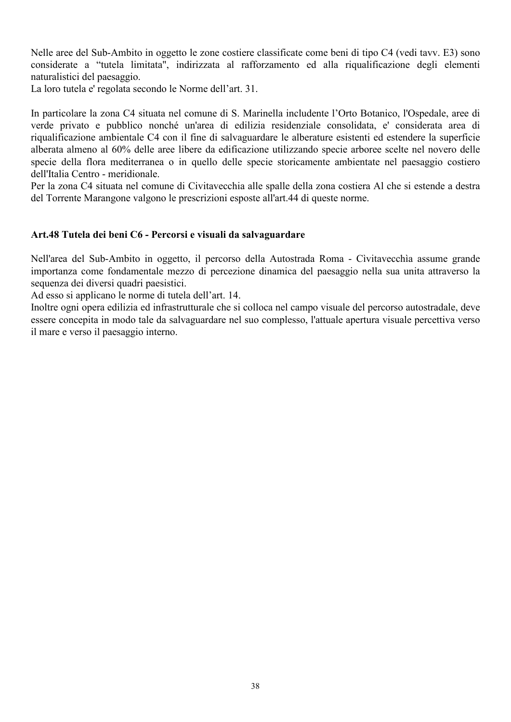Nelle aree del Sub-Ambito in oggetto le zone costiere classificate come beni di tipo C4 (vedi tavy. E3) sono considerate a "tutela limitata", indirizzata al rafforzamento ed alla riqualificazione degli elementi naturalistici del paesaggio.

La loro tutela e' regolata secondo le Norme dell'art. 31.

In particolare la zona C4 situata nel comune di S. Marinella includente l'Orto Botanico, l'Ospedale, aree di verde privato e pubblico nonché un'area di edilizia residenziale consolidata, e' considerata area di riqualificazione ambientale C4 con il fine di salvaguardare le alberature esistenti ed estendere la superficie alberata almeno al 60% delle aree libere da edificazione utilizzando specie arboree scelte nel novero delle specie della flora mediterranea o in quello delle specie storicamente ambientate nel paesaggio costiero dell'Italia Centro - meridionale.

Per la zona C4 situata nel comune di Civitavecchia alle spalle della zona costiera Al che si estende a destra del Torrente Marangone valgono le prescrizioni esposte all'art.44 di queste norme.

#### Art.48 Tutela dei beni C6 - Percorsi e visuali da salvaguardare

Nell'area del Sub-Ambito in oggetto, il percorso della Autostrada Roma - Civitavecchia assume grande importanza come fondamentale mezzo di percezione dinamica del paesaggio nella sua unita attraverso la sequenza dei diversi quadri paesistici.

Ad esso si applicano le norme di tutela dell'art. 14.

Inoltre ogni opera edilizia ed infrastrutturale che si colloca nel campo visuale del percorso autostradale, deve essere concepita in modo tale da salvaguardare nel suo complesso, l'attuale apertura visuale percettiva verso il mare e verso il paesaggio interno.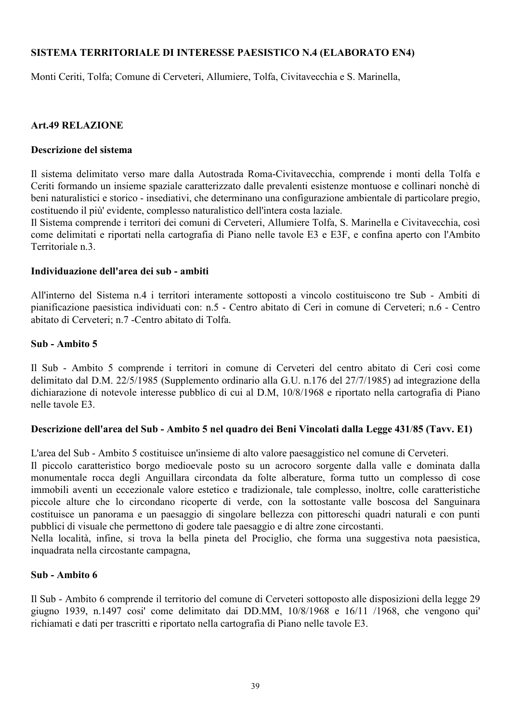## SISTEMA TERRITORIALE DI INTERESSE PAESISTICO N.4 (ELABORATO EN4)

Monti Ceriti, Tolfa; Comune di Cerveteri, Allumiere, Tolfa, Civitavecchia e S. Marinella,

## **Art.49 RELAZIONE**

#### Descrizione del sistema

Il sistema delimitato verso mare dalla Autostrada Roma-Civitavecchia, comprende i monti della Tolfa e Ceriti formando un insieme spaziale caratterizzato dalle prevalenti esistenze montuose e collinari nonchè di beni naturalistici e storico - insediativi, che determinano una configurazione ambientale di particolare pregio, costituendo il più' evidente, complesso naturalistico dell'intera costa laziale.

Il Sistema comprende i territori dei comuni di Cerveteri, Allumiere Tolfa, S. Marinella e Civitavecchia, così come delimitati e riportati nella cartografia di Piano nelle tavole E3 e E3F, e confina aperto con l'Ambito Territoriale n 3

#### Individuazione dell'area dei sub - ambiti

All'interno del Sistema n.4 i territori interamente sottoposti a vincolo costituiscono tre Sub - Ambiti di pianificazione paesistica individuati con: n.5 - Centro abitato di Ceri in comune di Cerveteri; n.6 - Centro abitato di Cerveteri: n.7 - Centro abitato di Tolfa.

#### Sub - Ambito 5

Il Sub - Ambito 5 comprende i territori in comune di Cerveteri del centro abitato di Ceri così come delimitato dal D.M. 22/5/1985 (Supplemento ordinario alla G.U. n.176 del 27/7/1985) ad integrazione della dichiarazione di notevole interesse pubblico di cui al D.M. 10/8/1968 e riportato nella cartografia di Piano nelle tavole E3

## Descrizione dell'area del Sub - Ambito 5 nel quadro dei Beni Vincolati dalla Legge 431/85 (Tavv. E1)

L'area del Sub - Ambito 5 costituisce un'insieme di alto valore paesaggistico nel comune di Cerveteri.

Il piccolo caratteristico borgo medioevale posto su un acrocoro sorgente dalla valle e dominata dalla monumentale rocca degli Anguillara circondata da folte alberature, forma tutto un complesso dì cose immobili aventi un eccezionale valore estetico e tradizionale, tale complesso, inoltre, colle caratteristiche piccole alture che lo circondano ricoperte di verde, con la sottostante valle boscosa del Sanguinara costituisce un panorama e un paesaggio di singolare bellezza con pittoreschi quadri naturali e con punti pubblici di visuale che permettono di godere tale paesaggio e di altre zone circostanti.

Nella località, infine, si trova la bella pineta del Prociglio, che forma una suggestiva nota paesistica, inquadrata nella circostante campagna,

#### Sub - Ambito 6

Il Sub - Ambito 6 comprende il territorio del comune di Cerveteri sottoposto alle disposizioni della legge 29 giugno 1939, n.1497 cosi' come delimitato dai DD.MM, 10/8/1968 e 16/11 /1968, che vengono qui' richiamati e dati per trascritti e riportato nella cartografia di Piano nelle tavole E3.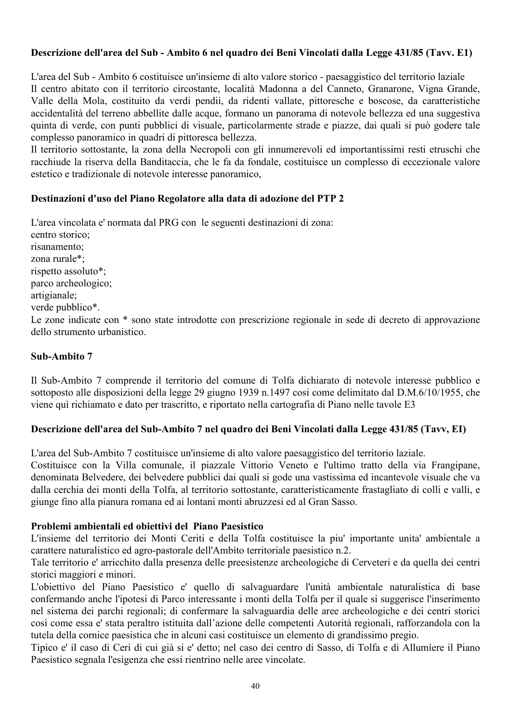# Descrizione dell'area del Sub - Ambito 6 nel quadro dei Beni Vincolati dalla Legge 431/85 (Tavy. E1)

L'area del Sub - Ambito 6 costituisce un'insieme di alto valore storico - paesaggistico del territorio laziale Il centro abitato con il territorio circostante, località Madonna a del Canneto, Granarone, Vigna Grande, Valle della Mola, costituito da verdi pendii, da ridenti vallate, pittoresche e boscose, da caratteristiche accidentalità del terreno abbellite dalle acque, formano un panorama di notevole bellezza ed una suggestiva quinta di verde, con punti pubblici di visuale, particolarmente strade e piazze, dai quali si può godere tale complesso panoramico in quadri di pittoresca bellezza.

Il territorio sottostante, la zona della Necropoli con gli innumerevoli ed importantissimi resti etruschi che racchiude la riserva della Banditaccia, che le fa da fondale, costituisce un complesso di eccezionale valore estetico e tradizionale di notevole interesse panoramico,

# Destinazioni d'uso del Piano Regolatore alla data di adozione del PTP 2

L'area vincolata e' normata dal PRG con le seguenti destinazioni di zona: centro storico: risanamento: zona rurale\*: rispetto assoluto\*: parco archeologico; artigianale; verde pubblico\*. Le zone indicate con \* sono state introdotte con prescrizione regionale in sede di decreto di approvazione dello strumento urbanistico

#### Sub-Ambito 7

Il Sub-Ambito 7 comprende il territorio del comune di Tolfa dichiarato di notevole interesse pubblico e sottoposto alle disposizioni della legge 29 giugno 1939 n.1497 così come delimitato dal D.M.6/10/1955, che viene quì richiamato e dato per trascritto, e riportato nella cartografia di Piano nelle tavole E3

## Descrizione dell'area del Sub-Ambíto 7 nel quadro dei Beni Vincolati dalla Legge 431/85 (Tavv, EI)

L'area del Sub-Ambito 7 costituisce un'insieme di alto valore paesaggistico del territorio laziale.

Costituisce con la Villa comunale, il piazzale Vittorio Veneto e l'ultimo tratto della via Frangipane, denominata Belvedere, dei belvedere pubblici dai quali si gode una vastissima ed incantevole visuale che va dalla cerchia dei monti della Tolfa, al territorio sottostante, caratteristicamente frastagliato di colli e valli, e giunge fino alla pianura romana ed ai lontani monti abruzzesi ed al Gran Sasso.

## Problemi ambientali ed obiettivi del Piano Paesistico

L'insieme del territorio dei Monti Ceriti e della Tolfa costituisce la piu' importante unita' ambientale a carattere naturalistico ed agro-pastorale dell'Ambito territoriale paesistico n.2.

Tale territorio e' arricchito dalla presenza delle preesistenze archeologiche di Cerveteri e da quella dei centri storici maggiori e minori.

L'obiettivo del Piano Paesistico e' quello di salvaguardare l'unità ambientale naturalistica di base confermando anche l'ipotesi di Parco interessante i monti della Tolfa per il quale si suggerisce l'inserimento nel sistema dei parchi regionali; di confermare la salvaguardia delle aree archeologiche e dei centri storici così come essa e' stata peraltro istituita dall'azione delle competenti Autorità regionali, rafforzandola con la tutela della cornice paesistica che in alcuni casi costituisce un elemento di grandissimo pregio.

Tipico e' il caso di Ceri di cui già si e' detto; nel caso dei centro di Sasso, di Tolfa e di Allumíere il Piano Paesistico segnala l'esigenza che essi rientrino nelle aree vincolate.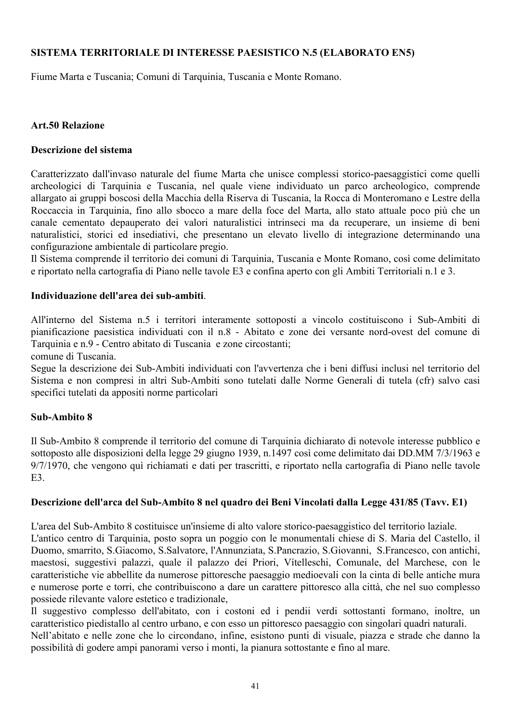## SISTEMA TERRITORIALE DI INTERESSE PAESISTICO N.5 (ELABORATO EN5)

Fiume Marta e Tuscania; Comuni di Tarquinia, Tuscania e Monte Romano.

## **Art.50 Relazione**

## Descrizione del sistema

Caratterizzato dall'invaso naturale del fiume Marta che unisce complessi storico-paesaggistici come quelli archeologici di Tarquinia e Tuscania, nel quale viene individuato un parco archeologico, comprende allargato ai gruppi boscosi della Macchia della Riserva di Tuscania, la Rocca di Monteromano e Lestre della Roccaccia in Tarquinia, fino allo sbocco a mare della foce del Marta, allo stato attuale poco più che un canale cementato depauperato dei valori naturalistici intrinseci ma da recuperare, un insieme di beni naturalistici, storici ed insediativi, che presentano un elevato livello di integrazione determinando una configurazione ambientale di particolare pregio.

Il Sistema comprende il territorio dei comuni di Tarquinia, Tuscania e Monte Romano, così come delimitato e riportato nella cartografia di Piano nelle tavole E3 e confina aperto con gli Ambiti Territoriali n.1 e 3.

## Individuazione dell'area dei sub-ambiti.

All'interno del Sistema n.5 i territori interamente sottoposti a vincolo costituiscono i Sub-Ambiti di pianificazione paesistica individuati con il n.8 - Abitato e zone dei versante nord-ovest del comune di Tarquinia e n.9 - Centro abitato di Tuscania e zone circostanti:

comune di Tuscania

Segue la descrizione dei Sub-Ambiti individuati con l'avvertenza che i beni diffusi inclusi nel territorio del Sistema e non compresi in altri Sub-Ambiti sono tutelati dalle Norme Generali di tutela (cfr) salvo casi specifici tutelati da appositi norme particolari

## Sub-Ambito 8

Il Sub-Ambito 8 comprende il territorio del comune di Tarquinia dichiarato di notevole interesse pubblico e sottoposto alle disposizioni della legge 29 giugno 1939, n.1497 così come delimitato dai DD.MM 7/3/1963 e 9/7/1970, che vengono quì richiamati e dati per trascritti, e riportato nella cartografia di Piano nelle tavole  $E<sub>3</sub>$ 

## Descrizione dell'arca del Sub-Ambito 8 nel quadro dei Beni Vincolati dalla Legge 431/85 (Tavy. E1)

L'area del Sub-Ambito 8 costituisce un'insieme di alto valore storico-paesaggistico del territorio laziale. L'antico centro di Tarquinia, posto sopra un poggio con le monumentali chiese di S. Maria del Castello, il Duomo, smarrito, S.Giacomo, S.Salvatore, l'Annunziata, S.Pancrazio, S.Giovanni, S.Francesco, con antichi, maestosi, suggestivi palazzi, quale il palazzo dei Priori, Vítelleschi, Comunale, del Marchese, con le caratteristiche vie abbellite da numerose pittoresche paesaggio medioevali con la cinta di belle antiche mura e numerose porte e torri, che contribuiscono a dare un carattere pittoresco alla città, che nel suo complesso possiede rilevante valore estetico e tradizionale,

Il suggestivo complesso dell'abitato, con i costoni ed i pendii verdi sottostanti formano, inoltre, un caratteristico piedistallo al centro urbano, e con esso un pittoresco paesaggio con singolari quadri naturali.

Nell'abitato e nelle zone che lo circondano, infine, esistono punti di visuale, piazza e strade che danno la possibilità di godere ampi panorami verso i monti, la pianura sottostante e fino al mare.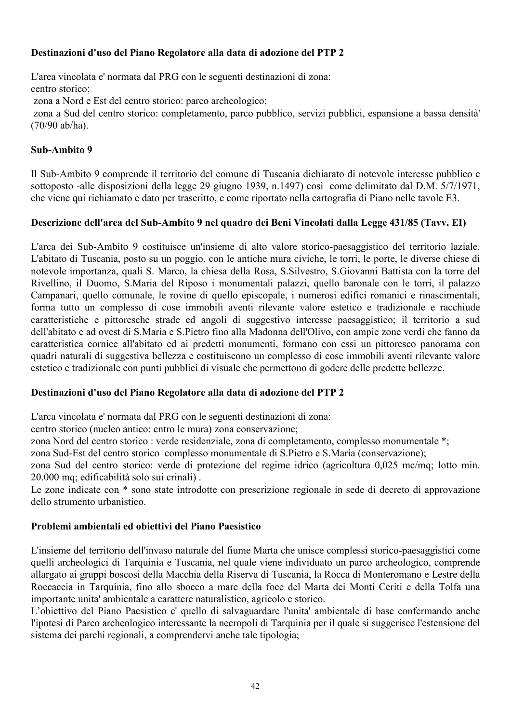# Destinazioni d'uso del Piano Regolatore alla data di adozione del PTP 2

L'area vincolata e' normata dal PRG con le seguenti destinazioni di zona: centro storico: zona a Nord e Est del centro storico: parco archeologico: zona a Sud del centro storico: completamento, parco pubblico, servizi pubblici, espansione a bassa densità'  $(70/90$  ab/ha).

# Sub-Ambito 9

Il Sub-Ambito 9 comprende il territorio del comune di Tuscania dichiarato di notevole interesse pubblico e sottoposto -alle disposizioni della legge 29 giugno 1939, n.1497) così come delimitato dal D.M. 5/7/1971, che viene qui richiamato e dato per trascritto, e come riportato nella cartografia di Piano nelle tavole E3.

# Descrizione dell'area del Sub-Ambíto 9 nel quadro dei Beni Vincolati dalla Legge 431/85 (Tavv. EI)

L'arca dei Sub-Ambito 9 costituisce un'insieme di alto valore storico-paesaggistico del territorio laziale. L'abitato di Tuscania, posto su un poggio, con le antiche mura civiche, le torri, le porte, le diverse chiese di notevole importanza, quali S. Marco, la chiesa della Rosa, S. Silvestro, S. Giovanni Battista con la torre del Rivellino, il Duomo, S.Maria del Riposo i monumentali palazzi, quello baronale con le torri, il palazzo Campanari, quello comunale, le rovine di quello episcopale, i numerosi edifici romanici e rinascimentali, forma tutto un complesso di cose immobili aventi rilevante valore estetico e tradizionale e racchiude caratteristiche e pittoresche strade ed angoli di suggestivo interesse paesaggistico; il territorio a sud dell'abitato e ad ovest di S.Maria e S.Pietro fino alla Madonna dell'Olivo, con ampie zone verdi che fanno da caratteristica cornice all'abitato ed ai predetti monumenti, formano con essi un pittoresco panorama con quadri naturali di suggestiva bellezza e costituiscono un complesso di cose immobili aventi rilevante valore estetico e tradizionale con punti pubblici di visuale che permettono di godere delle predette bellezze.

## Destinazioni d'uso del Piano Regolatore alla data di adozione del PTP 2

L'arca vincolata e' normata dal PRG con le seguenti destinazioni di zona:

centro storico (nucleo antico: entro le mura) zona conservazione:

zona Nord del centro storico : verde residenziale, zona di completamento, complesso monumentale \*;

zona Sud-Est del centro storico complesso monumentale di S.Pietro e S.María (conservazione);

zona Sud del centro storico: verde di protezione del regime idrico (agricoltura 0,025 mc/mq; lotto min. 20.000 mq; edificabilità solo sui crinali).

Le zone indicate con \* sono state introdotte con prescrizione regionale in sede di decreto di approvazione dello strumento urbanistico.

## Problemi ambientali ed obiettivi del Piano Paesistico

L'insieme del territorio dell'invaso naturale del fiume Marta che unisce complessi storico-paesaggistici come quelli archeologici di Tarquinia e Tuscania, nel quale viene individuato un parco archeologico, comprende allargato ai gruppi boscosi della Macchia della Riserva di Tuscania, la Rocca di Monteromano e Lestre della Roccaccia in Tarquinia, fino allo sbocco a mare della foce del Marta dei Monti Ceriti e della Tolfa una importante unita' ambientale a carattere naturalistico, agricolo e storico.

L'obiettivo del Piano Paesistico e' quello di salvaguardare l'unita' ambientale di base confermando anche l'ipotesi di Parco archeologico interessante la necropoli di Tarquinia per il quale si suggerisce l'estensione del sistema dei parchi regionali, a comprendervi anche tale tipologia: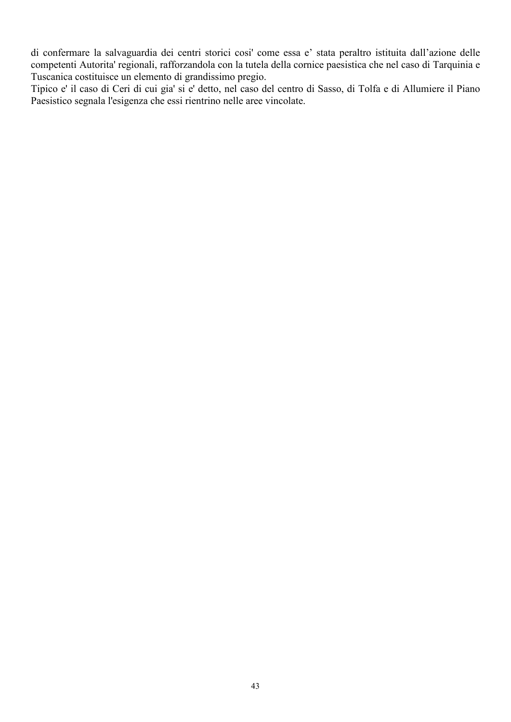di confermare la salvaguardia dei centri storici cosi' come essa e' stata peraltro istituita dall'azione delle competenti Autorita' regionali, rafforzandola con la tutela della cornice paesistica che nel caso di Tarquinia e Tuscanica costituisce un elemento di grandissimo pregio.

Tipico e' il caso di Ceri di cui gia' si e' detto, nel caso del centro di Sasso, di Tolfa e di Allumiere il Piano Paesistico segnala l'esigenza che essi rientrino nelle aree vincolate.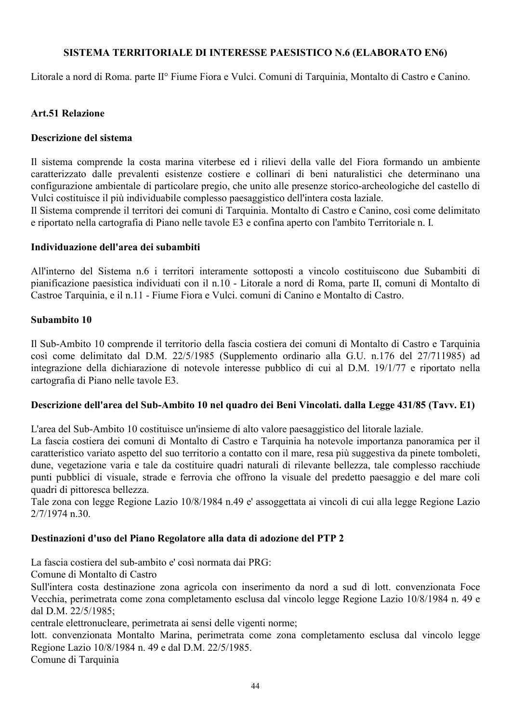## SISTEMA TERRITORIALE DI INTERESSE PAESISTICO N.6 (ELABORATO EN6)

Litorale a nord di Roma. parte II<sup>°</sup> Fiume Fiora e Vulci. Comuni di Tarquinia, Montalto di Castro e Canino.

## **Art.51 Relazione**

#### Descrizione del sistema

Il sistema comprende la costa marina viterbese ed i rilievi della valle del Fiora formando un ambiente caratterizzato dalle prevalenti esistenze costiere e collinari di beni naturalistici che determinano una configurazione ambientale di particolare pregio, che unito alle presenze storico-archeologiche del castello di Vulci costituisce il più individuabile complesso paesaggistico dell'intera costa laziale.

Il Sistema comprende il territori dei comuni di Tarquinia. Montalto di Castro e Canino, così come delimitato e riportato nella cartografia di Piano nelle tavole E3 e confina aperto con l'ambito Territoriale n. I.

#### Individuazione dell'area dei subambiti

All'interno del Sistema n.6 i territori interamente sottoposti a vincolo costituiscono due Subambiti di pianificazione paesistica individuati con il n.10 - Litorale a nord di Roma, parte II, comuni di Montalto di Castroe Tarquinia, e il n.11 - Fiume Fiora e Vulci, comuni di Canino e Montalto di Castro.

#### Subambito 10

Il Sub-Ambito 10 comprende il territorio della fascia costiera dei comuni di Montalto di Castro e Tarquinia così come delimitato dal D.M. 22/5/1985 (Supplemento ordinario alla G.U. n.176 del 27/711985) ad integrazione della dichiarazione di notevole interesse pubblico di cui al D.M. 19/1/77 e riportato nella cartografia di Piano nelle tavole E3.

## Descrizione dell'area del Sub-Ambito 10 nel quadro dei Beni Vincolati. dalla Legge 431/85 (Tavv. E1)

L'area del Sub-Ambito 10 costituisce un'insieme di alto valore paesaggistico del litorale laziale.

La fascia costiera dei comuni di Montalto di Castro e Tarquinia ha notevole importanza panoramica per il caratteristico variato aspetto del suo territorio a contatto con il mare, resa più suggestiva da pinete tomboleti, dune, vegetazione varia e tale da costituire quadri naturali di rilevante bellezza, tale complesso racchiude punti pubblici di visuale, strade e ferrovia che offrono la visuale del predetto paesaggio e del mare coli quadri di pittoresca bellezza.

Tale zona con legge Regione Lazio 10/8/1984 n.49 e' assoggettata ai vincoli di cui alla legge Regione Lazio  $2/7/1974$  n.30.

## Destinazioni d'uso del Piano Regolatore alla data di adozione del PTP 2

La fascia costiera del sub-ambito e' così normata dai PRG:

Comune di Montalto di Castro

Sull'intera costa destinazione zona agricola con inserimento da nord a sud dì lott, convenzionata Foce Vecchia, perimetrata come zona completamento esclusa dal vincolo legge Regione Lazio 10/8/1984 n. 49 e dal D.M. 22/5/1985:

centrale elettronucleare, perimetrata ai sensi delle vigenti norme;

lott, convenzionata Montalto Marina, perimetrata come zona completamento esclusa dal vincolo legge Regione Lazio 10/8/1984 n. 49 e dal D.M. 22/5/1985.

Comune di Tarquinia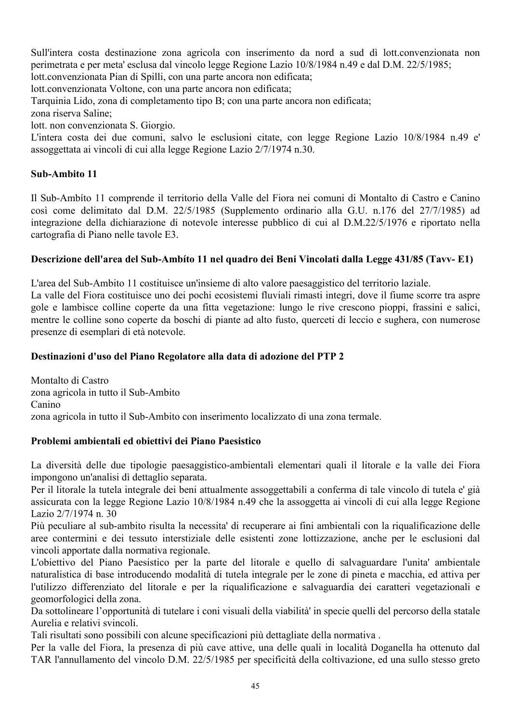Sull'intera costa destinazione zona agricola con inserimento da nord a sud di lott.convenzionata non perimetrata e per meta' esclusa dal vincolo legge Regione Lazio 10/8/1984 n.49 e dal D.M. 22/5/1985; lott.convenzionata Pian di Spilli, con una parte ancora non edificata;

lott.convenzionata Voltone, con una parte ancora non edificata;

Tarquinia Lido, zona di completamento tipo B; con una parte ancora non edificata;

zona riserva Saline<sup>.</sup>

lott. non convenzionata S. Giorgio.

L'intera costa dei due comuni, salvo le esclusioni citate, con legge Regione Lazio 10/8/1984 n.49 e' assoggettata ai vincoli di cui alla legge Regione Lazio 2/7/1974 n.30.

# Sub-Ambito 11

Il Sub-Ambito 11 comprende il territorio della Valle del Fiora nei comuni di Montalto di Castro e Canino così come delimitato dal D.M. 22/5/1985 (Supplemento ordinario alla G.U. n.176 del 27/7/1985) ad integrazione della dichiarazione di notevole interesse pubblico di cui al D.M.22/5/1976 e riportato nella cartografia di Piano nelle tavole E3.

# Descrizione dell'area del Sub-Ambíto 11 nel quadro dei Beni Vincolati dalla Legge 431/85 (Tavy-E1)

L'area del Sub-Ambito 11 costituisce un'insieme di alto valore paesaggistico del territorio laziale. La valle del Fiora costituisce uno dei pochi ecosistemi fluviali rimasti integri, dove il fiume scorre tra aspre gole e lambisce colline coperte da una fitta vegetazione: lungo le rive crescono pioppi, frassini e salici, mentre le colline sono coperte da boschi di piante ad alto fusto, querceti di leccio e sughera, con numerose presenze di esemplari di età notevole.

## Destinazioni d'uso del Piano Regolatore alla data di adozione del PTP 2

Montalto di Castro zona agricola in tutto il Sub-Ambito Canino zona agricola in tutto il Sub-Ambito con inserimento localizzato di una zona termale.

## Problemi ambientali ed obiettivi dei Piano Paesistico

La diversità delle due tipologie paesaggistico-ambientali elementari quali il litorale e la valle dei Fiora impongono un'analisi di dettaglio separata.

Per il litorale la tutela integrale dei beni attualmente assoggettabili a conferma di tale vincolo di tutela e' già assicurata con la legge Regione Lazio 10/8/1984 n.49 che la assoggetta ai vincoli di cui alla legge Regione Lazio 2/7/1974 n. 30

Più peculiare al sub-ambito risulta la necessita di recuperare ai fini ambientali con la riqualificazione delle aree contermini e dei tessuto interstiziale delle esistenti zone lottizzazione, anche per le esclusioni dal vincoli apportate dalla normativa regionale.

L'obiettivo del Piano Paesistico per la parte del litorale e quello di salvaguardare l'unita' ambientale naturalistica di base introducendo modalità di tutela integrale per le zone di pineta e macchia, ed attiva per l'utilizzo differenziato del litorale e per la riqualificazione e salvaguardia dei caratteri vegetazionali e geomorfologici della zona.

Da sottolineare l'opportunità di tutelare i coni visuali della viabilità in specie quelli del percorso della statale Aurelia e relativi svincoli.

Tali risultati sono possibili con alcune specificazioni più dettagliate della normativa.

Per la valle del Fiora, la presenza di più cave attive, una delle quali in località Doganella ha ottenuto dal TAR l'annullamento del vincolo D.M. 22/5/1985 per specificità della coltivazione, ed una sullo stesso greto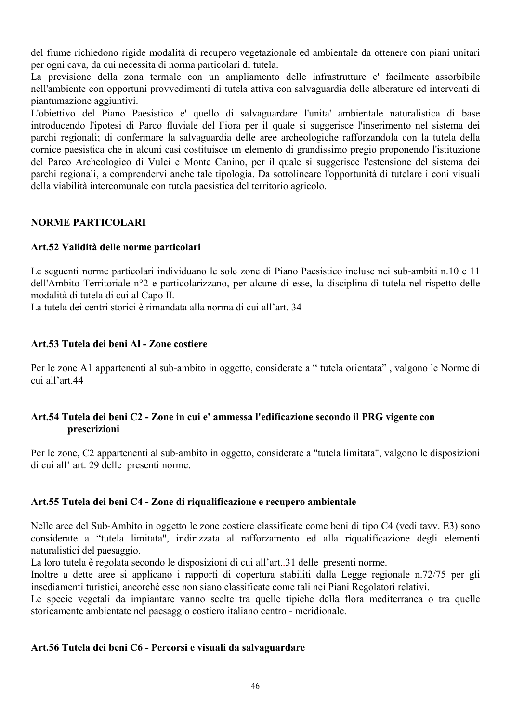del fiume richiedono rigide modalità di recupero vegetazionale ed ambientale da ottenere con piani unitari per ogni cava, da cui necessita di norma particolari di tutela.

La previsione della zona termale con un ampliamento delle infrastrutture e' facilmente assorbibile nell'ambiente con opportuni provvedimenti di tutela attiva con salvaguardia delle alberature ed interventi di piantumazione aggiuntivi.

L'obiettivo del Piano Paesistico e' quello di salvaguardare l'unita' ambientale naturalistica di base introducendo l'ipotesi di Parco fluviale del Fiora per il quale si suggerisce l'inserimento nel sistema dei parchi regionali; di confermare la salvaguardia delle aree archeologiche rafforzandola con la tutela della cornice paesistica che in alcuni casi costituisce un elemento di grandissimo pregio proponendo l'istituzione del Parco Archeologico di Vulci e Monte Canino, per il quale si suggerisce l'estensione del sistema dei parchi regionali, a comprendervi anche tale tipologia. Da sottolineare l'opportunità di tutelare i coni visuali della viabilità intercomunale con tutela paesistica del territorio agricolo.

## **NORME PARTICOLARI**

## Art.52 Validità delle norme particolari

Le seguenti norme particolari individuano le sole zone di Piano Paesistico incluse nei sub-ambiti n.10 e 11 dell'Ambito Territoriale n°2 e particolarizzano, per alcune di esse, la disciplina dì tutela nel rispetto delle modalità di tutela di cui al Capo II.

La tutela dei centri storici è rimandata alla norma di cui all'art 34

## Art.53 Tutela dei beni Al - Zone costiere

Per le zone A1 appartenenti al sub-ambito in oggetto, considerate a "tutela orientata", valgono le Norme di cui all'art.44

## Art.54 Tutela dei beni C2 - Zone in cui e' ammessa l'edificazione secondo il PRG vigente con prescrizioni

Per le zone, C2 appartenenti al sub-ambito in oggetto, considerate a "tutela limitata", valgono le disposizioni di cui all' art. 29 delle presenti norme.

## Art.55 Tutela dei beni C4 - Zone di riqualificazione e recupero ambientale

Nelle aree del Sub-Ambito in oggetto le zone costiere classificate come beni di tipo C4 (vedi tavy. E3) sono considerate a "tutela limitata", indirizzata al rafforzamento ed alla riqualificazione degli elementi naturalistici del paesaggio.

La loro tutela è regolata secondo le disposizioni di cui all'art..31 delle presenti norme.

Inoltre a dette aree si applicano i rapporti di copertura stabiliti dalla Legge regionale n.72/75 per gli insediamenti turistici, ancorché esse non siano classificate come tali nei Piani Regolatori relativi.

Le specie vegetali da impiantare vanno scelte tra quelle tipiche della flora mediterranea o tra quelle storicamente ambientate nel paesaggio costiero italiano centro - meridionale.

## Art.56 Tutela dei beni C6 - Percorsi e visuali da salvaguardare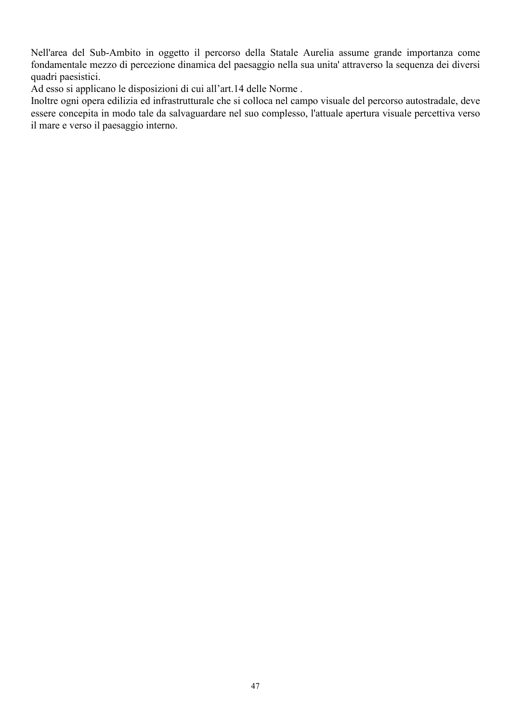Nell'area del Sub-Ambito in oggetto il percorso della Statale Aurelia assume grande importanza come fondamentale mezzo di percezione dinamica del paesaggio nella sua unita' attraverso la sequenza dei diversi quadri paesistici.

Ad esso si applicano le disposizioni di cui all'art.14 delle Norme.

Inoltre ogni opera edilizia ed infrastrutturale che si colloca nel campo visuale del percorso autostradale, deve essere concepita in modo tale da salvaguardare nel suo complesso, l'attuale apertura visuale percettiva verso il mare e verso il paesaggio interno.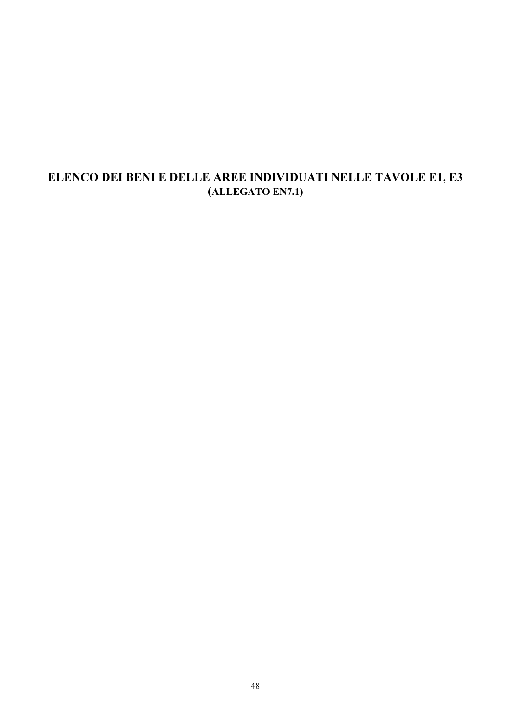# ELENCO DEI BENI E DELLE AREE INDIVIDUATI NELLE TAVOLE E1, E3 (ALLEGATO EN7.1)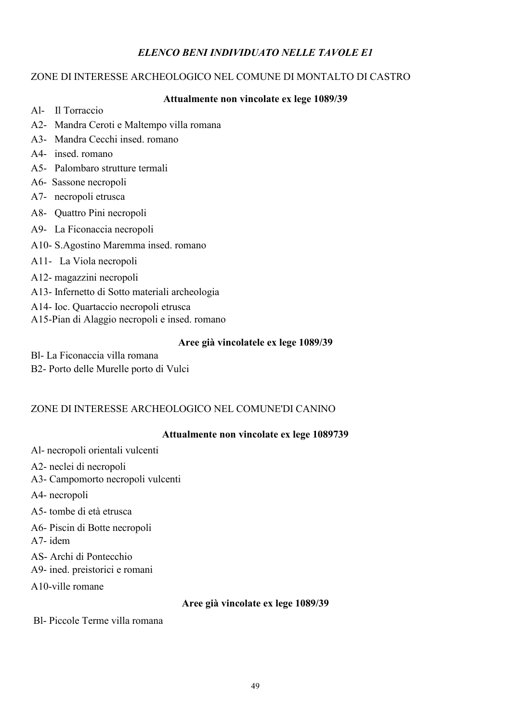# **ELENCO BENI INDIVIDUATO NELLE TAVOLE E1**

# ZONE DI INTERESSE ARCHEOLOGICO NEL COMUNE DI MONTALTO DI CASTRO

## Attualmente non vincolate ex lege 1089/39

- Al- Il Torraccio
- A2- Mandra Ceroti e Maltempo villa romana
- A3- Mandra Cecchi insed. romano
- A4- insed. romano
- A5- Palombaro strutture termali
- A6- Sassone necropoli
- A7- necropoli etrusca
- A8- Quattro Pini necropoli
- A9- La Ficonaccia necropoli
- A10- S.Agostino Maremma insed. romano
- A11- La Viola necropoli
- A12- magazzini necropoli
- A13- Infernetto di Sotto materiali archeologia
- A14- Ioc. Ouartaccio necropoli etrusca
- A15-Pian di Alaggio necropoli e insed. romano

#### Aree già vincolatele ex lege 1089/39

Bl- La Ficonaccia villa romana B2- Porto delle Murelle porto di Vulci

# ZONE DI INTERESSE ARCHEOLOGICO NEL COMUNE'DI CANINO

# Attualmente non vincolate ex lege 1089739

- Al- necropoli orientali vulcenti
- A2- neclei di necropoli
- A3- Campomorto necropoli vulcenti
- A4- necropoli
- A5- tombe di età etrusca
- A6- Piscin di Botte necropoli
- $A7$ -idem
- AS-Archi di Pontecchio
- A9- ined. preistorici e romani
- A10-ville romane

# Aree già vincolate ex lege 1089/39

Bl- Piccole Terme villa romana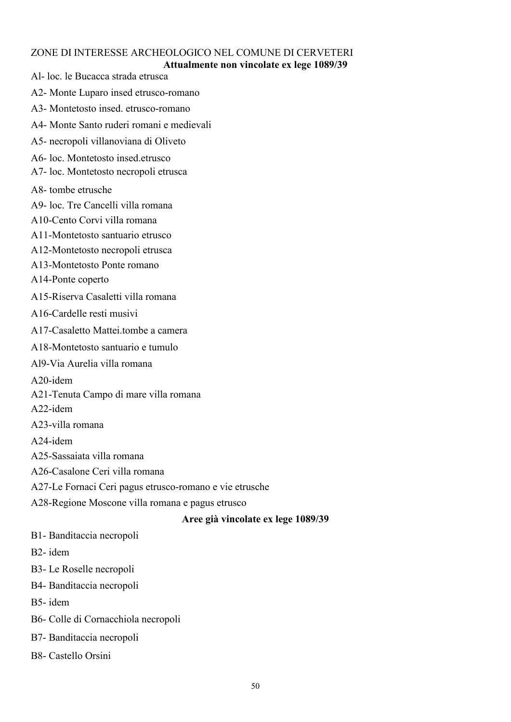# ZONE DI INTERESSE ARCHEOLOGICO NEL COMUNE DI CERVETERI

## Attualmente non vincolate ex lege 1089/39

Al-loc. le Bucacca strada etrusca

- A2- Monte Luparo insed etrusco-romano
- A3- Montetosto insed. etrusco-romano
- A4- Monte Santo ruderi romani e medievali
- A5- necropoli villanoviana di Oliveto
- A6-loc. Montetosto insed etrusco
- A7-loc. Montetosto necropoli etrusca
- A8-tombe etrusche
- A9-loc Tre Cancelli villa romana
- A10-Cento Corvi villa romana
- A11-Montetosto santuario etrusco
- A12-Montetosto necropoli etrusca
- A13-Montetosto Ponte romano
- A14-Ponte coperto
- A15-Riserva Casaletti villa romana
- A16-Cardelle resti musivi
- A17-Casaletto Mattei tombe a camera
- A18-Montetosto santuario e tumulo
- Al9-Via Aurelia villa romana
- A20-idem
- A21-Tenuta Campo di mare villa romana
- A22-idem
- A23-villa romana
- $A24$ -idem
- A25-Sassaiata villa romana
- A26-Casalone Ceri villa romana
- A27-Le Fornaci Ceri pagus etrusco-romano e vie etrusche
- A28-Regione Moscone villa romana e pagus etrusco

#### Aree già vincolate ex lege 1089/39

- B1- Banditaccia necropoli
- B<sub>2</sub>-idem
- B3-Le Roselle necropoli
- B4- Banditaccia necropoli
- B5-idem
- B6- Colle di Cornacchiola necropoli
- B7- Banditaccia necropoli
- B8- Castello Orsini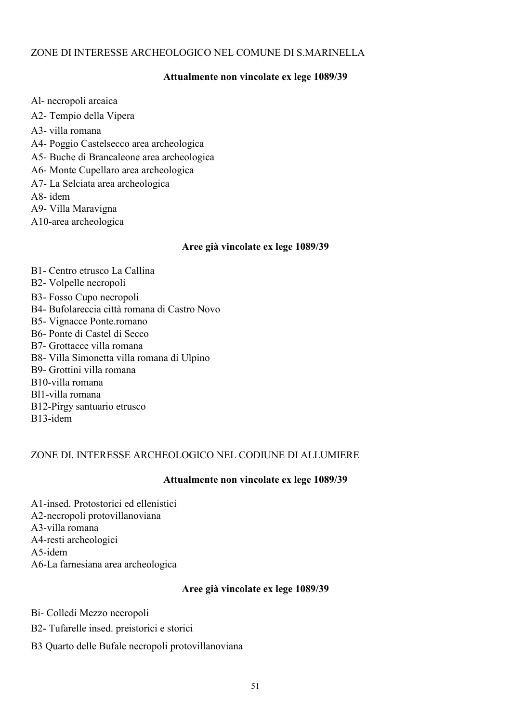# ZONE DI INTERESSE ARCHEOLOGICO NEL COMUNE DI S.MARINELLA

## Attualmente non vincolate ex lege 1089/39

Al- necropoli arcaica A2- Tempio della Vipera A3- villa romana A4- Poggio Castelsecco area archeologica A5- Buche di Brancaleone area archeologica A6- Monte Cupellaro area archeologica A7-La Selciata area archeologica A8-idem A9- Villa Maravigna A10-area archeologica

#### Aree già vincolate ex lege 1089/39

B1- Centro etrusco La Callina B2- Volpelle necropoli B<sub>3</sub>- Fosso Cupo necropoli B4- Bufolareccia città romana di Castro Novo **B5-** Vignacce Ponte.romano B6- Ponte di Castel di Secco B7- Grottacce villa romana B8- Villa Simonetta villa romana di Ulpino B9- Grottini villa romana B10-villa romana Bl1-villa romana B12-Pirgy santuario etrusco B<sub>13</sub>-idem

#### ZONE DI. INTERESSE ARCHEOLOGICO NEL CODIUNE DI ALLUMIERE

#### Attualmente non vincolate ex lege 1089/39

A1-insed. Protostorici ed ellenistici A2-necropoli protovillanoviana A3-villa romana A4-resti archeologici A5-idem A6-La farnesiana area archeologica

#### Aree già vincolate ex lege 1089/39

Bi- Colledi Mezzo necropoli

- B2- Tufarelle insed. preistorici e storici
- B3 Quarto delle Bufale necropoli protovillanoviana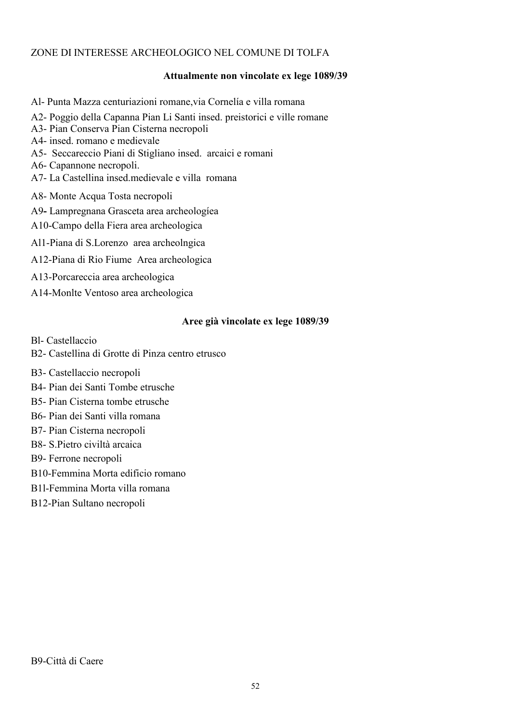## ZONE DI INTERESSE ARCHEOLOGICO NEL COMUNE DI TOLFA

#### Attualmente non vincolate ex lege 1089/39

Al- Punta Mazza centuriazioni romane, via Cornelía e villa romana A2- Poggio della Capanna Pian Li Santi insed. preistorici e ville romane A3- Pian Conserva Pian Cisterna necropoli A4- insed, romano e medievale A5- Seccareccio Piani di Stigliano insed. arcaici e romani A6- Capannone necropoli. A7-La Castellina insed medievale e villa romana A8- Monte Acqua Tosta necropoli A9- Lampregnana Grasceta area archeologíea A10-Campo della Fiera area archeologica All-Piana di S.Lorenzo area archeolngica A12-Piana di Rio Fiume Area archeologica A13-Porcareccia area archeologica

A14-Monlte Ventoso area archeologica

#### Aree già vincolate ex lege 1089/39

**Bl-** Castellaccio

B2- Castellina di Grotte di Pinza centro etrusco

B<sub>3</sub>- Castellaccio necropoli

B4- Pian dei Santi Tombe etrusche

B5- Pian Cisterna tombe etrusche

B6- Pian dei Santi villa romana

B7- Pian Cisterna necropoli

B8- S. Pietro civiltà arcaica

B9- Ferrone necropoli

B10-Femmina Morta edificio romano

B11-Femmina Morta villa romana

B12-Pian Sultano necropoli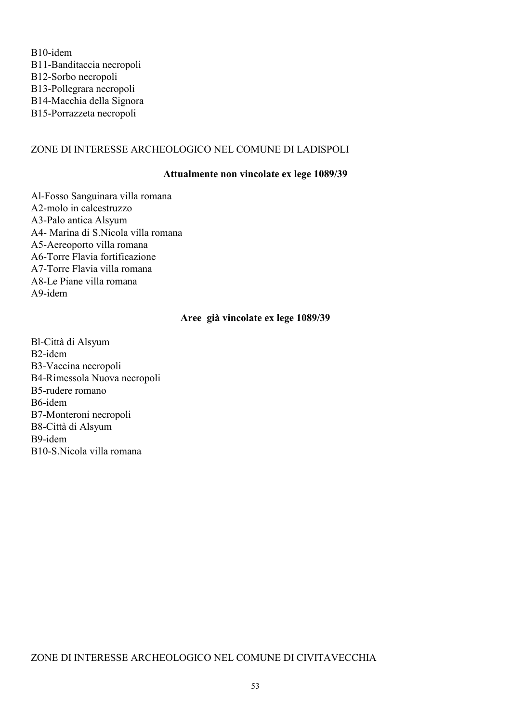B10-idem B11-Banditaccia necropoli B12-Sorbo necropoli B13-Pollegrara necropoli B14-Macchia della Signora B15-Porrazzeta necropoli

#### ZONE DI INTERESSE ARCHEOLOGICO NEL COMUNE DI LADISPOLI

#### Attualmente non vincolate ex lege 1089/39

Al-Fosso Sanguinara villa romana A2-molo in calcestruzzo A3-Palo antica Alsyum A4- Marina di S.Nicola villa romana A5-Aereoporto villa romana A6-Torre Flavia fortificazione A7-Torre Flavia villa romana A8-Le Piane villa romana  $A9$ -idem

#### Aree già vincolate ex lege 1089/39

Bl-Città di Alsyum B<sub>2</sub>-idem B3-Vaccina necropoli B4-Rimessola Nuova necropoli B5-rudere romano B6-idem B7-Monteroni necropoli B8-Città di Alsyum B9-idem B10-S.Nicola villa romana

#### ZONE DI INTERESSE ARCHEOLOGICO NEL COMUNE DI CIVITAVECCHIA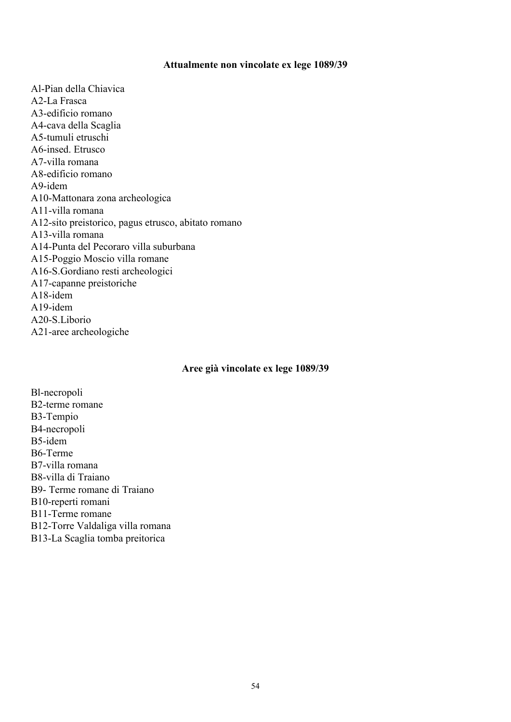#### Attualmente non vincolate ex lege 1089/39

Al-Pian della Chiavica A<sub>2</sub>-L<sub>a</sub> Frasca A3-edificio romano A4-cava della Scaglia A5-tumuli etruschi A6-insed. Etrusco A7-villa romana A8-edificio romano  $A9$ -idem A10-Mattonara zona archeologica A11-villa romana A12-sito preistorico, pagus etrusco, abitato romano A13-villa romana A14-Punta del Pecoraro villa suburbana A15-Poggio Moscio villa romane A16-S.Gordiano resti archeologici A17-capanne preistoriche A18-idem  $A19$ -idem A20-S.Liborio A21-aree archeologiche

#### Aree già vincolate ex lege 1089/39

Bl-necropoli B2-terme romane B3-Tempio B4-necropoli B5-idem B6-Terme B7-villa romana B8-villa di Traiano B9- Terme romane di Traiano B10-reperti romani B11-Terme romane B12-Torre Valdaliga villa romana B13-La Scaglia tomba preitorica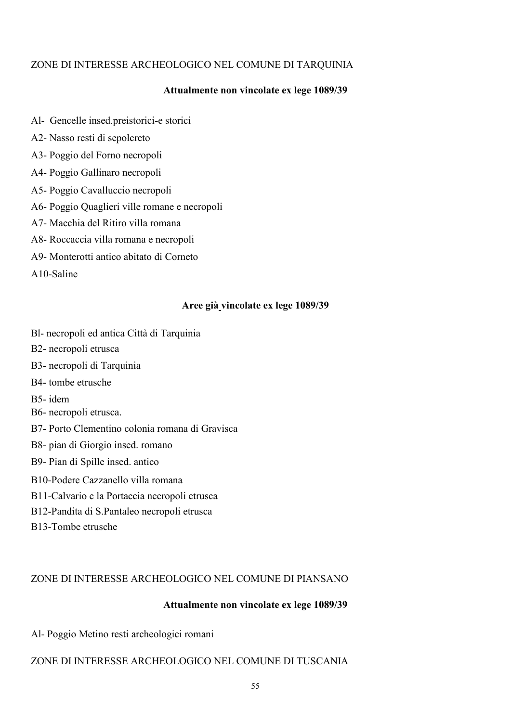# ZONE DI INTERESSE ARCHEOLOGICO NEL COMUNE DI TARQUINIA

# Attualmente non vincolate ex lege 1089/39

- Al- Gencelle insed preistorici-e storici
- A2- Nasso resti di sepolcreto
- A3- Poggio del Forno necropoli
- A4- Poggio Gallinaro necropoli
- A5- Poggio Cavalluccio necropoli
- A6- Poggio Quaglieri ville romane e necropoli
- A7- Macchia del Ritiro villa romana
- A8- Roccaccia villa romana e necropoli
- A9- Monterotti antico abitato di Corneto
- A10-Saline

#### Aree già vincolate ex lege 1089/39

- Bl- necropoli ed antica Città di Tarquinia
- B2- necropoli etrusca
- B3- necropoli di Tarquinia
- B4-tombe etrusche
- B5-idem
- B6- necropoli etrusca.
- B7- Porto Clementino colonia romana di Gravisca
- B8- pian di Giorgio insed. romano
- B9- Pian di Spille insed. antico
- B10-Podere Cazzanello villa romana
- B11-Calvario e la Portaccia necropoli etrusca
- B12-Pandita di S.Pantaleo necropoli etrusca
- B13-Tombe etrusche

## ZONE DI INTERESSE ARCHEOLOGICO NEL COMUNE DI PIANSANO

#### Attualmente non vincolate ex lege 1089/39

Al- Poggio Metino resti archeologici romani

## ZONE DI INTERESSE ARCHEOLOGICO NEL COMUNE DI TUSCANIA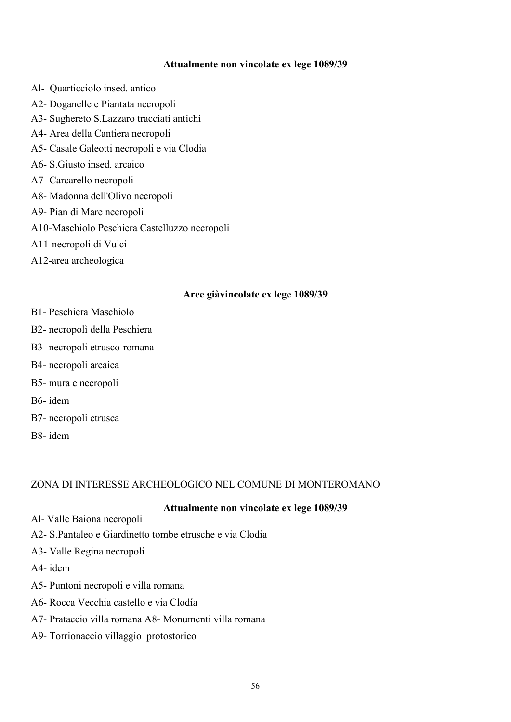#### Attualmente non vincolate ex lege 1089/39

Al- Quarticciolo insed. antico A2- Doganelle e Piantata necropoli A3- Sughereto S.Lazzaro tracciati antichi A4- Area della Cantiera necropoli A5- Casale Galeotti necropoli e via Clodia A6- S. Giusto insed. arcaico A7- Carcarello necropoli A8- Madonna dell'Olivo necropoli A9- Pian di Mare necropoli A10-Maschiolo Peschiera Castelluzzo necropoli A11-necropoli di Vulci A12-area archeologica

#### Aree giàvincolate ex lege 1089/39

- **B1- Peschiera Maschiolo**
- B2- necropolì della Peschiera
- B3- necropoli etrusco-romana
- B4- necropoli arcaica
- B5- mura e necropoli
- B6- idem
- B7- necropoli etrusca
- B8-idem

#### ZONA DI INTERESSE ARCHEOLOGICO NEL COMUNE DI MONTEROMANO

#### Attualmente non vincolate ex lege 1089/39

- Al-Valle Baiona necropoli
- A2- S.Pantaleo e Giardinetto tombe etrusche e via Clodia
- A3- Valle Regina necropoli
- A4-idem
- A5- Puntoni necropoli e villa romana
- A6- Rocca Vecchia castello e via Clodía
- A7- Prataccio villa romana A8- Monumenti villa romana
- A9- Torrionaccio villaggio protostorico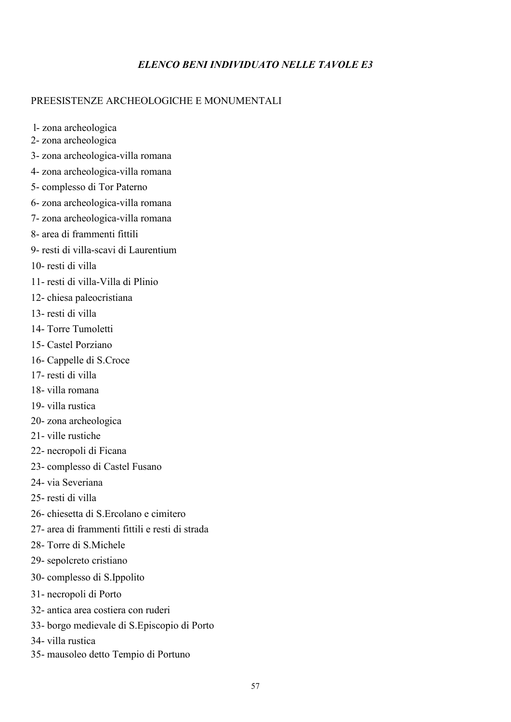# **ELENCO BENI INDIVIDUATO NELLE TAVOLE E3**

# PREESISTENZE ARCHEOLOGICHE E MONUMENTALI

l-zona archeologica

- 2- zona archeologica
- 3- zona archeologica-villa romana
- 4- zona archeologica-villa romana
- 5- complesso di Tor Paterno
- 6- zona archeologica-villa romana
- 7- zona archeologica-villa romana
- 8- area di frammenti fittili
- 9- resti di villa-scavi di Laurentium
- 10- resti di villa
- 11- resti di villa-Villa di Plinio
- 12- chiesa paleocristiana
- 13- resti di villa
- 14- Torre Tumoletti
- 15- Castel Porziano
- 16- Cappelle di S.Croce
- 17- resti di villa
- 18- villa romana
- 19- villa rustica
- 20-zona archeologica
- 21-ville rustiche
- 22- necropoli di Ficana
- 23- complesso di Castel Fusano
- 24- via Severiana
- 25- resti di villa
- 26- chiesetta di S Ercolano e cimitero
- 27- area di frammenti fittili e resti di strada
- 28- Torre di S Michele
- 29- sepolcreto cristiano
- 30- complesso di S.Ippolito
- 31- necropoli di Porto
- 32- antica area costiera con ruderi
- 33- borgo medievale di S. Episcopio di Porto
- 34- villa rustica
- 35- mausoleo detto Tempio di Portuno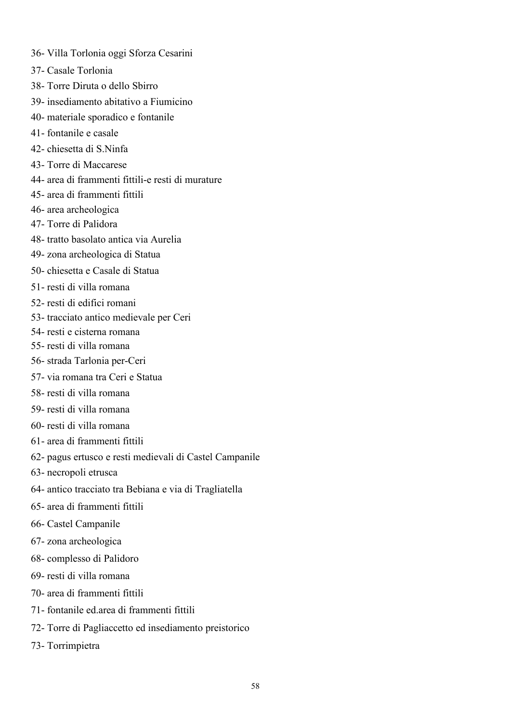37- Casale Torlonia 38- Torre Diruta o dello Sbirro 39- insediamento abitativo a Fiumicino 40- materiale sporadico e fontanile 41-fontanile e casale 42- chiesetta di S. Ninfa 43- Torre di Maccarese 44- area di frammenti fittili-e resti di murature 45- area di frammenti fittili 46- area archeologica 47- Torre di Palidora 48-tratto basolato antica via Aurelia 49- zona archeologica di Statua 50- chiesetta e Casale di Statua 51- resti di villa romana 52- resti di edifici romani 53- tracciato antico medievale per Ceri 54- resti e cisterna romana 55- resti di villa romana 56- strada Tarlonia per-Ceri 57- via romana tra Ceri e Statua 58- resti di villa romana 59- resti di villa romana 60- resti di villa romana 61- area di frammenti fittili 62- pagus ertusco e resti medievali di Castel Campanile 63- necropoli etrusca 64- antico tracciato tra Bebiana e via di Tragliatella 65- area di frammenti fittili 66- Castel Campanile 67-zona archeologica 68-complesso di Palidoro 69- resti di villa romana 70- area di frammenti fittili 71- fontanile ed area di frammenti fittili

36- Villa Torlonia oggi Sforza Cesarini

72- Torre di Pagliaccetto ed insediamento preistorico

73- Torrimpietra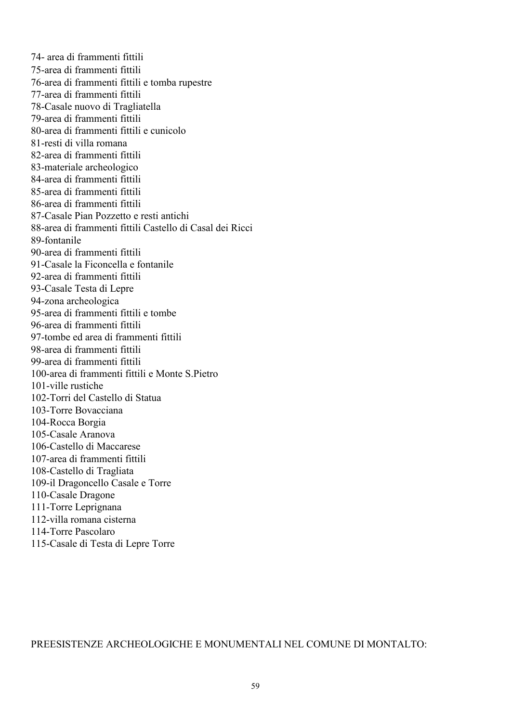74- area di frammenti fittili 75-area di frammenti fittili 76-area di frammenti fittili e tomba rupestre 77-area di frammenti fittili 78-Casale nuovo di Tragliatella 79-area di frammenti fittili 80-area di frammenti fittili e cunicolo 81-resti di villa romana 82-area di frammenti fittili 83-materiale archeologico 84-area di frammenti fittili 85-area di frammenti fittili 86-area di frammenti fittili 87-Casale Pian Pozzetto e resti antichi 88-area di frammenti fittili Castello di Casal dei Ricci 89-fontanile 90-area di frammenti fittili 91-Casale la Ficoncella e fontanile 92-area di frammenti fittili 93-Casale Testa di Lepre 94-zona archeologica 95-area di frammenti fittili e tombe 96-area di frammenti fittili 97-tombe ed area di frammenti fittili 98-area di frammenti fittili 99-area di frammenti fittili 100-area di frammenti fittili e Monte S.Pietro 101-ville rustiche 102-Torri del Castello di Statua 103-Torre Bovacciana 104-Rocca Borgia 105-Casale Aranova 106-Castello di Maccarese 107-area di frammenti fittili 108-Castello di Tragliata 109-il Dragoncello Casale e Torre 110-Casale Dragone 111-Torre Leprignana 112-villa romana cisterna 114-Torre Pascolaro 115-Casale di Testa di Lepre Torre

PREESISTENZE ARCHEOLOGICHE E MONUMENTALI NEL COMUNE DI MONTALTO: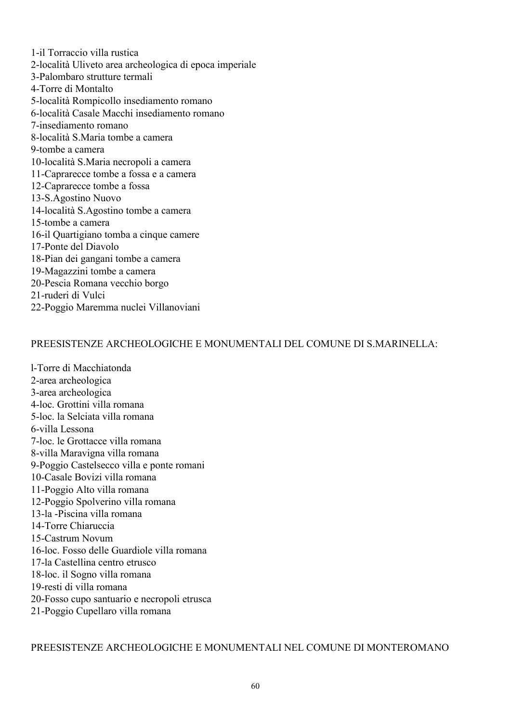1-il Torraccio villa rustica 2-località Uliveto area archeologica di epoca imperiale 3-Palombaro strutture termali 4-Torre di Montalto 5-località Rompicollo insediamento romano 6-località Casale Macchi insediamento romano 7-insediamento romano 8-località S Maria tombe a camera 9-tombe a camera 10-località S.Maria necropoli a camera 11-Caprarecce tombe a fossa e a camera 12-Caprarecce tombe a fossa 13-S.Agostino Nuovo 14-località S.Agostino tombe a camera 15-tombe a camera 16-il Quartigiano tomba a cinque camere 17-Ponte del Diavolo 18-Pian dei gangani tombe a camera 19-Magazzini tombe a camera 20-Pescia Romana vecchio borgo 21-ruderi di Vulci 22-Poggio Maremma nuclei Villanoviani

#### PREESISTENZE ARCHEOLOGICHE E MONUMENTALI DEL COMUNE DI S.MARINELLA:

1-Torre di Macchiatonda 2-area archeologica 3-area archeologica 4-loc. Grottini villa romana 5-loc la Selciata villa romana 6-villa Lessona 7-loc. le Grottacce villa romana 8-villa Maravigna villa romana 9-Poggio Castelsecco villa e ponte romani 10-Casale Bovizi villa romana 11-Poggio Alto villa romana 12-Poggio Spolverino villa romana 13-la -Piscina villa romana 14-Torre Chiaruccia 15-Castrum Novum 16-loc. Fosso delle Guardiole villa romana 17-la Castellina centro etrusco 18-loc. il Sogno villa romana 19-resti di villa romana 20-Fosso cupo santuario e necropoli etrusca 21-Poggio Cupellaro villa romana

PREESISTENZE ARCHEOLOGICHE E MONUMENTALI NEL COMUNE DI MONTEROMANO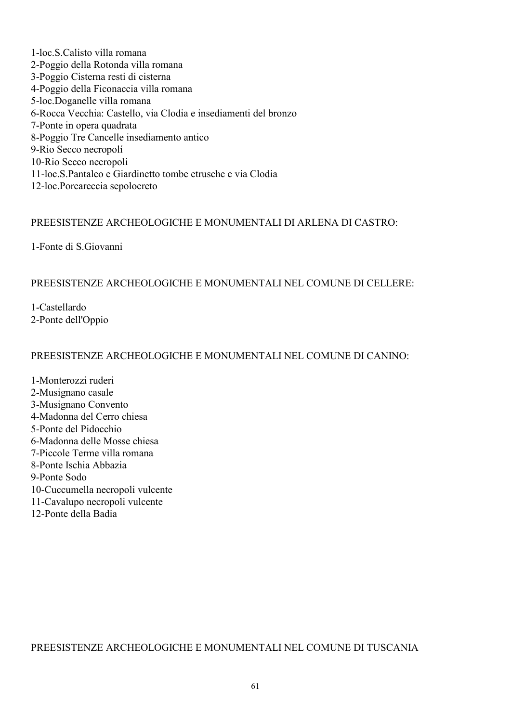1-loc.S.Calisto villa romana 2-Poggio della Rotonda villa romana 3-Poggio Cisterna resti di cisterna 4-Poggio della Ficonaccia villa romana 5-loc.Doganelle villa romana 6-Rocca Vecchia: Castello, via Clodia e insediamenti del bronzo 7-Ponte in opera quadrata 8-Poggio Tre Cancelle insediamento antico 9-Rio Secco necropolí 10-Rio Secco necropoli 11-loc.S.Pantaleo e Giardinetto tombe etrusche e via Clodia 12-loc.Porcareccia sepolocreto

## PREESISTENZE ARCHEOLOGICHE E MONUMENTALL DI ARLENA DI CASTRO-

1-Fonte di S. Giovanni

# PREESISTENZE ARCHEOLOGICHE E MONUMENTALI NEL COMUNE DI CELLERE:

1-Castellardo 2-Ponte dell'Oppio

## PREESISTENZE ARCHEOLOGICHE E MONUMENTALI NEL COMUNE DI CANINO:

1-Monterozzi ruderi 2-Musignano casale 3-Musignano Convento 4-Madonna del Cerro chiesa 5-Ponte del Pidocchio 6-Madonna delle Mosse chiesa 7-Piccole Terme villa romana 8-Ponte Ischia Abbazia 9-Ponte Sodo 10-Cuccumella necropoli vulcente 11-Cavalupo necropoli vulcente 12-Ponte della Badia

PREESISTENZE ARCHEOLOGICHE E MONUMENTALI NEL COMUNE DI TUSCANIA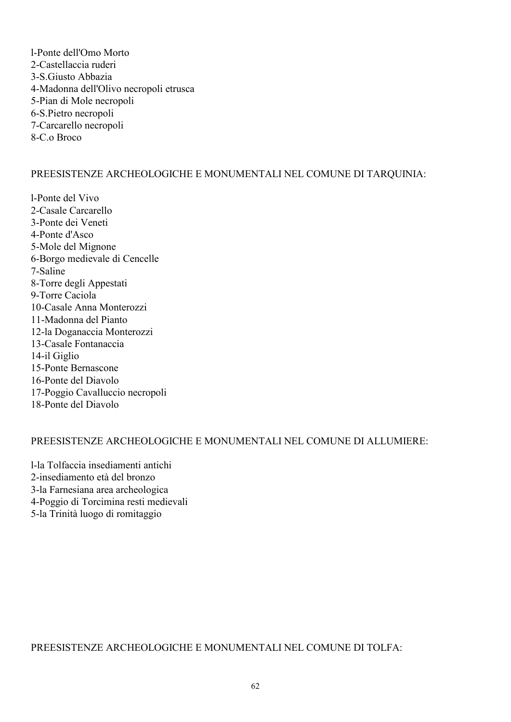l-Ponte dell'Omo Morto 2-Castellaccia ruderi 3-S.Giusto Abbazia 4-Madonna dell'Olivo necropoli etrusca 5-Pian di Mole necropoli 6-S.Pietro necropoli 7-Carcarello necropoli 8-C o Broco

# PREESISTENZE ARCHEOLOGICHE E MONUMENTALI NEL COMUNE DI TARQUINIA:

l-Ponte del Vivo 2-Casale Carcarello 3-Ponte dei Veneti 4-Ponte d'Asco 5-Mole del Mignone 6-Borgo medievale di Cencelle 7-Saline 8-Torre degli Appestati 9-Torre Caciola 10-Casale Anna Monterozzi 11-Madonna del Pianto 12-la Doganaccia Monterozzi 13-Casale Fontanaccia 14-il Giglio 15-Ponte Bernascone 16-Ponte del Diavolo 17-Poggio Cavalluccio necropoli 18-Ponte del Diavolo

## PREESISTENZE ARCHEOLOGICHE E MONUMENTALI NEL COMUNE DI ALLUMIERE:

1-la Tolfaccia insediamenti antichi 2-insediamento età del bronzo 3-la Farnesiana area archeologica 4-Poggio di Torcimina resti medievali 5-la Trinità luogo di romitaggio

PREESISTENZE ARCHEOLOGICHE E MONUMENTALI NEL COMUNE DI TOLFA-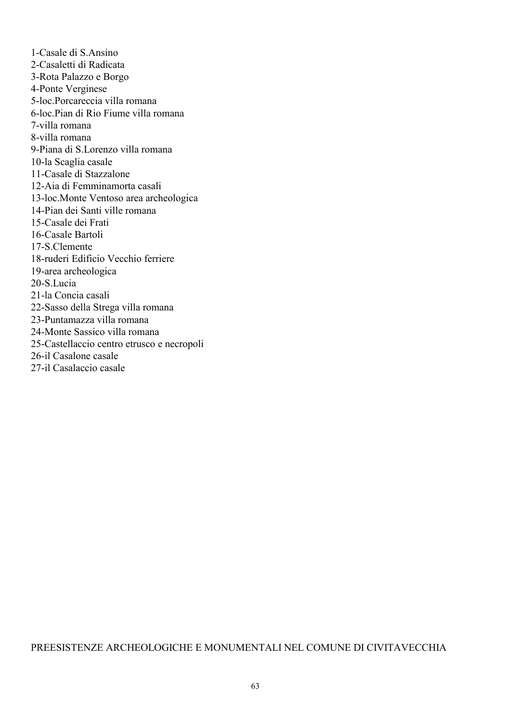1-Casale di S.Ansino 2-Casaletti di Radicata 3-Rota Palazzo e Borgo 4-Ponte Verginese 5-loc Porcareccia villa romana 6-loc Pian di Rio Fiume villa romana 7-villa romana 8-villa romana 9-Piana di S.Lorenzo villa romana 10-la Scaglia casale 11-Casale di Stazzalone 12-Aia di Femminamorta casali 13-loc.Monte Ventoso area archeologica 14-Pian dei Santi ville romana 15-Casale dei Frati 16-Casale Bartoli 17-S.Clemente 18-ruderi Edificio Vecchio ferriere 19-area archeologica 20-S.Lucia 21-la Concia casali 22-Sasso della Strega villa romana 23-Puntamazza villa romana 24-Monte Sassico villa romana 25-Castellaccio centro etrusco e necropoli 26-il Casalone casale 27-il Casalaccio casale

#### PREESISTENZE ARCHEOLOGICHE E MONUMENTALI NEL COMUNE DI CIVITAVECCHIA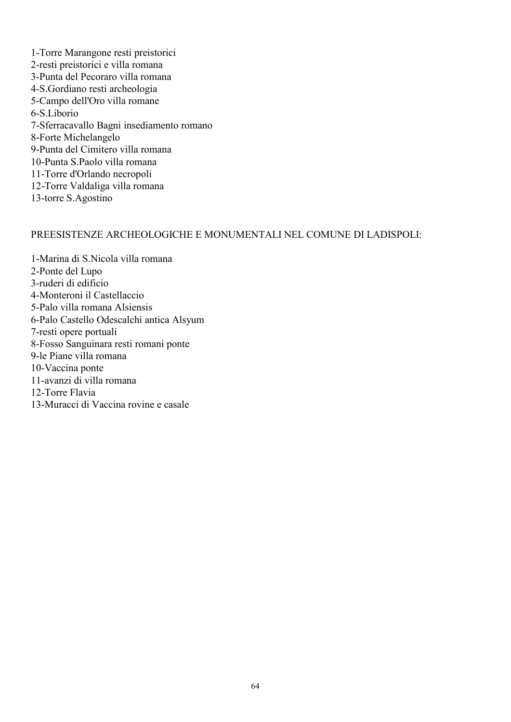1-Torre Marangone resti preistorici 2-resti preistorici e villa romana 3-Punta del Pecoraro villa romana 4-S. Gordiano resti archeologia 5-Campo dell'Oro villa romane 6-S Liborio 7-Sferracavallo Bagni insediamento romano 8-Forte Michelangelo 9-Punta del Cimitero villa romana 10-Punta S Paolo villa romana 11-Torre d'Orlando necropoli 12-Torre Valdaliga villa romana 13-torre S.Agostino

#### PREESISTENZE ARCHEOLOGICHE E MONUMENTALI NEL COMUNE DI LADISPOLI:

1-Marina di S. Nicola villa romana 2-Ponte del Lupo 3-ruderi di edificio 4-Monteroni il Castellaccio 5-Palo villa romana Alsiensis 6-Palo Castello Odescalchi antica Alsyum 7-resti opere portuali 8-Fosso Sanguinara resti romani ponte 9-le Piane villa romana 10-Vaccina ponte 11-avanzi di villa romana 12-Torre Flavia 13-Muracci di Vaccina rovine e casale